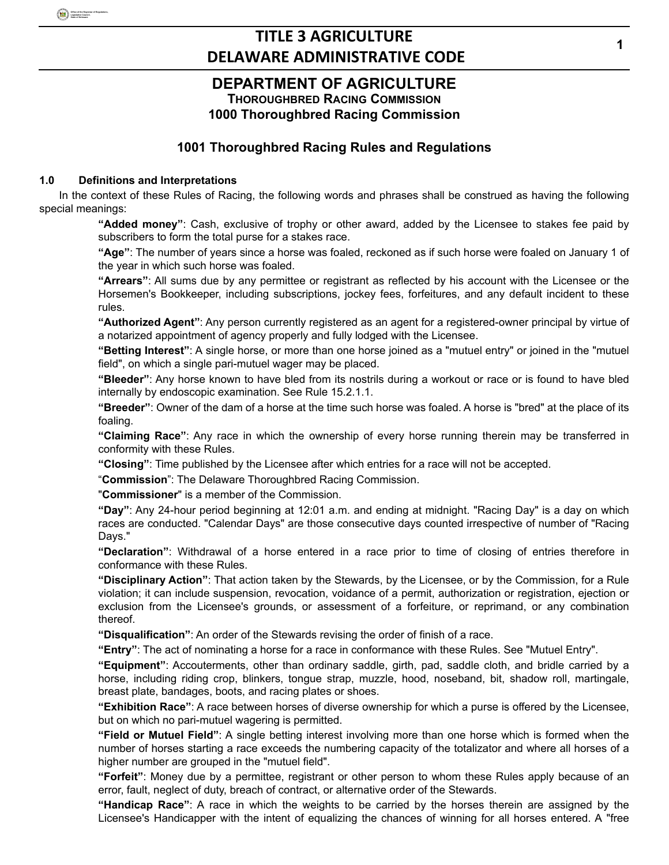### **DEPARTMENT OF AGRICULTURE THOROUGHBRED RACING COMMISSION 1000 Thoroughbred Racing Commission**

### **1001 Thoroughbred Racing Rules and Regulations**

### **1.0 Definitions and Interpretations**

In the context of these Rules of Racing, the following words and phrases shall be construed as having the following special meanings:

**"Added money"**: Cash, exclusive of trophy or other award, added by the Licensee to stakes fee paid by subscribers to form the total purse for a stakes race.

**"Age"**: The number of years since a horse was foaled, reckoned as if such horse were foaled on January 1 of the year in which such horse was foaled.

**"Arrears"**: All sums due by any permittee or registrant as reflected by his account with the Licensee or the Horsemen's Bookkeeper, including subscriptions, jockey fees, forfeitures, and any default incident to these rules.

**"Authorized Agent"**: Any person currently registered as an agent for a registered-owner principal by virtue of a notarized appointment of agency properly and fully lodged with the Licensee.

**"Betting Interest"**: A single horse, or more than one horse joined as a "mutuel entry" or joined in the "mutuel field", on which a single pari-mutuel wager may be placed.

**"Bleeder"**: Any horse known to have bled from its nostrils during a workout or race or is found to have bled internally by endoscopic examination. See Rule 15.2.1.1.

**"Breeder"**: Owner of the dam of a horse at the time such horse was foaled. A horse is "bred" at the place of its foaling.

**"Claiming Race"**: Any race in which the ownership of every horse running therein may be transferred in conformity with these Rules.

**"Closing"**: Time published by the Licensee after which entries for a race will not be accepted.

"**Commission**": The Delaware Thoroughbred Racing Commission.

"**Commissioner**" is a member of the Commission.

**"Day"**: Any 24-hour period beginning at 12:01 a.m. and ending at midnight. "Racing Day" is a day on which races are conducted. "Calendar Days" are those consecutive days counted irrespective of number of "Racing Days."

**"Declaration"**: Withdrawal of a horse entered in a race prior to time of closing of entries therefore in conformance with these Rules.

**"Disciplinary Action"**: That action taken by the Stewards, by the Licensee, or by the Commission, for a Rule violation; it can include suspension, revocation, voidance of a permit, authorization or registration, ejection or exclusion from the Licensee's grounds, or assessment of a forfeiture, or reprimand, or any combination thereof.

**"Disqualification"**: An order of the Stewards revising the order of finish of a race.

**"Entry"**: The act of nominating a horse for a race in conformance with these Rules. See "Mutuel Entry".

**"Equipment"**: Accouterments, other than ordinary saddle, girth, pad, saddle cloth, and bridle carried by a horse, including riding crop, blinkers, tongue strap, muzzle, hood, noseband, bit, shadow roll, martingale, breast plate, bandages, boots, and racing plates or shoes.

**"Exhibition Race"**: A race between horses of diverse ownership for which a purse is offered by the Licensee, but on which no pari-mutuel wagering is permitted.

**"Field or Mutuel Field"**: A single betting interest involving more than one horse which is formed when the number of horses starting a race exceeds the numbering capacity of the totalizator and where all horses of a higher number are grouped in the "mutuel field".

**"Forfeit"**: Money due by a permittee, registrant or other person to whom these Rules apply because of an error, fault, neglect of duty, breach of contract, or alternative order of the Stewards.

**"Handicap Race"**: A race in which the weights to be carried by the horses therein are assigned by the Licensee's Handicapper with the intent of equalizing the chances of winning for all horses entered. A "free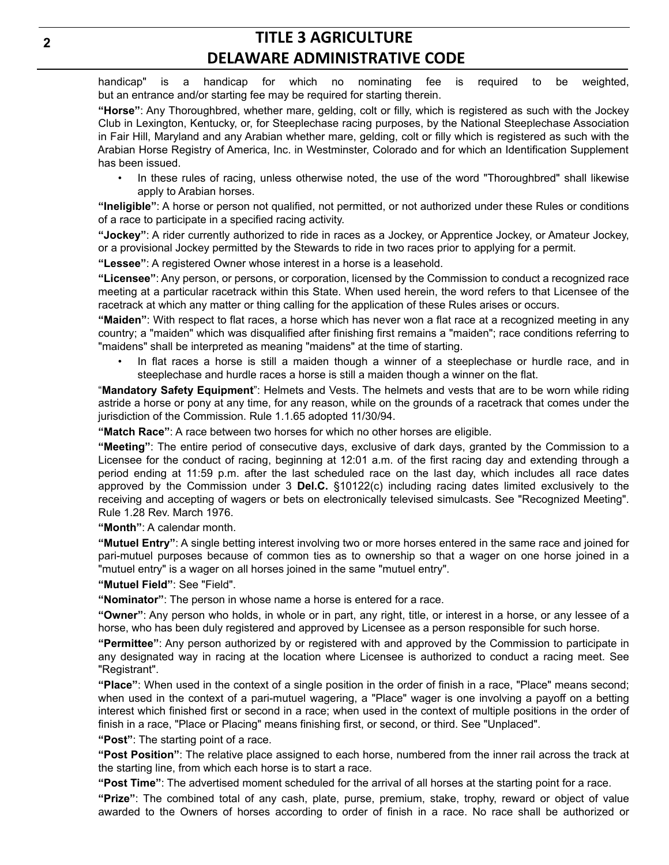handicap" is a handicap for which no nominating fee is required to be weighted, but an entrance and/or starting fee may be required for starting therein.

**"Horse"**: Any Thoroughbred, whether mare, gelding, colt or filly, which is registered as such with the Jockey Club in Lexington, Kentucky, or, for Steeplechase racing purposes, by the National Steeplechase Association in Fair Hill, Maryland and any Arabian whether mare, gelding, colt or filly which is registered as such with the Arabian Horse Registry of America, Inc. in Westminster, Colorado and for which an Identification Supplement has been issued.

• In these rules of racing, unless otherwise noted, the use of the word "Thoroughbred" shall likewise apply to Arabian horses.

**"Ineligible"**: A horse or person not qualified, not permitted, or not authorized under these Rules or conditions of a race to participate in a specified racing activity.

**"Jockey"**: A rider currently authorized to ride in races as a Jockey, or Apprentice Jockey, or Amateur Jockey, or a provisional Jockey permitted by the Stewards to ride in two races prior to applying for a permit.

**"Lessee"**: A registered Owner whose interest in a horse is a leasehold.

**"Licensee"**: Any person, or persons, or corporation, licensed by the Commission to conduct a recognized race meeting at a particular racetrack within this State. When used herein, the word refers to that Licensee of the racetrack at which any matter or thing calling for the application of these Rules arises or occurs.

**"Maiden"**: With respect to flat races, a horse which has never won a flat race at a recognized meeting in any country; a "maiden" which was disqualified after finishing first remains a "maiden"; race conditions referring to "maidens" shall be interpreted as meaning "maidens" at the time of starting.

• In flat races a horse is still a maiden though a winner of a steeplechase or hurdle race, and in steeplechase and hurdle races a horse is still a maiden though a winner on the flat.

"**Mandatory Safety Equipment**": Helmets and Vests. The helmets and vests that are to be worn while riding astride a horse or pony at any time, for any reason, while on the grounds of a racetrack that comes under the jurisdiction of the Commission. Rule 1.1.65 adopted 11/30/94.

**"Match Race"**: A race between two horses for which no other horses are eligible.

**"Meeting"**: The entire period of consecutive days, exclusive of dark days, granted by the Commission to a Licensee for the conduct of racing, beginning at 12:01 a.m. of the first racing day and extending through a period ending at 11:59 p.m. after the last scheduled race on the last day, which includes all race dates approved by the Commission under 3 **Del.C.** §10122(c) including racing dates limited exclusively to the receiving and accepting of wagers or bets on electronically televised simulcasts. See "Recognized Meeting". Rule 1.28 Rev. March 1976.

**"Month"**: A calendar month.

**"Mutuel Entry"**: A single betting interest involving two or more horses entered in the same race and joined for pari-mutuel purposes because of common ties as to ownership so that a wager on one horse joined in a "mutuel entry" is a wager on all horses joined in the same "mutuel entry".

**"Mutuel Field"**: See "Field".

**"Nominator"**: The person in whose name a horse is entered for a race.

**"Owner"**: Any person who holds, in whole or in part, any right, title, or interest in a horse, or any lessee of a horse, who has been duly registered and approved by Licensee as a person responsible for such horse.

**"Permittee"**: Any person authorized by or registered with and approved by the Commission to participate in any designated way in racing at the location where Licensee is authorized to conduct a racing meet. See "Registrant".

**"Place"**: When used in the context of a single position in the order of finish in a race, "Place" means second; when used in the context of a pari-mutuel wagering, a "Place" wager is one involving a payoff on a betting interest which finished first or second in a race; when used in the context of multiple positions in the order of finish in a race, "Place or Placing" means finishing first, or second, or third. See "Unplaced".

**"Post"**: The starting point of a race.

**"Post Position"**: The relative place assigned to each horse, numbered from the inner rail across the track at the starting line, from which each horse is to start a race.

**"Post Time"**: The advertised moment scheduled for the arrival of all horses at the starting point for a race.

**"Prize"**: The combined total of any cash, plate, purse, premium, stake, trophy, reward or object of value awarded to the Owners of horses according to order of finish in a race. No race shall be authorized or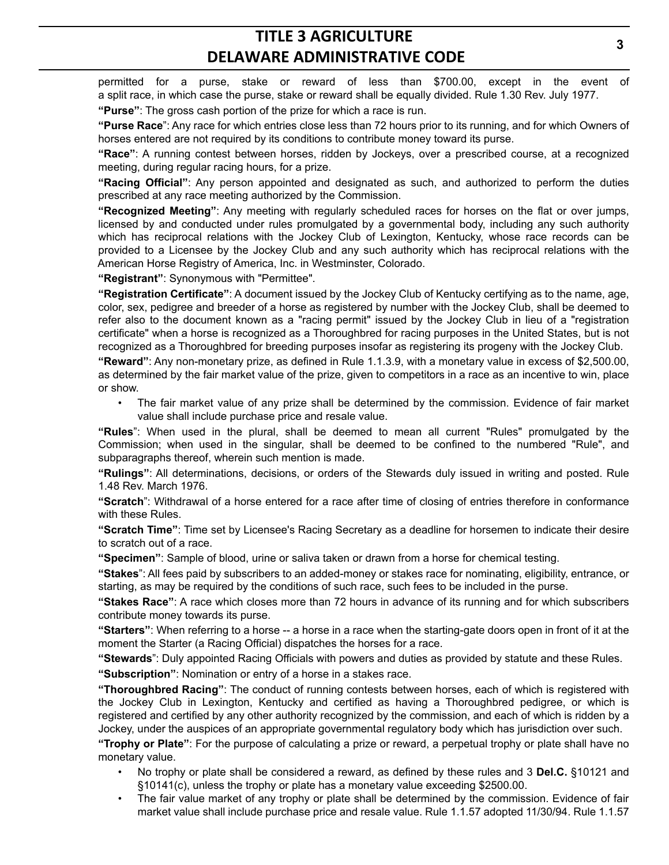permitted for a purse, stake or reward of less than \$700.00, except in the event of a split race, in which case the purse, stake or reward shall be equally divided. Rule 1.30 Rev. July 1977.

**"Purse"**: The gross cash portion of the prize for which a race is run.

**"Purse Race**": Any race for which entries close less than 72 hours prior to its running, and for which Owners of horses entered are not required by its conditions to contribute money toward its purse.

**"Race"**: A running contest between horses, ridden by Jockeys, over a prescribed course, at a recognized meeting, during regular racing hours, for a prize.

**"Racing Official"**: Any person appointed and designated as such, and authorized to perform the duties prescribed at any race meeting authorized by the Commission.

**"Recognized Meeting"**: Any meeting with regularly scheduled races for horses on the flat or over jumps, licensed by and conducted under rules promulgated by a governmental body, including any such authority which has reciprocal relations with the Jockey Club of Lexington, Kentucky, whose race records can be provided to a Licensee by the Jockey Club and any such authority which has reciprocal relations with the American Horse Registry of America, Inc. in Westminster, Colorado.

**"Registrant"**: Synonymous with "Permittee".

**"Registration Certificate"**: A document issued by the Jockey Club of Kentucky certifying as to the name, age, color, sex, pedigree and breeder of a horse as registered by number with the Jockey Club, shall be deemed to refer also to the document known as a "racing permit" issued by the Jockey Club in lieu of a "registration certificate" when a horse is recognized as a Thoroughbred for racing purposes in the United States, but is not recognized as a Thoroughbred for breeding purposes insofar as registering its progeny with the Jockey Club.

**"Reward"**: Any non-monetary prize, as defined in Rule 1.1.3.9, with a monetary value in excess of \$2,500.00, as determined by the fair market value of the prize, given to competitors in a race as an incentive to win, place or show.

• The fair market value of any prize shall be determined by the commission. Evidence of fair market value shall include purchase price and resale value.

**"Rules**": When used in the plural, shall be deemed to mean all current "Rules" promulgated by the Commission; when used in the singular, shall be deemed to be confined to the numbered "Rule", and subparagraphs thereof, wherein such mention is made.

**"Rulings"**: All determinations, decisions, or orders of the Stewards duly issued in writing and posted. Rule 1.48 Rev. March 1976.

**"Scratch**": Withdrawal of a horse entered for a race after time of closing of entries therefore in conformance with these Rules.

**"Scratch Time"**: Time set by Licensee's Racing Secretary as a deadline for horsemen to indicate their desire to scratch out of a race.

**"Specimen"**: Sample of blood, urine or saliva taken or drawn from a horse for chemical testing.

**"Stakes**": All fees paid by subscribers to an added-money or stakes race for nominating, eligibility, entrance, or starting, as may be required by the conditions of such race, such fees to be included in the purse.

**"Stakes Race"**: A race which closes more than 72 hours in advance of its running and for which subscribers contribute money towards its purse.

**"Starters"**: When referring to a horse -- a horse in a race when the starting-gate doors open in front of it at the moment the Starter (a Racing Official) dispatches the horses for a race.

**"Stewards**": Duly appointed Racing Officials with powers and duties as provided by statute and these Rules.

**"Subscription"**: Nomination or entry of a horse in a stakes race.

**"Thoroughbred Racing"**: The conduct of running contests between horses, each of which is registered with the Jockey Club in Lexington, Kentucky and certified as having a Thoroughbred pedigree, or which is registered and certified by any other authority recognized by the commission, and each of which is ridden by a Jockey, under the auspices of an appropriate governmental regulatory body which has jurisdiction over such.

**"Trophy or Plate"**: For the purpose of calculating a prize or reward, a perpetual trophy or plate shall have no monetary value.

- No trophy or plate shall be considered a reward, as defined by these rules and 3 **Del.C.** §10121 and §10141(c), unless the trophy or plate has a monetary value exceeding \$2500.00.
- The fair value market of any trophy or plate shall be determined by the commission. Evidence of fair market value shall include purchase price and resale value. Rule 1.1.57 adopted 11/30/94. Rule 1.1.57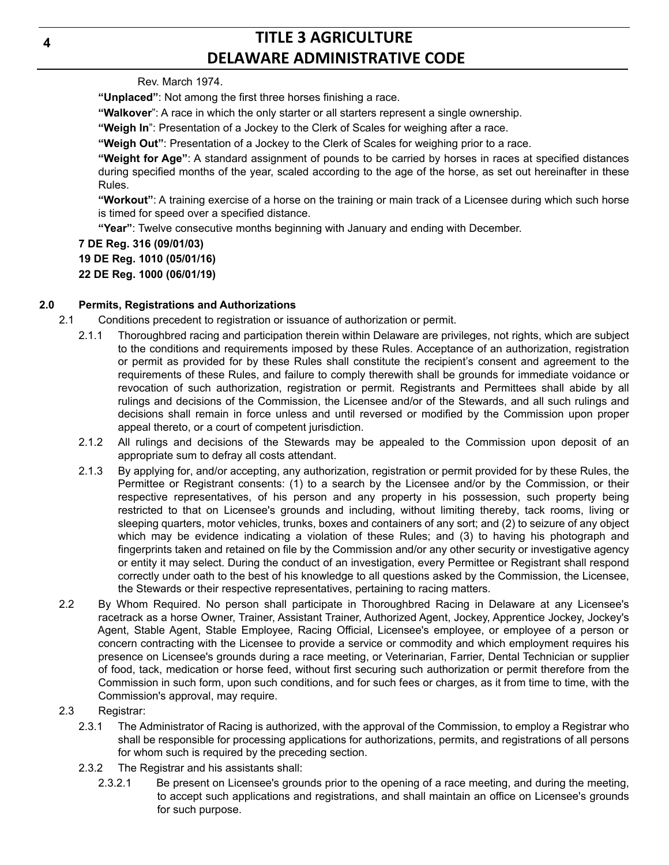Rev. March 1974.

**"Unplaced"**: Not among the first three horses finishing a race.

**"Walkover**": A race in which the only starter or all starters represent a single ownership.

**"Weigh In**": Presentation of a Jockey to the Clerk of Scales for weighing after a race.

**"Weigh Out"**: Presentation of a Jockey to the Clerk of Scales for weighing prior to a race.

**"Weight for Age"**: A standard assignment of pounds to be carried by horses in races at specified distances during specified months of the year, scaled according to the age of the horse, as set out hereinafter in these Rules.

**"Workout"**: A training exercise of a horse on the training or main track of a Licensee during which such horse is timed for speed over a specified distance.

**"Year"**: Twelve consecutive months beginning with January and ending with December.

### **7 DE Reg. 316 (09/01/03)**

**19 DE Reg. 1010 (05/01/16)**

**22 DE Reg. 1000 (06/01/19)**

### **2.0 Permits, Registrations and Authorizations**

- 2.1 Conditions precedent to registration or issuance of authorization or permit.
	- 2.1.1 Thoroughbred racing and participation therein within Delaware are privileges, not rights, which are subject to the conditions and requirements imposed by these Rules. Acceptance of an authorization, registration or permit as provided for by these Rules shall constitute the recipient's consent and agreement to the requirements of these Rules, and failure to comply therewith shall be grounds for immediate voidance or revocation of such authorization, registration or permit. Registrants and Permittees shall abide by all rulings and decisions of the Commission, the Licensee and/or of the Stewards, and all such rulings and decisions shall remain in force unless and until reversed or modified by the Commission upon proper appeal thereto, or a court of competent jurisdiction.
	- 2.1.2 All rulings and decisions of the Stewards may be appealed to the Commission upon deposit of an appropriate sum to defray all costs attendant.
	- 2.1.3 By applying for, and/or accepting, any authorization, registration or permit provided for by these Rules, the Permittee or Registrant consents: (1) to a search by the Licensee and/or by the Commission, or their respective representatives, of his person and any property in his possession, such property being restricted to that on Licensee's grounds and including, without limiting thereby, tack rooms, living or sleeping quarters, motor vehicles, trunks, boxes and containers of any sort; and (2) to seizure of any object which may be evidence indicating a violation of these Rules; and (3) to having his photograph and fingerprints taken and retained on file by the Commission and/or any other security or investigative agency or entity it may select. During the conduct of an investigation, every Permittee or Registrant shall respond correctly under oath to the best of his knowledge to all questions asked by the Commission, the Licensee, the Stewards or their respective representatives, pertaining to racing matters.
- 2.2 By Whom Required. No person shall participate in Thoroughbred Racing in Delaware at any Licensee's racetrack as a horse Owner, Trainer, Assistant Trainer, Authorized Agent, Jockey, Apprentice Jockey, Jockey's Agent, Stable Agent, Stable Employee, Racing Official, Licensee's employee, or employee of a person or concern contracting with the Licensee to provide a service or commodity and which employment requires his presence on Licensee's grounds during a race meeting, or Veterinarian, Farrier, Dental Technician or supplier of food, tack, medication or horse feed, without first securing such authorization or permit therefore from the Commission in such form, upon such conditions, and for such fees or charges, as it from time to time, with the Commission's approval, may require.
- 2.3 Registrar:
	- 2.3.1 The Administrator of Racing is authorized, with the approval of the Commission, to employ a Registrar who shall be responsible for processing applications for authorizations, permits, and registrations of all persons for whom such is required by the preceding section.
	- 2.3.2 The Registrar and his assistants shall:
		- 2.3.2.1 Be present on Licensee's grounds prior to the opening of a race meeting, and during the meeting, to accept such applications and registrations, and shall maintain an office on Licensee's grounds for such purpose.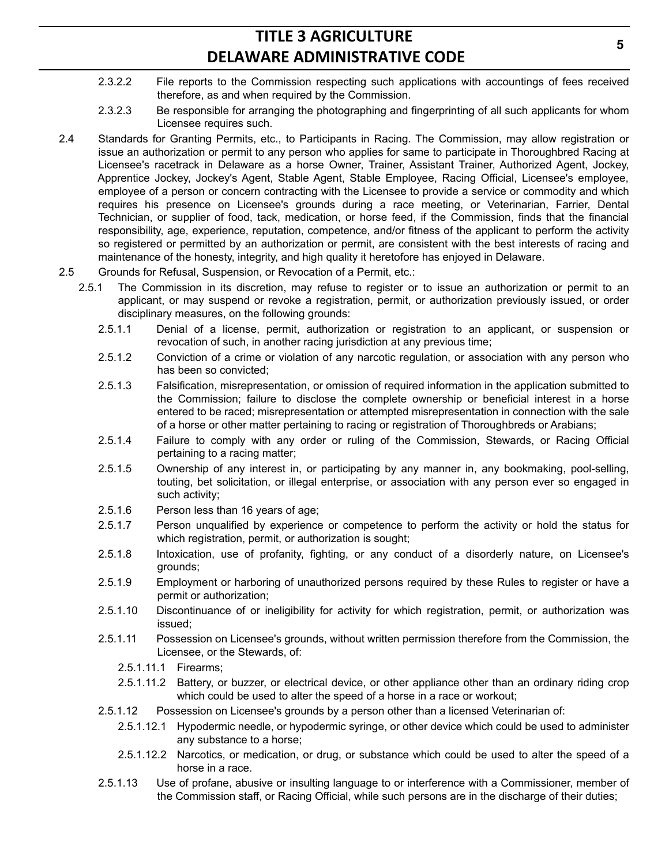- 2.3.2.2 File reports to the Commission respecting such applications with accountings of fees received therefore, as and when required by the Commission.
- 2.3.2.3 Be responsible for arranging the photographing and fingerprinting of all such applicants for whom Licensee requires such.
- 2.4 Standards for Granting Permits, etc., to Participants in Racing. The Commission, may allow registration or issue an authorization or permit to any person who applies for same to participate in Thoroughbred Racing at Licensee's racetrack in Delaware as a horse Owner, Trainer, Assistant Trainer, Authorized Agent, Jockey, Apprentice Jockey, Jockey's Agent, Stable Agent, Stable Employee, Racing Official, Licensee's employee, employee of a person or concern contracting with the Licensee to provide a service or commodity and which requires his presence on Licensee's grounds during a race meeting, or Veterinarian, Farrier, Dental Technician, or supplier of food, tack, medication, or horse feed, if the Commission, finds that the financial responsibility, age, experience, reputation, competence, and/or fitness of the applicant to perform the activity so registered or permitted by an authorization or permit, are consistent with the best interests of racing and maintenance of the honesty, integrity, and high quality it heretofore has enjoyed in Delaware.
- 2.5 Grounds for Refusal, Suspension, or Revocation of a Permit, etc.:
	- 2.5.1 The Commission in its discretion, may refuse to register or to issue an authorization or permit to an applicant, or may suspend or revoke a registration, permit, or authorization previously issued, or order disciplinary measures, on the following grounds:
		- 2.5.1.1 Denial of a license, permit, authorization or registration to an applicant, or suspension or revocation of such, in another racing jurisdiction at any previous time;
		- 2.5.1.2 Conviction of a crime or violation of any narcotic regulation, or association with any person who has been so convicted;
		- 2.5.1.3 Falsification, misrepresentation, or omission of required information in the application submitted to the Commission; failure to disclose the complete ownership or beneficial interest in a horse entered to be raced; misrepresentation or attempted misrepresentation in connection with the sale of a horse or other matter pertaining to racing or registration of Thoroughbreds or Arabians;
		- 2.5.1.4 Failure to comply with any order or ruling of the Commission, Stewards, or Racing Official pertaining to a racing matter;
		- 2.5.1.5 Ownership of any interest in, or participating by any manner in, any bookmaking, pool-selling, touting, bet solicitation, or illegal enterprise, or association with any person ever so engaged in such activity;
		- 2.5.1.6 Person less than 16 years of age;
		- 2.5.1.7 Person unqualified by experience or competence to perform the activity or hold the status for which registration, permit, or authorization is sought;
		- 2.5.1.8 Intoxication, use of profanity, fighting, or any conduct of a disorderly nature, on Licensee's grounds;
		- 2.5.1.9 Employment or harboring of unauthorized persons required by these Rules to register or have a permit or authorization;
		- 2.5.1.10 Discontinuance of or ineligibility for activity for which registration, permit, or authorization was issued;
		- 2.5.1.11 Possession on Licensee's grounds, without written permission therefore from the Commission, the Licensee, or the Stewards, of:
			- 2.5.1.11.1 Firearms;
			- 2.5.1.11.2 Battery, or buzzer, or electrical device, or other appliance other than an ordinary riding crop which could be used to alter the speed of a horse in a race or workout;
		- 2.5.1.12 Possession on Licensee's grounds by a person other than a licensed Veterinarian of:
			- 2.5.1.12.1 Hypodermic needle, or hypodermic syringe, or other device which could be used to administer any substance to a horse;
			- 2.5.1.12.2 Narcotics, or medication, or drug, or substance which could be used to alter the speed of a horse in a race.
		- 2.5.1.13 Use of profane, abusive or insulting language to or interference with a Commissioner, member of the Commission staff, or Racing Official, while such persons are in the discharge of their duties;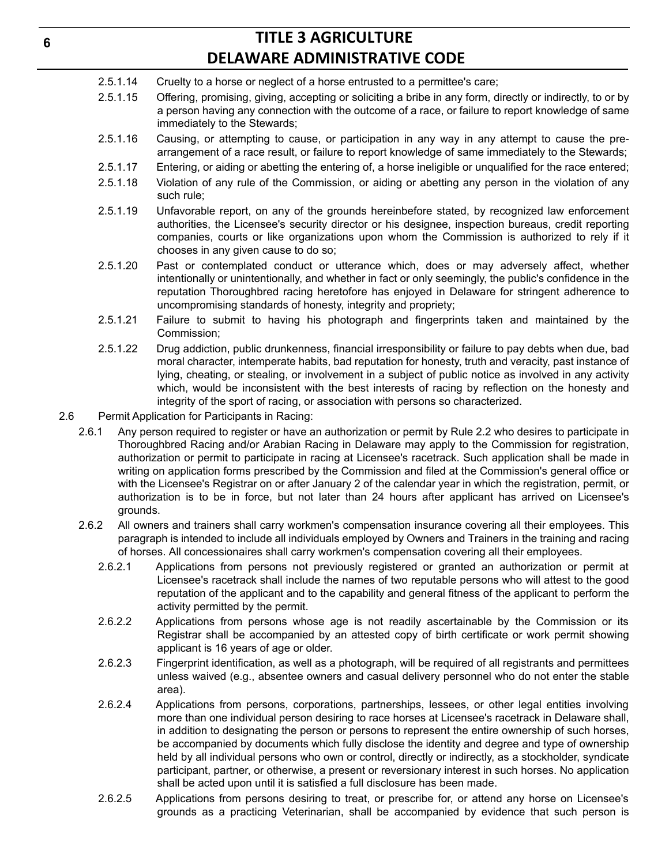- 2.5.1.14 Cruelty to a horse or neglect of a horse entrusted to a permittee's care;
- 2.5.1.15 Offering, promising, giving, accepting or soliciting a bribe in any form, directly or indirectly, to or by a person having any connection with the outcome of a race, or failure to report knowledge of same immediately to the Stewards;
- 2.5.1.16 Causing, or attempting to cause, or participation in any way in any attempt to cause the prearrangement of a race result, or failure to report knowledge of same immediately to the Stewards;
- 2.5.1.17 Entering, or aiding or abetting the entering of, a horse ineligible or unqualified for the race entered;
- 2.5.1.18 Violation of any rule of the Commission, or aiding or abetting any person in the violation of any such rule;
- 2.5.1.19 Unfavorable report, on any of the grounds hereinbefore stated, by recognized law enforcement authorities, the Licensee's security director or his designee, inspection bureaus, credit reporting companies, courts or like organizations upon whom the Commission is authorized to rely if it chooses in any given cause to do so;
- 2.5.1.20 Past or contemplated conduct or utterance which, does or may adversely affect, whether intentionally or unintentionally, and whether in fact or only seemingly, the public's confidence in the reputation Thoroughbred racing heretofore has enjoyed in Delaware for stringent adherence to uncompromising standards of honesty, integrity and propriety;
- 2.5.1.21 Failure to submit to having his photograph and fingerprints taken and maintained by the Commission;
- 2.5.1.22 Drug addiction, public drunkenness, financial irresponsibility or failure to pay debts when due, bad moral character, intemperate habits, bad reputation for honesty, truth and veracity, past instance of lying, cheating, or stealing, or involvement in a subject of public notice as involved in any activity which, would be inconsistent with the best interests of racing by reflection on the honesty and integrity of the sport of racing, or association with persons so characterized.
- 2.6 Permit Application for Participants in Racing:
	- 2.6.1 Any person required to register or have an authorization or permit by Rule 2.2 who desires to participate in Thoroughbred Racing and/or Arabian Racing in Delaware may apply to the Commission for registration, authorization or permit to participate in racing at Licensee's racetrack. Such application shall be made in writing on application forms prescribed by the Commission and filed at the Commission's general office or with the Licensee's Registrar on or after January 2 of the calendar year in which the registration, permit, or authorization is to be in force, but not later than 24 hours after applicant has arrived on Licensee's grounds.
	- 2.6.2 All owners and trainers shall carry workmen's compensation insurance covering all their employees. This paragraph is intended to include all individuals employed by Owners and Trainers in the training and racing of horses. All concessionaires shall carry workmen's compensation covering all their employees.
		- 2.6.2.1 Applications from persons not previously registered or granted an authorization or permit at Licensee's racetrack shall include the names of two reputable persons who will attest to the good reputation of the applicant and to the capability and general fitness of the applicant to perform the activity permitted by the permit.
		- 2.6.2.2 Applications from persons whose age is not readily ascertainable by the Commission or its Registrar shall be accompanied by an attested copy of birth certificate or work permit showing applicant is 16 years of age or older.
		- 2.6.2.3 Fingerprint identification, as well as a photograph, will be required of all registrants and permittees unless waived (e.g., absentee owners and casual delivery personnel who do not enter the stable area).
		- 2.6.2.4 Applications from persons, corporations, partnerships, lessees, or other legal entities involving more than one individual person desiring to race horses at Licensee's racetrack in Delaware shall, in addition to designating the person or persons to represent the entire ownership of such horses, be accompanied by documents which fully disclose the identity and degree and type of ownership held by all individual persons who own or control, directly or indirectly, as a stockholder, syndicate participant, partner, or otherwise, a present or reversionary interest in such horses. No application shall be acted upon until it is satisfied a full disclosure has been made.
		- 2.6.2.5 Applications from persons desiring to treat, or prescribe for, or attend any horse on Licensee's grounds as a practicing Veterinarian, shall be accompanied by evidence that such person is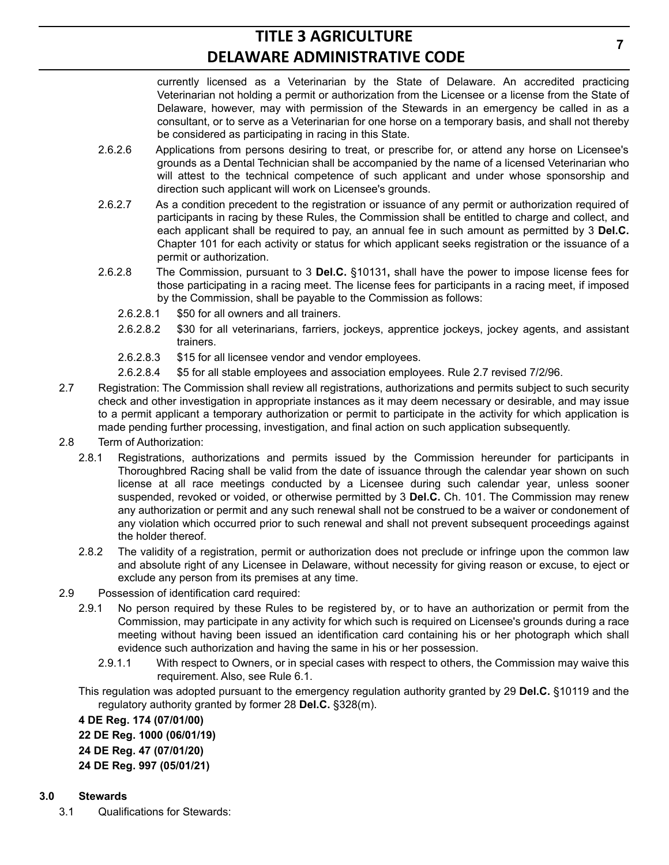currently licensed as a Veterinarian by the State of Delaware. An accredited practicing Veterinarian not holding a permit or authorization from the Licensee or a license from the State of Delaware, however, may with permission of the Stewards in an emergency be called in as a consultant, or to serve as a Veterinarian for one horse on a temporary basis, and shall not thereby be considered as participating in racing in this State.

- 2.6.2.6 Applications from persons desiring to treat, or prescribe for, or attend any horse on Licensee's grounds as a Dental Technician shall be accompanied by the name of a licensed Veterinarian who will attest to the technical competence of such applicant and under whose sponsorship and direction such applicant will work on Licensee's grounds.
- 2.6.2.7 As a condition precedent to the registration or issuance of any permit or authorization required of participants in racing by these Rules, the Commission shall be entitled to charge and collect, and each applicant shall be required to pay, an annual fee in such amount as permitted by 3 **Del.C.** Chapter 101 for each activity or status for which applicant seeks registration or the issuance of a permit or authorization.
- 2.6.2.8 The Commission, pursuant to 3 **Del.C.** §10131**,** shall have the power to impose license fees for those participating in a racing meet. The license fees for participants in a racing meet, if imposed by the Commission, shall be payable to the Commission as follows:
	- 2.6.2.8.1 \$50 for all owners and all trainers.
	- 2.6.2.8.2 \$30 for all veterinarians, farriers, jockeys, apprentice jockeys, jockey agents, and assistant trainers.
	- 2.6.2.8.3 \$15 for all licensee vendor and vendor employees.
	- 2.6.2.8.4 \$5 for all stable employees and association employees. Rule 2.7 revised 7/2/96.
- 2.7 Registration: The Commission shall review all registrations, authorizations and permits subject to such security check and other investigation in appropriate instances as it may deem necessary or desirable, and may issue to a permit applicant a temporary authorization or permit to participate in the activity for which application is made pending further processing, investigation, and final action on such application subsequently.
- 2.8 Term of Authorization:
	- 2.8.1 Registrations, authorizations and permits issued by the Commission hereunder for participants in Thoroughbred Racing shall be valid from the date of issuance through the calendar year shown on such license at all race meetings conducted by a Licensee during such calendar year, unless sooner suspended, revoked or voided, or otherwise permitted by 3 **Del.C.** Ch. 101. The Commission may renew any authorization or permit and any such renewal shall not be construed to be a waiver or condonement of any violation which occurred prior to such renewal and shall not prevent subsequent proceedings against the holder thereof.
	- 2.8.2 The validity of a registration, permit or authorization does not preclude or infringe upon the common law and absolute right of any Licensee in Delaware, without necessity for giving reason or excuse, to eject or exclude any person from its premises at any time.
- 2.9 Possession of identification card required:
	- 2.9.1 No person required by these Rules to be registered by, or to have an authorization or permit from the Commission, may participate in any activity for which such is required on Licensee's grounds during a race meeting without having been issued an identification card containing his or her photograph which shall evidence such authorization and having the same in his or her possession.
		- 2.9.1.1 With respect to Owners, or in special cases with respect to others, the Commission may waive this requirement. Also, see Rule 6.1.

This regulation was adopted pursuant to the emergency regulation authority granted by 29 **Del.C.** §10119 and the regulatory authority granted by former 28 **Del.C.** §328(m).

**4 DE Reg. 174 (07/01/00) 22 DE Reg. 1000 (06/01/19) 24 DE Reg. 47 (07/01/20) 24 DE Reg. 997 (05/01/21)**

### **3.0 Stewards**

3.1 Qualifications for Stewards: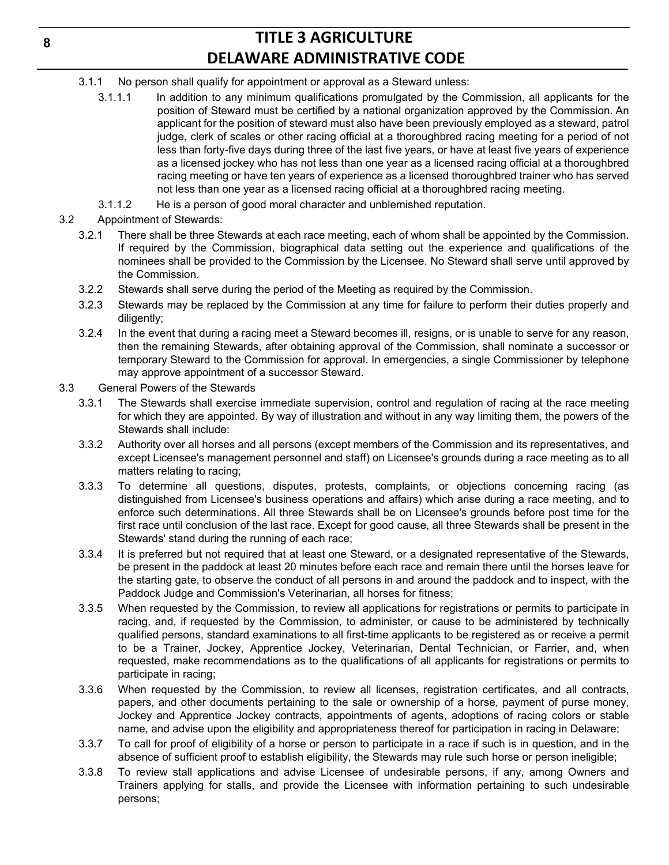- 3.1.1 No person shall qualify for appointment or approval as a Steward unless:
	- 3.1.1.1 In addition to any minimum qualifications promulgated by the Commission, all applicants for the position of Steward must be certified by a national organization approved by the Commission. An applicant for the position of steward must also have been previously employed as a steward, patrol judge, clerk of scales or other racing official at a thoroughbred racing meeting for a period of not less than forty-five days during three of the last five years, or have at least five years of experience as a licensed jockey who has not less than one year as a licensed racing official at a thoroughbred racing meeting or have ten years of experience as a licensed thoroughbred trainer who has served not less than one year as a licensed racing official at a thoroughbred racing meeting.
	- 3.1.1.2 He is a person of good moral character and unblemished reputation.
- 3.2 Appointment of Stewards:
	- 3.2.1 There shall be three Stewards at each race meeting, each of whom shall be appointed by the Commission. If required by the Commission, biographical data setting out the experience and qualifications of the nominees shall be provided to the Commission by the Licensee. No Steward shall serve until approved by the Commission.
	- 3.2.2 Stewards shall serve during the period of the Meeting as required by the Commission.
	- 3.2.3 Stewards may be replaced by the Commission at any time for failure to perform their duties properly and diligently;
	- 3.2.4 In the event that during a racing meet a Steward becomes ill, resigns, or is unable to serve for any reason, then the remaining Stewards, after obtaining approval of the Commission, shall nominate a successor or temporary Steward to the Commission for approval. In emergencies, a single Commissioner by telephone may approve appointment of a successor Steward.
- 3.3 General Powers of the Stewards
	- 3.3.1 The Stewards shall exercise immediate supervision, control and regulation of racing at the race meeting for which they are appointed. By way of illustration and without in any way limiting them, the powers of the Stewards shall include:
	- 3.3.2 Authority over all horses and all persons (except members of the Commission and its representatives, and except Licensee's management personnel and staff) on Licensee's grounds during a race meeting as to all matters relating to racing;
	- 3.3.3 To determine all questions, disputes, protests, complaints, or objections concerning racing (as distinguished from Licensee's business operations and affairs) which arise during a race meeting, and to enforce such determinations. All three Stewards shall be on Licensee's grounds before post time for the first race until conclusion of the last race. Except for good cause, all three Stewards shall be present in the Stewards' stand during the running of each race;
	- 3.3.4 It is preferred but not required that at least one Steward, or a designated representative of the Stewards, be present in the paddock at least 20 minutes before each race and remain there until the horses leave for the starting gate, to observe the conduct of all persons in and around the paddock and to inspect, with the Paddock Judge and Commission's Veterinarian, all horses for fitness;
	- 3.3.5 When requested by the Commission, to review all applications for registrations or permits to participate in racing, and, if requested by the Commission, to administer, or cause to be administered by technically qualified persons, standard examinations to all first-time applicants to be registered as or receive a permit to be a Trainer, Jockey, Apprentice Jockey, Veterinarian, Dental Technician, or Farrier, and, when requested, make recommendations as to the qualifications of all applicants for registrations or permits to participate in racing;
	- 3.3.6 When requested by the Commission, to review all licenses, registration certificates, and all contracts, papers, and other documents pertaining to the sale or ownership of a horse, payment of purse money, Jockey and Apprentice Jockey contracts, appointments of agents, adoptions of racing colors or stable name, and advise upon the eligibility and appropriateness thereof for participation in racing in Delaware;
	- 3.3.7 To call for proof of eligibility of a horse or person to participate in a race if such is in question, and in the absence of sufficient proof to establish eligibility, the Stewards may rule such horse or person ineligible;
	- 3.3.8 To review stall applications and advise Licensee of undesirable persons, if any, among Owners and Trainers applying for stalls, and provide the Licensee with information pertaining to such undesirable persons;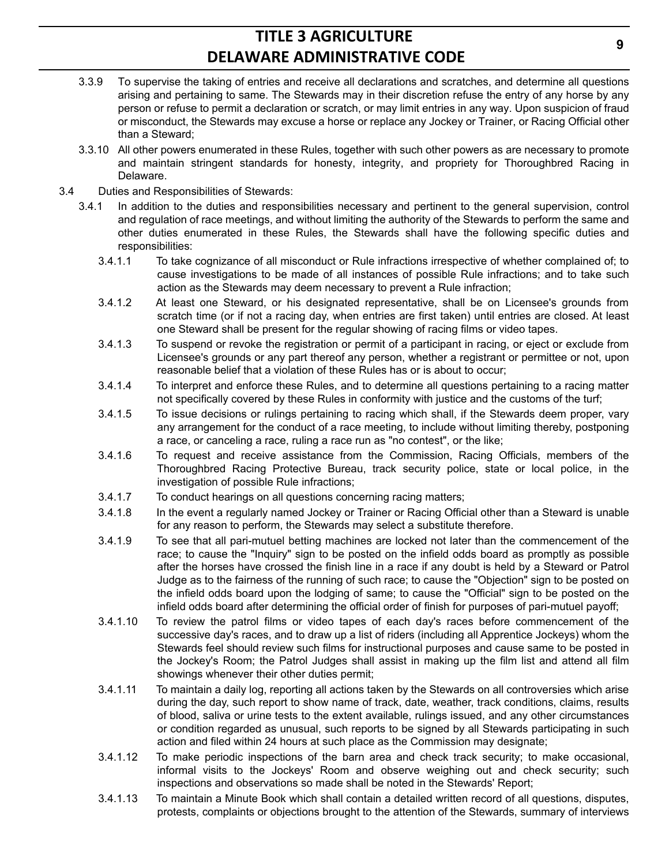- 3.3.9 To supervise the taking of entries and receive all declarations and scratches, and determine all questions arising and pertaining to same. The Stewards may in their discretion refuse the entry of any horse by any person or refuse to permit a declaration or scratch, or may limit entries in any way. Upon suspicion of fraud or misconduct, the Stewards may excuse a horse or replace any Jockey or Trainer, or Racing Official other than a Steward;
- 3.3.10 All other powers enumerated in these Rules, together with such other powers as are necessary to promote and maintain stringent standards for honesty, integrity, and propriety for Thoroughbred Racing in Delaware.
- 3.4 Duties and Responsibilities of Stewards:
	- 3.4.1 In addition to the duties and responsibilities necessary and pertinent to the general supervision, control and regulation of race meetings, and without limiting the authority of the Stewards to perform the same and other duties enumerated in these Rules, the Stewards shall have the following specific duties and responsibilities:
		- 3.4.1.1 To take cognizance of all misconduct or Rule infractions irrespective of whether complained of; to cause investigations to be made of all instances of possible Rule infractions; and to take such action as the Stewards may deem necessary to prevent a Rule infraction;
		- 3.4.1.2 At least one Steward, or his designated representative, shall be on Licensee's grounds from scratch time (or if not a racing day, when entries are first taken) until entries are closed. At least one Steward shall be present for the regular showing of racing films or video tapes.
		- 3.4.1.3 To suspend or revoke the registration or permit of a participant in racing, or eject or exclude from Licensee's grounds or any part thereof any person, whether a registrant or permittee or not, upon reasonable belief that a violation of these Rules has or is about to occur;
		- 3.4.1.4 To interpret and enforce these Rules, and to determine all questions pertaining to a racing matter not specifically covered by these Rules in conformity with justice and the customs of the turf;
		- 3.4.1.5 To issue decisions or rulings pertaining to racing which shall, if the Stewards deem proper, vary any arrangement for the conduct of a race meeting, to include without limiting thereby, postponing a race, or canceling a race, ruling a race run as "no contest", or the like;
		- 3.4.1.6 To request and receive assistance from the Commission, Racing Officials, members of the Thoroughbred Racing Protective Bureau, track security police, state or local police, in the investigation of possible Rule infractions;
		- 3.4.1.7 To conduct hearings on all questions concerning racing matters;
		- 3.4.1.8 In the event a regularly named Jockey or Trainer or Racing Official other than a Steward is unable for any reason to perform, the Stewards may select a substitute therefore.
		- 3.4.1.9 To see that all pari-mutuel betting machines are locked not later than the commencement of the race; to cause the "Inquiry" sign to be posted on the infield odds board as promptly as possible after the horses have crossed the finish line in a race if any doubt is held by a Steward or Patrol Judge as to the fairness of the running of such race; to cause the "Objection" sign to be posted on the infield odds board upon the lodging of same; to cause the "Official" sign to be posted on the infield odds board after determining the official order of finish for purposes of pari-mutuel payoff;
		- 3.4.1.10 To review the patrol films or video tapes of each day's races before commencement of the successive day's races, and to draw up a list of riders (including all Apprentice Jockeys) whom the Stewards feel should review such films for instructional purposes and cause same to be posted in the Jockey's Room; the Patrol Judges shall assist in making up the film list and attend all film showings whenever their other duties permit;
		- 3.4.1.11 To maintain a daily log, reporting all actions taken by the Stewards on all controversies which arise during the day, such report to show name of track, date, weather, track conditions, claims, results of blood, saliva or urine tests to the extent available, rulings issued, and any other circumstances or condition regarded as unusual, such reports to be signed by all Stewards participating in such action and filed within 24 hours at such place as the Commission may designate;
		- 3.4.1.12 To make periodic inspections of the barn area and check track security; to make occasional, informal visits to the Jockeys' Room and observe weighing out and check security; such inspections and observations so made shall be noted in the Stewards' Report;
		- 3.4.1.13 To maintain a Minute Book which shall contain a detailed written record of all questions, disputes, protests, complaints or objections brought to the attention of the Stewards, summary of interviews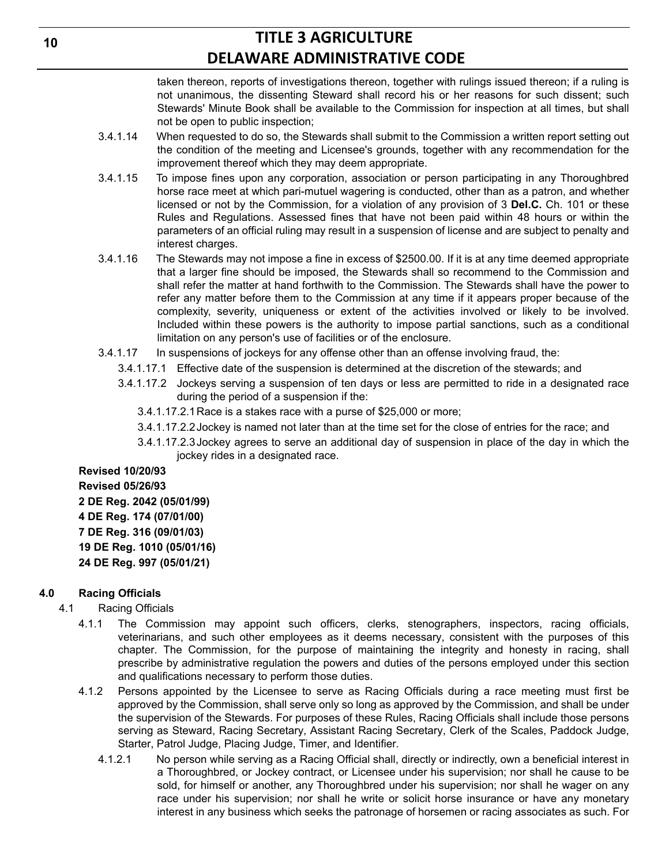taken thereon, reports of investigations thereon, together with rulings issued thereon; if a ruling is not unanimous, the dissenting Steward shall record his or her reasons for such dissent; such Stewards' Minute Book shall be available to the Commission for inspection at all times, but shall not be open to public inspection;

- 3.4.1.14 When requested to do so, the Stewards shall submit to the Commission a written report setting out the condition of the meeting and Licensee's grounds, together with any recommendation for the improvement thereof which they may deem appropriate.
- 3.4.1.15 To impose fines upon any corporation, association or person participating in any Thoroughbred horse race meet at which pari-mutuel wagering is conducted, other than as a patron, and whether licensed or not by the Commission, for a violation of any provision of 3 **Del.C.** Ch. 101 or these Rules and Regulations. Assessed fines that have not been paid within 48 hours or within the parameters of an official ruling may result in a suspension of license and are subject to penalty and interest charges.
- 3.4.1.16 The Stewards may not impose a fine in excess of \$2500.00. If it is at any time deemed appropriate that a larger fine should be imposed, the Stewards shall so recommend to the Commission and shall refer the matter at hand forthwith to the Commission. The Stewards shall have the power to refer any matter before them to the Commission at any time if it appears proper because of the complexity, severity, uniqueness or extent of the activities involved or likely to be involved. Included within these powers is the authority to impose partial sanctions, such as a conditional limitation on any person's use of facilities or of the enclosure.
- 3.4.1.17 In suspensions of jockeys for any offense other than an offense involving fraud, the:
	- 3.4.1.17.1 Effective date of the suspension is determined at the discretion of the stewards; and
	- 3.4.1.17.2 Jockeys serving a suspension of ten days or less are permitted to ride in a designated race during the period of a suspension if the:
		- 3.4.1.17.2.1Race is a stakes race with a purse of \$25,000 or more;
		- 3.4.1.17.2.2Jockey is named not later than at the time set for the close of entries for the race; and
		- 3.4.1.17.2.3Jockey agrees to serve an additional day of suspension in place of the day in which the jockey rides in a designated race.

**Revised 10/20/93 Revised 05/26/93 2 DE Reg. 2042 (05/01/99) 4 DE Reg. 174 (07/01/00) 7 DE Reg. 316 (09/01/03) 19 DE Reg. 1010 (05/01/16) 24 DE Reg. 997 (05/01/21)**

#### **4.0 Racing Officials**

- 4.1 Racing Officials
	- 4.1.1 The Commission may appoint such officers, clerks, stenographers, inspectors, racing officials, veterinarians, and such other employees as it deems necessary, consistent with the purposes of this chapter. The Commission, for the purpose of maintaining the integrity and honesty in racing, shall prescribe by administrative regulation the powers and duties of the persons employed under this section and qualifications necessary to perform those duties.
	- 4.1.2 Persons appointed by the Licensee to serve as Racing Officials during a race meeting must first be approved by the Commission, shall serve only so long as approved by the Commission, and shall be under the supervision of the Stewards. For purposes of these Rules, Racing Officials shall include those persons serving as Steward, Racing Secretary, Assistant Racing Secretary, Clerk of the Scales, Paddock Judge, Starter, Patrol Judge, Placing Judge, Timer, and Identifier.
		- 4.1.2.1 No person while serving as a Racing Official shall, directly or indirectly, own a beneficial interest in a Thoroughbred, or Jockey contract, or Licensee under his supervision; nor shall he cause to be sold, for himself or another, any Thoroughbred under his supervision; nor shall he wager on any race under his supervision; nor shall he write or solicit horse insurance or have any monetary interest in any business which seeks the patronage of horsemen or racing associates as such. For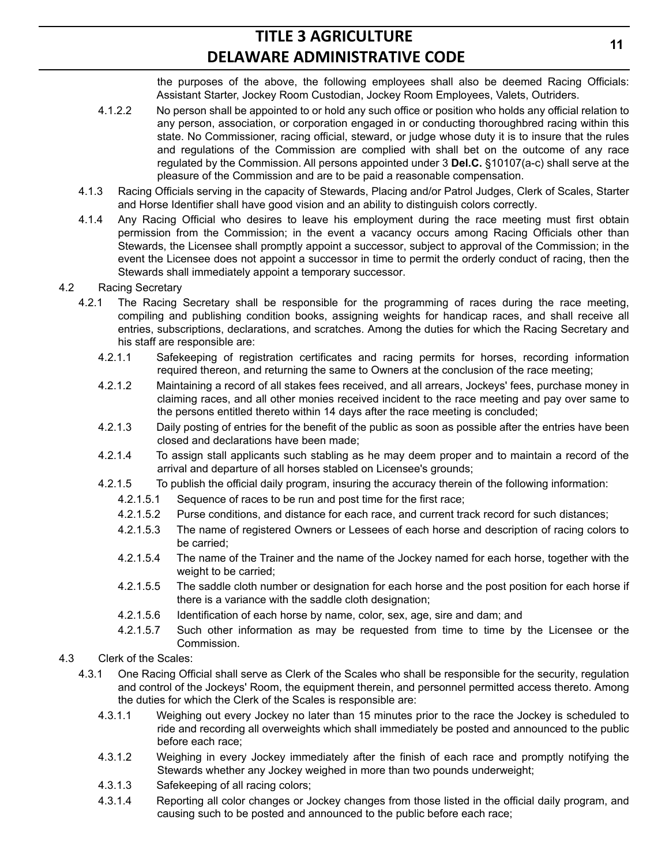the purposes of the above, the following employees shall also be deemed Racing Officials: Assistant Starter, Jockey Room Custodian, Jockey Room Employees, Valets, Outriders.

- 4.1.2.2 No person shall be appointed to or hold any such office or position who holds any official relation to any person, association, or corporation engaged in or conducting thoroughbred racing within this state. No Commissioner, racing official, steward, or judge whose duty it is to insure that the rules and regulations of the Commission are complied with shall bet on the outcome of any race regulated by the Commission. All persons appointed under 3 **Del.C.** §10107(a-c) shall serve at the pleasure of the Commission and are to be paid a reasonable compensation.
- 4.1.3 Racing Officials serving in the capacity of Stewards, Placing and/or Patrol Judges, Clerk of Scales, Starter and Horse Identifier shall have good vision and an ability to distinguish colors correctly.
- 4.1.4 Any Racing Official who desires to leave his employment during the race meeting must first obtain permission from the Commission; in the event a vacancy occurs among Racing Officials other than Stewards, the Licensee shall promptly appoint a successor, subject to approval of the Commission; in the event the Licensee does not appoint a successor in time to permit the orderly conduct of racing, then the Stewards shall immediately appoint a temporary successor.
- 4.2 Racing Secretary
	- 4.2.1 The Racing Secretary shall be responsible for the programming of races during the race meeting, compiling and publishing condition books, assigning weights for handicap races, and shall receive all entries, subscriptions, declarations, and scratches. Among the duties for which the Racing Secretary and his staff are responsible are:
		- 4.2.1.1 Safekeeping of registration certificates and racing permits for horses, recording information required thereon, and returning the same to Owners at the conclusion of the race meeting;
		- 4.2.1.2 Maintaining a record of all stakes fees received, and all arrears, Jockeys' fees, purchase money in claiming races, and all other monies received incident to the race meeting and pay over same to the persons entitled thereto within 14 days after the race meeting is concluded;
		- 4.2.1.3 Daily posting of entries for the benefit of the public as soon as possible after the entries have been closed and declarations have been made;
		- 4.2.1.4 To assign stall applicants such stabling as he may deem proper and to maintain a record of the arrival and departure of all horses stabled on Licensee's grounds;
		- 4.2.1.5 To publish the official daily program, insuring the accuracy therein of the following information:
			- 4.2.1.5.1 Sequence of races to be run and post time for the first race;
			- 4.2.1.5.2 Purse conditions, and distance for each race, and current track record for such distances;
			- 4.2.1.5.3 The name of registered Owners or Lessees of each horse and description of racing colors to be carried;
			- 4.2.1.5.4 The name of the Trainer and the name of the Jockey named for each horse, together with the weight to be carried;
			- 4.2.1.5.5 The saddle cloth number or designation for each horse and the post position for each horse if there is a variance with the saddle cloth designation;
			- 4.2.1.5.6 Identification of each horse by name, color, sex, age, sire and dam; and
			- 4.2.1.5.7 Such other information as may be requested from time to time by the Licensee or the Commission.
- 4.3 Clerk of the Scales:
	- 4.3.1 One Racing Official shall serve as Clerk of the Scales who shall be responsible for the security, regulation and control of the Jockeys' Room, the equipment therein, and personnel permitted access thereto. Among the duties for which the Clerk of the Scales is responsible are:
		- 4.3.1.1 Weighing out every Jockey no later than 15 minutes prior to the race the Jockey is scheduled to ride and recording all overweights which shall immediately be posted and announced to the public before each race;
		- 4.3.1.2 Weighing in every Jockey immediately after the finish of each race and promptly notifying the Stewards whether any Jockey weighed in more than two pounds underweight;
		- 4.3.1.3 Safekeeping of all racing colors;
		- 4.3.1.4 Reporting all color changes or Jockey changes from those listed in the official daily program, and causing such to be posted and announced to the public before each race;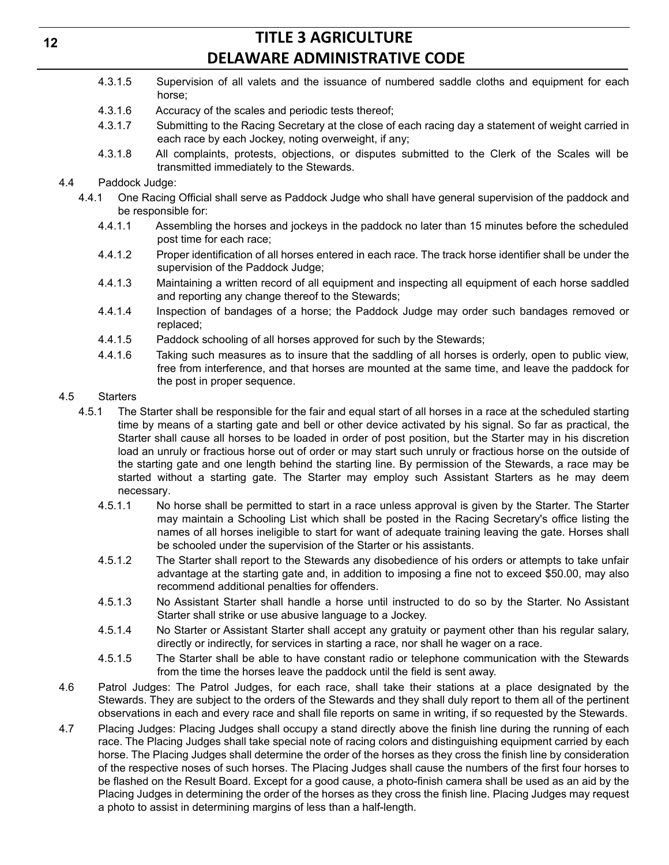- 4.3.1.5 Supervision of all valets and the issuance of numbered saddle cloths and equipment for each horse;
- 4.3.1.6 Accuracy of the scales and periodic tests thereof;
- 4.3.1.7 Submitting to the Racing Secretary at the close of each racing day a statement of weight carried in each race by each Jockey, noting overweight, if any;
- 4.3.1.8 All complaints, protests, objections, or disputes submitted to the Clerk of the Scales will be transmitted immediately to the Stewards.

### 4.4 Paddock Judge:

- 4.4.1 One Racing Official shall serve as Paddock Judge who shall have general supervision of the paddock and be responsible for:
	- 4.4.1.1 Assembling the horses and jockeys in the paddock no later than 15 minutes before the scheduled post time for each race;
	- 4.4.1.2 Proper identification of all horses entered in each race. The track horse identifier shall be under the supervision of the Paddock Judge;
	- 4.4.1.3 Maintaining a written record of all equipment and inspecting all equipment of each horse saddled and reporting any change thereof to the Stewards;
	- 4.4.1.4 Inspection of bandages of a horse; the Paddock Judge may order such bandages removed or replaced;
	- 4.4.1.5 Paddock schooling of all horses approved for such by the Stewards;
	- 4.4.1.6 Taking such measures as to insure that the saddling of all horses is orderly, open to public view, free from interference, and that horses are mounted at the same time, and leave the paddock for the post in proper sequence.

### 4.5 Starters

- 4.5.1 The Starter shall be responsible for the fair and equal start of all horses in a race at the scheduled starting time by means of a starting gate and bell or other device activated by his signal. So far as practical, the Starter shall cause all horses to be loaded in order of post position, but the Starter may in his discretion load an unruly or fractious horse out of order or may start such unruly or fractious horse on the outside of the starting gate and one length behind the starting line. By permission of the Stewards, a race may be started without a starting gate. The Starter may employ such Assistant Starters as he may deem necessary.
	- 4.5.1.1 No horse shall be permitted to start in a race unless approval is given by the Starter. The Starter may maintain a Schooling List which shall be posted in the Racing Secretary's office listing the names of all horses ineligible to start for want of adequate training leaving the gate. Horses shall be schooled under the supervision of the Starter or his assistants.
	- 4.5.1.2 The Starter shall report to the Stewards any disobedience of his orders or attempts to take unfair advantage at the starting gate and, in addition to imposing a fine not to exceed \$50.00, may also recommend additional penalties for offenders.
	- 4.5.1.3 No Assistant Starter shall handle a horse until instructed to do so by the Starter. No Assistant Starter shall strike or use abusive language to a Jockey.
	- 4.5.1.4 No Starter or Assistant Starter shall accept any gratuity or payment other than his regular salary, directly or indirectly, for services in starting a race, nor shall he wager on a race.
	- 4.5.1.5 The Starter shall be able to have constant radio or telephone communication with the Stewards from the time the horses leave the paddock until the field is sent away.
- 4.6 Patrol Judges: The Patrol Judges, for each race, shall take their stations at a place designated by the Stewards. They are subject to the orders of the Stewards and they shall duly report to them all of the pertinent observations in each and every race and shall file reports on same in writing, if so requested by the Stewards.
- 4.7 Placing Judges: Placing Judges shall occupy a stand directly above the finish line during the running of each race. The Placing Judges shall take special note of racing colors and distinguishing equipment carried by each horse. The Placing Judges shall determine the order of the horses as they cross the finish line by consideration of the respective noses of such horses. The Placing Judges shall cause the numbers of the first four horses to be flashed on the Result Board. Except for a good cause, a photo-finish camera shall be used as an aid by the Placing Judges in determining the order of the horses as they cross the finish line. Placing Judges may request a photo to assist in determining margins of less than a half-length.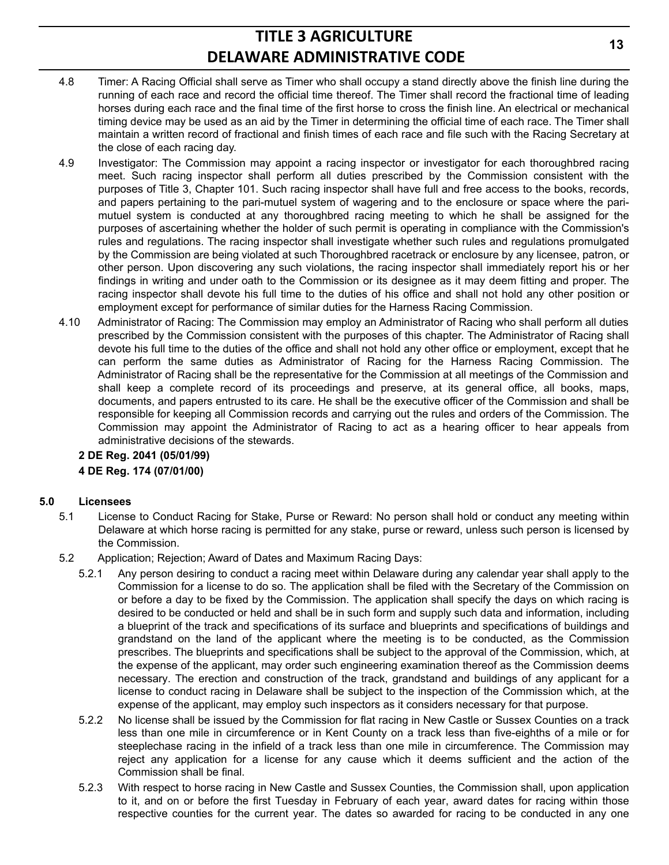- 4.8 Timer: A Racing Official shall serve as Timer who shall occupy a stand directly above the finish line during the running of each race and record the official time thereof. The Timer shall record the fractional time of leading horses during each race and the final time of the first horse to cross the finish line. An electrical or mechanical timing device may be used as an aid by the Timer in determining the official time of each race. The Timer shall maintain a written record of fractional and finish times of each race and file such with the Racing Secretary at the close of each racing day.
- 4.9 Investigator: The Commission may appoint a racing inspector or investigator for each thoroughbred racing meet. Such racing inspector shall perform all duties prescribed by the Commission consistent with the purposes of Title 3, Chapter 101. Such racing inspector shall have full and free access to the books, records, and papers pertaining to the pari-mutuel system of wagering and to the enclosure or space where the parimutuel system is conducted at any thoroughbred racing meeting to which he shall be assigned for the purposes of ascertaining whether the holder of such permit is operating in compliance with the Commission's rules and regulations. The racing inspector shall investigate whether such rules and regulations promulgated by the Commission are being violated at such Thoroughbred racetrack or enclosure by any licensee, patron, or other person. Upon discovering any such violations, the racing inspector shall immediately report his or her findings in writing and under oath to the Commission or its designee as it may deem fitting and proper. The racing inspector shall devote his full time to the duties of his office and shall not hold any other position or employment except for performance of similar duties for the Harness Racing Commission.
- 4.10 Administrator of Racing: The Commission may employ an Administrator of Racing who shall perform all duties prescribed by the Commission consistent with the purposes of this chapter. The Administrator of Racing shall devote his full time to the duties of the office and shall not hold any other office or employment, except that he can perform the same duties as Administrator of Racing for the Harness Racing Commission. The Administrator of Racing shall be the representative for the Commission at all meetings of the Commission and shall keep a complete record of its proceedings and preserve, at its general office, all books, maps, documents, and papers entrusted to its care. He shall be the executive officer of the Commission and shall be responsible for keeping all Commission records and carrying out the rules and orders of the Commission. The Commission may appoint the Administrator of Racing to act as a hearing officer to hear appeals from administrative decisions of the stewards.

# **2 DE Reg. 2041 (05/01/99)**

### **4 DE Reg. 174 (07/01/00)**

### **5.0 Licensees**

- 5.1 License to Conduct Racing for Stake, Purse or Reward: No person shall hold or conduct any meeting within Delaware at which horse racing is permitted for any stake, purse or reward, unless such person is licensed by the Commission.
- 5.2 Application; Rejection; Award of Dates and Maximum Racing Days:
	- 5.2.1 Any person desiring to conduct a racing meet within Delaware during any calendar year shall apply to the Commission for a license to do so. The application shall be filed with the Secretary of the Commission on or before a day to be fixed by the Commission. The application shall specify the days on which racing is desired to be conducted or held and shall be in such form and supply such data and information, including a blueprint of the track and specifications of its surface and blueprints and specifications of buildings and grandstand on the land of the applicant where the meeting is to be conducted, as the Commission prescribes. The blueprints and specifications shall be subject to the approval of the Commission, which, at the expense of the applicant, may order such engineering examination thereof as the Commission deems necessary. The erection and construction of the track, grandstand and buildings of any applicant for a license to conduct racing in Delaware shall be subject to the inspection of the Commission which, at the expense of the applicant, may employ such inspectors as it considers necessary for that purpose.
	- 5.2.2 No license shall be issued by the Commission for flat racing in New Castle or Sussex Counties on a track less than one mile in circumference or in Kent County on a track less than five-eighths of a mile or for steeplechase racing in the infield of a track less than one mile in circumference. The Commission may reject any application for a license for any cause which it deems sufficient and the action of the Commission shall be final.
	- 5.2.3 With respect to horse racing in New Castle and Sussex Counties, the Commission shall, upon application to it, and on or before the first Tuesday in February of each year, award dates for racing within those respective counties for the current year. The dates so awarded for racing to be conducted in any one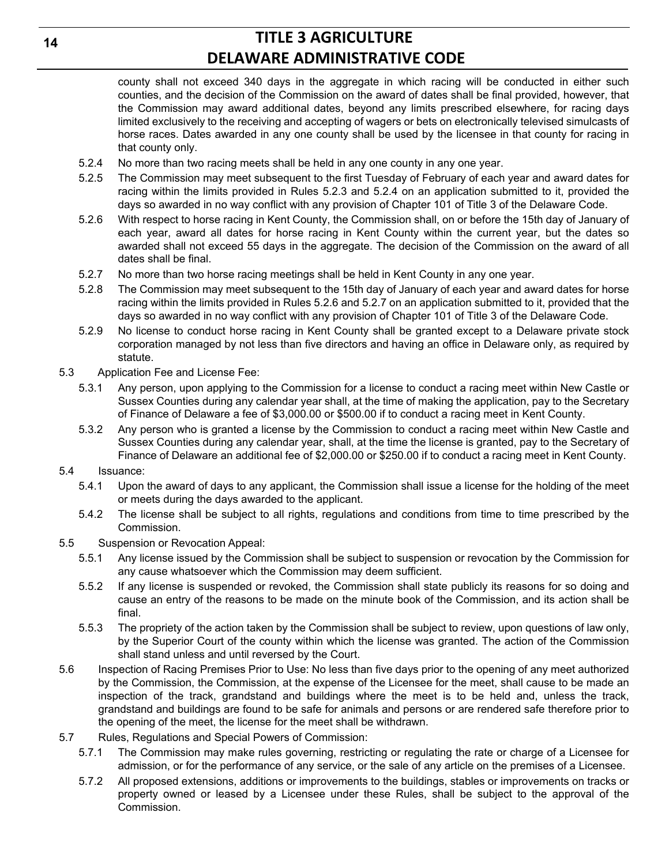county shall not exceed 340 days in the aggregate in which racing will be conducted in either such counties, and the decision of the Commission on the award of dates shall be final provided, however, that the Commission may award additional dates, beyond any limits prescribed elsewhere, for racing days limited exclusively to the receiving and accepting of wagers or bets on electronically televised simulcasts of horse races. Dates awarded in any one county shall be used by the licensee in that county for racing in that county only.

- 5.2.4 No more than two racing meets shall be held in any one county in any one year.
- 5.2.5 The Commission may meet subsequent to the first Tuesday of February of each year and award dates for racing within the limits provided in Rules 5.2.3 and 5.2.4 on an application submitted to it, provided the days so awarded in no way conflict with any provision of Chapter 101 of Title 3 of the Delaware Code.
- 5.2.6 With respect to horse racing in Kent County, the Commission shall, on or before the 15th day of January of each year, award all dates for horse racing in Kent County within the current year, but the dates so awarded shall not exceed 55 days in the aggregate. The decision of the Commission on the award of all dates shall be final.
- 5.2.7 No more than two horse racing meetings shall be held in Kent County in any one year.
- 5.2.8 The Commission may meet subsequent to the 15th day of January of each year and award dates for horse racing within the limits provided in Rules 5.2.6 and 5.2.7 on an application submitted to it, provided that the days so awarded in no way conflict with any provision of Chapter 101 of Title 3 of the Delaware Code.
- 5.2.9 No license to conduct horse racing in Kent County shall be granted except to a Delaware private stock corporation managed by not less than five directors and having an office in Delaware only, as required by statute.
- 5.3 Application Fee and License Fee:
	- 5.3.1 Any person, upon applying to the Commission for a license to conduct a racing meet within New Castle or Sussex Counties during any calendar year shall, at the time of making the application, pay to the Secretary of Finance of Delaware a fee of \$3,000.00 or \$500.00 if to conduct a racing meet in Kent County.
	- 5.3.2 Any person who is granted a license by the Commission to conduct a racing meet within New Castle and Sussex Counties during any calendar year, shall, at the time the license is granted, pay to the Secretary of Finance of Delaware an additional fee of \$2,000.00 or \$250.00 if to conduct a racing meet in Kent County.
- 5.4 Issuance:
	- 5.4.1 Upon the award of days to any applicant, the Commission shall issue a license for the holding of the meet or meets during the days awarded to the applicant.
	- 5.4.2 The license shall be subject to all rights, regulations and conditions from time to time prescribed by the Commission.
- 5.5 Suspension or Revocation Appeal:
	- 5.5.1 Any license issued by the Commission shall be subject to suspension or revocation by the Commission for any cause whatsoever which the Commission may deem sufficient.
	- 5.5.2 If any license is suspended or revoked, the Commission shall state publicly its reasons for so doing and cause an entry of the reasons to be made on the minute book of the Commission, and its action shall be final.
	- 5.5.3 The propriety of the action taken by the Commission shall be subject to review, upon questions of law only, by the Superior Court of the county within which the license was granted. The action of the Commission shall stand unless and until reversed by the Court.
- 5.6 Inspection of Racing Premises Prior to Use: No less than five days prior to the opening of any meet authorized by the Commission, the Commission, at the expense of the Licensee for the meet, shall cause to be made an inspection of the track, grandstand and buildings where the meet is to be held and, unless the track, grandstand and buildings are found to be safe for animals and persons or are rendered safe therefore prior to the opening of the meet, the license for the meet shall be withdrawn.
- 5.7 Rules, Regulations and Special Powers of Commission:
	- 5.7.1 The Commission may make rules governing, restricting or regulating the rate or charge of a Licensee for admission, or for the performance of any service, or the sale of any article on the premises of a Licensee.
	- 5.7.2 All proposed extensions, additions or improvements to the buildings, stables or improvements on tracks or property owned or leased by a Licensee under these Rules, shall be subject to the approval of the Commission.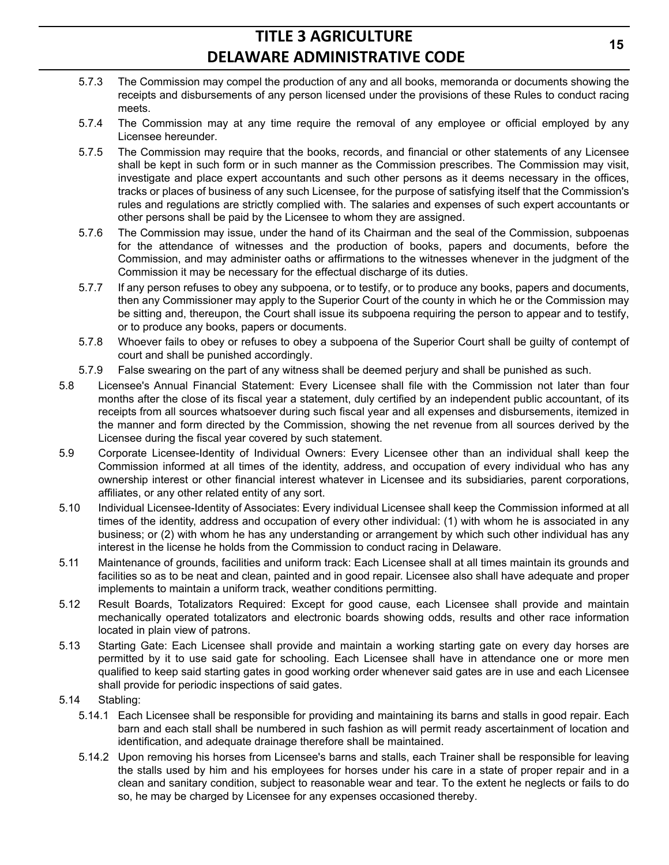- 5.7.3 The Commission may compel the production of any and all books, memoranda or documents showing the receipts and disbursements of any person licensed under the provisions of these Rules to conduct racing meets.
- 5.7.4 The Commission may at any time require the removal of any employee or official employed by any Licensee hereunder.
- 5.7.5 The Commission may require that the books, records, and financial or other statements of any Licensee shall be kept in such form or in such manner as the Commission prescribes. The Commission may visit, investigate and place expert accountants and such other persons as it deems necessary in the offices, tracks or places of business of any such Licensee, for the purpose of satisfying itself that the Commission's rules and regulations are strictly complied with. The salaries and expenses of such expert accountants or other persons shall be paid by the Licensee to whom they are assigned.
- 5.7.6 The Commission may issue, under the hand of its Chairman and the seal of the Commission, subpoenas for the attendance of witnesses and the production of books, papers and documents, before the Commission, and may administer oaths or affirmations to the witnesses whenever in the judgment of the Commission it may be necessary for the effectual discharge of its duties.
- 5.7.7 If any person refuses to obey any subpoena, or to testify, or to produce any books, papers and documents, then any Commissioner may apply to the Superior Court of the county in which he or the Commission may be sitting and, thereupon, the Court shall issue its subpoena requiring the person to appear and to testify, or to produce any books, papers or documents.
- 5.7.8 Whoever fails to obey or refuses to obey a subpoena of the Superior Court shall be guilty of contempt of court and shall be punished accordingly.
- 5.7.9 False swearing on the part of any witness shall be deemed perjury and shall be punished as such.
- 5.8 Licensee's Annual Financial Statement: Every Licensee shall file with the Commission not later than four months after the close of its fiscal year a statement, duly certified by an independent public accountant, of its receipts from all sources whatsoever during such fiscal year and all expenses and disbursements, itemized in the manner and form directed by the Commission, showing the net revenue from all sources derived by the Licensee during the fiscal year covered by such statement.
- 5.9 Corporate Licensee-Identity of Individual Owners: Every Licensee other than an individual shall keep the Commission informed at all times of the identity, address, and occupation of every individual who has any ownership interest or other financial interest whatever in Licensee and its subsidiaries, parent corporations, affiliates, or any other related entity of any sort.
- 5.10 Individual Licensee-Identity of Associates: Every individual Licensee shall keep the Commission informed at all times of the identity, address and occupation of every other individual: (1) with whom he is associated in any business; or (2) with whom he has any understanding or arrangement by which such other individual has any interest in the license he holds from the Commission to conduct racing in Delaware.
- 5.11 Maintenance of grounds, facilities and uniform track: Each Licensee shall at all times maintain its grounds and facilities so as to be neat and clean, painted and in good repair. Licensee also shall have adequate and proper implements to maintain a uniform track, weather conditions permitting.
- 5.12 Result Boards, Totalizators Required: Except for good cause, each Licensee shall provide and maintain mechanically operated totalizators and electronic boards showing odds, results and other race information located in plain view of patrons.
- 5.13 Starting Gate: Each Licensee shall provide and maintain a working starting gate on every day horses are permitted by it to use said gate for schooling. Each Licensee shall have in attendance one or more men qualified to keep said starting gates in good working order whenever said gates are in use and each Licensee shall provide for periodic inspections of said gates.
- 5.14 Stabling:
	- 5.14.1 Each Licensee shall be responsible for providing and maintaining its barns and stalls in good repair. Each barn and each stall shall be numbered in such fashion as will permit ready ascertainment of location and identification, and adequate drainage therefore shall be maintained.
	- 5.14.2 Upon removing his horses from Licensee's barns and stalls, each Trainer shall be responsible for leaving the stalls used by him and his employees for horses under his care in a state of proper repair and in a clean and sanitary condition, subject to reasonable wear and tear. To the extent he neglects or fails to do so, he may be charged by Licensee for any expenses occasioned thereby.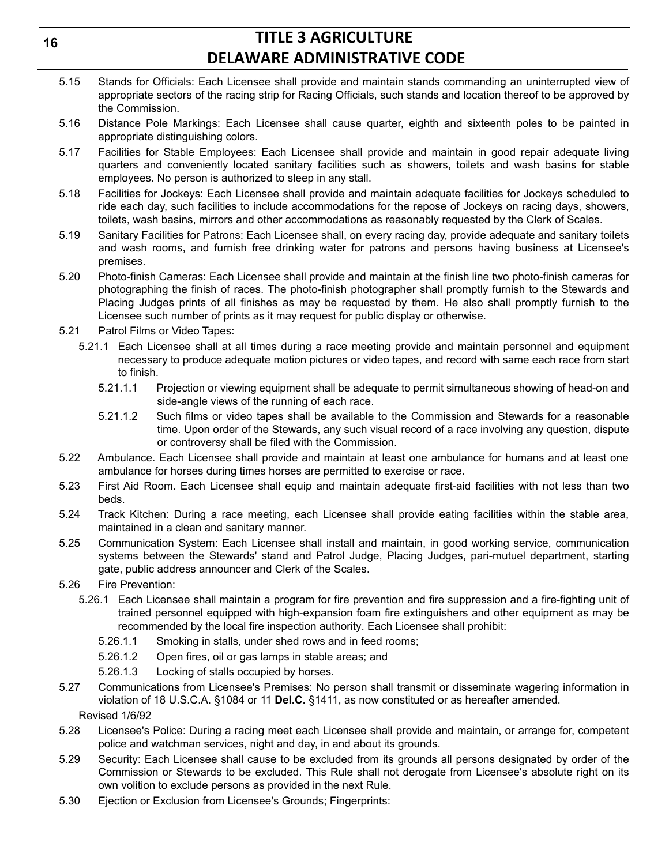- 5.15 Stands for Officials: Each Licensee shall provide and maintain stands commanding an uninterrupted view of appropriate sectors of the racing strip for Racing Officials, such stands and location thereof to be approved by the Commission.
- 5.16 Distance Pole Markings: Each Licensee shall cause quarter, eighth and sixteenth poles to be painted in appropriate distinguishing colors.
- 5.17 Facilities for Stable Employees: Each Licensee shall provide and maintain in good repair adequate living quarters and conveniently located sanitary facilities such as showers, toilets and wash basins for stable employees. No person is authorized to sleep in any stall.
- 5.18 Facilities for Jockeys: Each Licensee shall provide and maintain adequate facilities for Jockeys scheduled to ride each day, such facilities to include accommodations for the repose of Jockeys on racing days, showers, toilets, wash basins, mirrors and other accommodations as reasonably requested by the Clerk of Scales.
- 5.19 Sanitary Facilities for Patrons: Each Licensee shall, on every racing day, provide adequate and sanitary toilets and wash rooms, and furnish free drinking water for patrons and persons having business at Licensee's premises.
- 5.20 Photo-finish Cameras: Each Licensee shall provide and maintain at the finish line two photo-finish cameras for photographing the finish of races. The photo-finish photographer shall promptly furnish to the Stewards and Placing Judges prints of all finishes as may be requested by them. He also shall promptly furnish to the Licensee such number of prints as it may request for public display or otherwise.
- 5.21 Patrol Films or Video Tapes:
	- 5.21.1 Each Licensee shall at all times during a race meeting provide and maintain personnel and equipment necessary to produce adequate motion pictures or video tapes, and record with same each race from start to finish.
		- 5.21.1.1 Projection or viewing equipment shall be adequate to permit simultaneous showing of head-on and side-angle views of the running of each race.
		- 5.21.1.2 Such films or video tapes shall be available to the Commission and Stewards for a reasonable time. Upon order of the Stewards, any such visual record of a race involving any question, dispute or controversy shall be filed with the Commission.
- 5.22 Ambulance. Each Licensee shall provide and maintain at least one ambulance for humans and at least one ambulance for horses during times horses are permitted to exercise or race.
- 5.23 First Aid Room. Each Licensee shall equip and maintain adequate first-aid facilities with not less than two beds.
- 5.24 Track Kitchen: During a race meeting, each Licensee shall provide eating facilities within the stable area, maintained in a clean and sanitary manner.
- 5.25 Communication System: Each Licensee shall install and maintain, in good working service, communication systems between the Stewards' stand and Patrol Judge, Placing Judges, pari-mutuel department, starting gate, public address announcer and Clerk of the Scales.
- 5.26 Fire Prevention:
	- 5.26.1 Each Licensee shall maintain a program for fire prevention and fire suppression and a fire-fighting unit of trained personnel equipped with high-expansion foam fire extinguishers and other equipment as may be recommended by the local fire inspection authority. Each Licensee shall prohibit:
		- 5.26.1.1 Smoking in stalls, under shed rows and in feed rooms;
		- 5.26.1.2 Open fires, oil or gas lamps in stable areas; and
		- 5.26.1.3 Locking of stalls occupied by horses.
- 5.27 Communications from Licensee's Premises: No person shall transmit or disseminate wagering information in violation of 18 U.S.C.A. §1084 or 11 **Del.C.** §1411, as now constituted or as hereafter amended. Revised 1/6/92
- 5.28 Licensee's Police: During a racing meet each Licensee shall provide and maintain, or arrange for, competent police and watchman services, night and day, in and about its grounds.
- 5.29 Security: Each Licensee shall cause to be excluded from its grounds all persons designated by order of the Commission or Stewards to be excluded. This Rule shall not derogate from Licensee's absolute right on its own volition to exclude persons as provided in the next Rule.
- 5.30 Ejection or Exclusion from Licensee's Grounds; Fingerprints: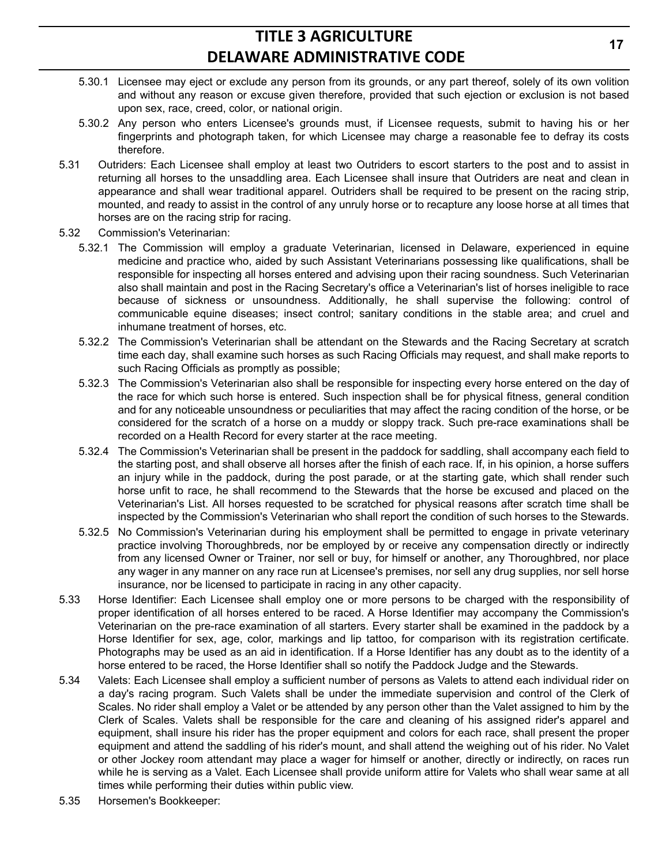- 5.30.1 Licensee may eject or exclude any person from its grounds, or any part thereof, solely of its own volition and without any reason or excuse given therefore, provided that such ejection or exclusion is not based upon sex, race, creed, color, or national origin.
- 5.30.2 Any person who enters Licensee's grounds must, if Licensee requests, submit to having his or her fingerprints and photograph taken, for which Licensee may charge a reasonable fee to defray its costs therefore.
- 5.31 Outriders: Each Licensee shall employ at least two Outriders to escort starters to the post and to assist in returning all horses to the unsaddling area. Each Licensee shall insure that Outriders are neat and clean in appearance and shall wear traditional apparel. Outriders shall be required to be present on the racing strip, mounted, and ready to assist in the control of any unruly horse or to recapture any loose horse at all times that horses are on the racing strip for racing.
- 5.32 Commission's Veterinarian:
	- 5.32.1 The Commission will employ a graduate Veterinarian, licensed in Delaware, experienced in equine medicine and practice who, aided by such Assistant Veterinarians possessing like qualifications, shall be responsible for inspecting all horses entered and advising upon their racing soundness. Such Veterinarian also shall maintain and post in the Racing Secretary's office a Veterinarian's list of horses ineligible to race because of sickness or unsoundness. Additionally, he shall supervise the following: control of communicable equine diseases; insect control; sanitary conditions in the stable area; and cruel and inhumane treatment of horses, etc.
	- 5.32.2 The Commission's Veterinarian shall be attendant on the Stewards and the Racing Secretary at scratch time each day, shall examine such horses as such Racing Officials may request, and shall make reports to such Racing Officials as promptly as possible;
	- 5.32.3 The Commission's Veterinarian also shall be responsible for inspecting every horse entered on the day of the race for which such horse is entered. Such inspection shall be for physical fitness, general condition and for any noticeable unsoundness or peculiarities that may affect the racing condition of the horse, or be considered for the scratch of a horse on a muddy or sloppy track. Such pre-race examinations shall be recorded on a Health Record for every starter at the race meeting.
	- 5.32.4 The Commission's Veterinarian shall be present in the paddock for saddling, shall accompany each field to the starting post, and shall observe all horses after the finish of each race. If, in his opinion, a horse suffers an injury while in the paddock, during the post parade, or at the starting gate, which shall render such horse unfit to race, he shall recommend to the Stewards that the horse be excused and placed on the Veterinarian's List. All horses requested to be scratched for physical reasons after scratch time shall be inspected by the Commission's Veterinarian who shall report the condition of such horses to the Stewards.
	- 5.32.5 No Commission's Veterinarian during his employment shall be permitted to engage in private veterinary practice involving Thoroughbreds, nor be employed by or receive any compensation directly or indirectly from any licensed Owner or Trainer, nor sell or buy, for himself or another, any Thoroughbred, nor place any wager in any manner on any race run at Licensee's premises, nor sell any drug supplies, nor sell horse insurance, nor be licensed to participate in racing in any other capacity.
- 5.33 Horse Identifier: Each Licensee shall employ one or more persons to be charged with the responsibility of proper identification of all horses entered to be raced. A Horse Identifier may accompany the Commission's Veterinarian on the pre-race examination of all starters. Every starter shall be examined in the paddock by a Horse Identifier for sex, age, color, markings and lip tattoo, for comparison with its registration certificate. Photographs may be used as an aid in identification. If a Horse Identifier has any doubt as to the identity of a horse entered to be raced, the Horse Identifier shall so notify the Paddock Judge and the Stewards.
- 5.34 Valets: Each Licensee shall employ a sufficient number of persons as Valets to attend each individual rider on a day's racing program. Such Valets shall be under the immediate supervision and control of the Clerk of Scales. No rider shall employ a Valet or be attended by any person other than the Valet assigned to him by the Clerk of Scales. Valets shall be responsible for the care and cleaning of his assigned rider's apparel and equipment, shall insure his rider has the proper equipment and colors for each race, shall present the proper equipment and attend the saddling of his rider's mount, and shall attend the weighing out of his rider. No Valet or other Jockey room attendant may place a wager for himself or another, directly or indirectly, on races run while he is serving as a Valet. Each Licensee shall provide uniform attire for Valets who shall wear same at all times while performing their duties within public view.
- 5.35 Horsemen's Bookkeeper: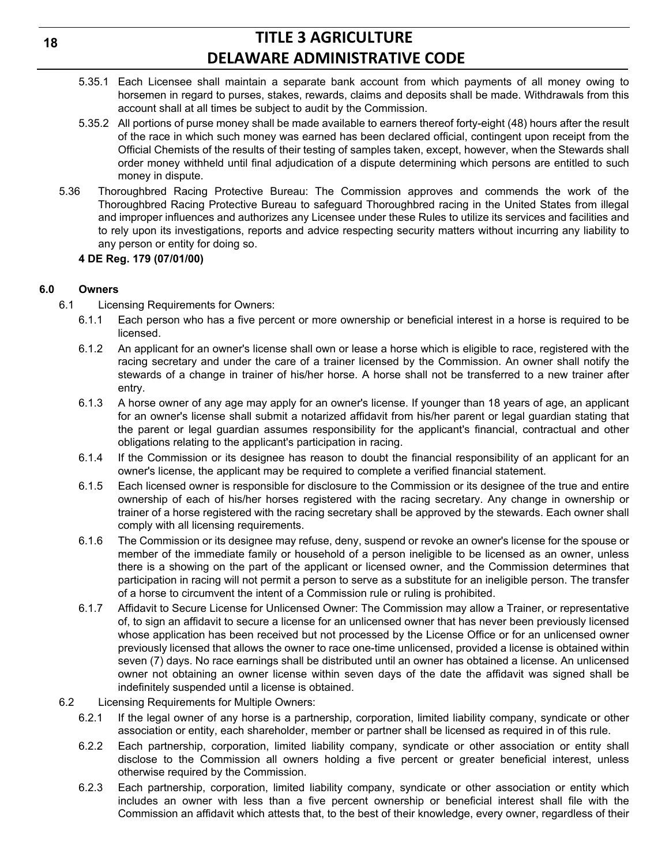- 5.35.1 Each Licensee shall maintain a separate bank account from which payments of all money owing to horsemen in regard to purses, stakes, rewards, claims and deposits shall be made. Withdrawals from this account shall at all times be subject to audit by the Commission.
- 5.35.2 All portions of purse money shall be made available to earners thereof forty-eight (48) hours after the result of the race in which such money was earned has been declared official, contingent upon receipt from the Official Chemists of the results of their testing of samples taken, except, however, when the Stewards shall order money withheld until final adjudication of a dispute determining which persons are entitled to such money in dispute.
- 5.36 Thoroughbred Racing Protective Bureau: The Commission approves and commends the work of the Thoroughbred Racing Protective Bureau to safeguard Thoroughbred racing in the United States from illegal and improper influences and authorizes any Licensee under these Rules to utilize its services and facilities and to rely upon its investigations, reports and advice respecting security matters without incurring any liability to any person or entity for doing so.

#### **4 DE Reg. 179 (07/01/00)**

#### **6.0 Owners**

- 6.1 Licensing Requirements for Owners:
	- 6.1.1 Each person who has a five percent or more ownership or beneficial interest in a horse is required to be licensed.
	- 6.1.2 An applicant for an owner's license shall own or lease a horse which is eligible to race, registered with the racing secretary and under the care of a trainer licensed by the Commission. An owner shall notify the stewards of a change in trainer of his/her horse. A horse shall not be transferred to a new trainer after entry.
	- 6.1.3 A horse owner of any age may apply for an owner's license. If younger than 18 years of age, an applicant for an owner's license shall submit a notarized affidavit from his/her parent or legal guardian stating that the parent or legal guardian assumes responsibility for the applicant's financial, contractual and other obligations relating to the applicant's participation in racing.
	- 6.1.4 If the Commission or its designee has reason to doubt the financial responsibility of an applicant for an owner's license, the applicant may be required to complete a verified financial statement.
	- 6.1.5 Each licensed owner is responsible for disclosure to the Commission or its designee of the true and entire ownership of each of his/her horses registered with the racing secretary. Any change in ownership or trainer of a horse registered with the racing secretary shall be approved by the stewards. Each owner shall comply with all licensing requirements.
	- 6.1.6 The Commission or its designee may refuse, deny, suspend or revoke an owner's license for the spouse or member of the immediate family or household of a person ineligible to be licensed as an owner, unless there is a showing on the part of the applicant or licensed owner, and the Commission determines that participation in racing will not permit a person to serve as a substitute for an ineligible person. The transfer of a horse to circumvent the intent of a Commission rule or ruling is prohibited.
	- 6.1.7 Affidavit to Secure License for Unlicensed Owner: The Commission may allow a Trainer, or representative of, to sign an affidavit to secure a license for an unlicensed owner that has never been previously licensed whose application has been received but not processed by the License Office or for an unlicensed owner previously licensed that allows the owner to race one-time unlicensed, provided a license is obtained within seven (7) days. No race earnings shall be distributed until an owner has obtained a license. An unlicensed owner not obtaining an owner license within seven days of the date the affidavit was signed shall be indefinitely suspended until a license is obtained.
- 6.2 Licensing Requirements for Multiple Owners:
	- 6.2.1 If the legal owner of any horse is a partnership, corporation, limited liability company, syndicate or other association or entity, each shareholder, member or partner shall be licensed as required in of this rule.
	- 6.2.2 Each partnership, corporation, limited liability company, syndicate or other association or entity shall disclose to the Commission all owners holding a five percent or greater beneficial interest, unless otherwise required by the Commission.
	- 6.2.3 Each partnership, corporation, limited liability company, syndicate or other association or entity which includes an owner with less than a five percent ownership or beneficial interest shall file with the Commission an affidavit which attests that, to the best of their knowledge, every owner, regardless of their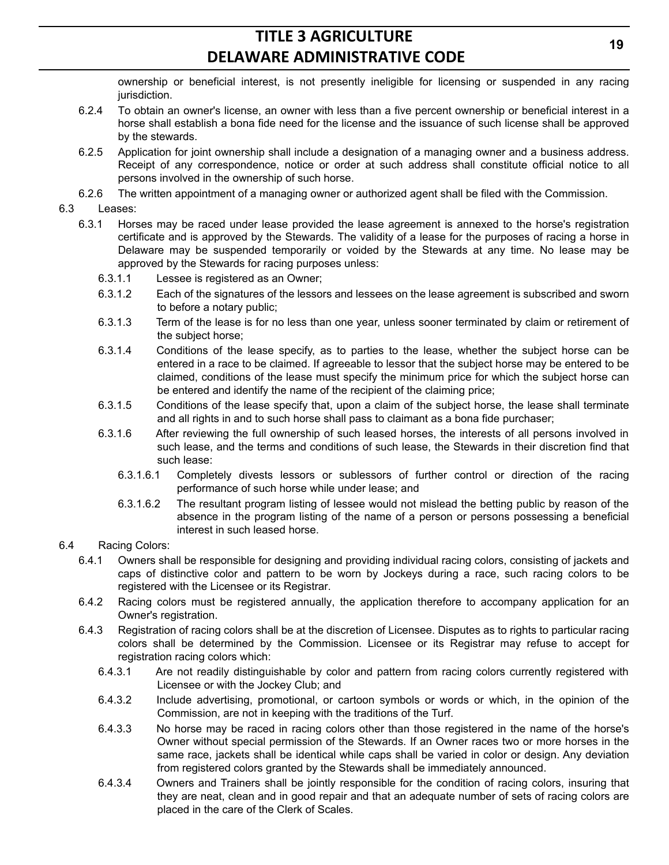ownership or beneficial interest, is not presently ineligible for licensing or suspended in any racing jurisdiction.

- 6.2.4 To obtain an owner's license, an owner with less than a five percent ownership or beneficial interest in a horse shall establish a bona fide need for the license and the issuance of such license shall be approved by the stewards.
- 6.2.5 Application for joint ownership shall include a designation of a managing owner and a business address. Receipt of any correspondence, notice or order at such address shall constitute official notice to all persons involved in the ownership of such horse.
- 6.2.6 The written appointment of a managing owner or authorized agent shall be filed with the Commission.

#### 6.3 Leases:

- 6.3.1 Horses may be raced under lease provided the lease agreement is annexed to the horse's registration certificate and is approved by the Stewards. The validity of a lease for the purposes of racing a horse in Delaware may be suspended temporarily or voided by the Stewards at any time. No lease may be approved by the Stewards for racing purposes unless:
	- 6.3.1.1 Lessee is registered as an Owner;
	- 6.3.1.2 Each of the signatures of the lessors and lessees on the lease agreement is subscribed and sworn to before a notary public;
	- 6.3.1.3 Term of the lease is for no less than one year, unless sooner terminated by claim or retirement of the subject horse;
	- 6.3.1.4 Conditions of the lease specify, as to parties to the lease, whether the subject horse can be entered in a race to be claimed. If agreeable to lessor that the subject horse may be entered to be claimed, conditions of the lease must specify the minimum price for which the subject horse can be entered and identify the name of the recipient of the claiming price;
	- 6.3.1.5 Conditions of the lease specify that, upon a claim of the subject horse, the lease shall terminate and all rights in and to such horse shall pass to claimant as a bona fide purchaser;
	- 6.3.1.6 After reviewing the full ownership of such leased horses, the interests of all persons involved in such lease, and the terms and conditions of such lease, the Stewards in their discretion find that such lease:
		- 6.3.1.6.1 Completely divests lessors or sublessors of further control or direction of the racing performance of such horse while under lease; and
		- 6.3.1.6.2 The resultant program listing of lessee would not mislead the betting public by reason of the absence in the program listing of the name of a person or persons possessing a beneficial interest in such leased horse.

#### 6.4 Racing Colors:

- 6.4.1 Owners shall be responsible for designing and providing individual racing colors, consisting of jackets and caps of distinctive color and pattern to be worn by Jockeys during a race, such racing colors to be registered with the Licensee or its Registrar.
- 6.4.2 Racing colors must be registered annually, the application therefore to accompany application for an Owner's registration.
- 6.4.3 Registration of racing colors shall be at the discretion of Licensee. Disputes as to rights to particular racing colors shall be determined by the Commission. Licensee or its Registrar may refuse to accept for registration racing colors which:
	- 6.4.3.1 Are not readily distinguishable by color and pattern from racing colors currently registered with Licensee or with the Jockey Club; and
	- 6.4.3.2 Include advertising, promotional, or cartoon symbols or words or which, in the opinion of the Commission, are not in keeping with the traditions of the Turf.
	- 6.4.3.3 No horse may be raced in racing colors other than those registered in the name of the horse's Owner without special permission of the Stewards. If an Owner races two or more horses in the same race, jackets shall be identical while caps shall be varied in color or design. Any deviation from registered colors granted by the Stewards shall be immediately announced.
	- 6.4.3.4 Owners and Trainers shall be jointly responsible for the condition of racing colors, insuring that they are neat, clean and in good repair and that an adequate number of sets of racing colors are placed in the care of the Clerk of Scales.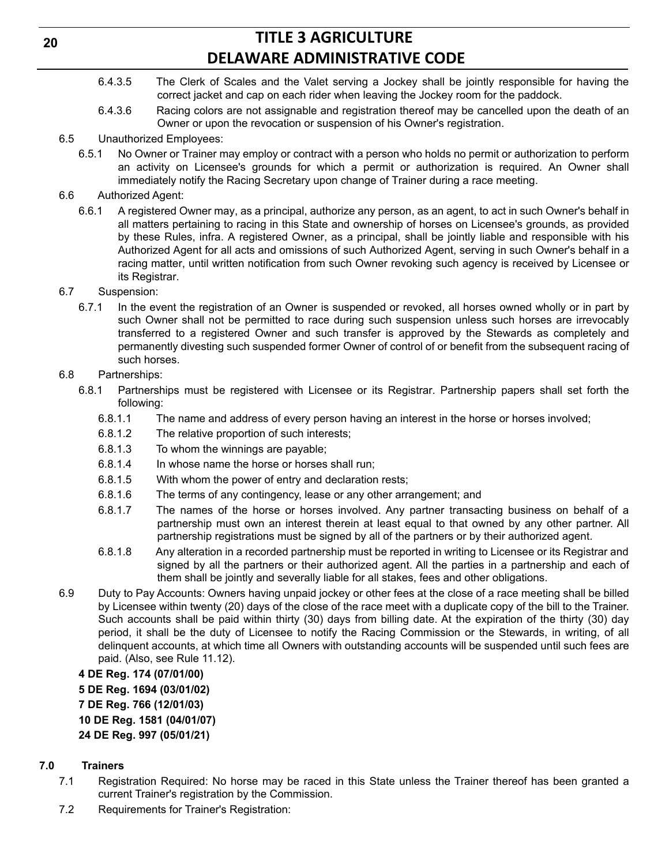- 6.4.3.5 The Clerk of Scales and the Valet serving a Jockey shall be jointly responsible for having the correct jacket and cap on each rider when leaving the Jockey room for the paddock.
- 6.4.3.6 Racing colors are not assignable and registration thereof may be cancelled upon the death of an Owner or upon the revocation or suspension of his Owner's registration.
- 6.5 Unauthorized Employees:
	- 6.5.1 No Owner or Trainer may employ or contract with a person who holds no permit or authorization to perform an activity on Licensee's grounds for which a permit or authorization is required. An Owner shall immediately notify the Racing Secretary upon change of Trainer during a race meeting.
- 6.6 Authorized Agent:
	- 6.6.1 A registered Owner may, as a principal, authorize any person, as an agent, to act in such Owner's behalf in all matters pertaining to racing in this State and ownership of horses on Licensee's grounds, as provided by these Rules, infra. A registered Owner, as a principal, shall be jointly liable and responsible with his Authorized Agent for all acts and omissions of such Authorized Agent, serving in such Owner's behalf in a racing matter, until written notification from such Owner revoking such agency is received by Licensee or its Registrar.
- 6.7 Suspension:
	- 6.7.1 In the event the registration of an Owner is suspended or revoked, all horses owned wholly or in part by such Owner shall not be permitted to race during such suspension unless such horses are irrevocably transferred to a registered Owner and such transfer is approved by the Stewards as completely and permanently divesting such suspended former Owner of control of or benefit from the subsequent racing of such horses.
- 6.8 Partnerships:
	- 6.8.1 Partnerships must be registered with Licensee or its Registrar. Partnership papers shall set forth the following:
		- 6.8.1.1 The name and address of every person having an interest in the horse or horses involved;
		- 6.8.1.2 The relative proportion of such interests;
		- 6.8.1.3 To whom the winnings are payable;
		- 6.8.1.4 In whose name the horse or horses shall run;
		- 6.8.1.5 With whom the power of entry and declaration rests;
		- 6.8.1.6 The terms of any contingency, lease or any other arrangement; and
		- 6.8.1.7 The names of the horse or horses involved. Any partner transacting business on behalf of a partnership must own an interest therein at least equal to that owned by any other partner. All partnership registrations must be signed by all of the partners or by their authorized agent.
		- 6.8.1.8 Any alteration in a recorded partnership must be reported in writing to Licensee or its Registrar and signed by all the partners or their authorized agent. All the parties in a partnership and each of them shall be jointly and severally liable for all stakes, fees and other obligations.
- 6.9 Duty to Pay Accounts: Owners having unpaid jockey or other fees at the close of a race meeting shall be billed by Licensee within twenty (20) days of the close of the race meet with a duplicate copy of the bill to the Trainer. Such accounts shall be paid within thirty (30) days from billing date. At the expiration of the thirty (30) day period, it shall be the duty of Licensee to notify the Racing Commission or the Stewards, in writing, of all delinquent accounts, at which time all Owners with outstanding accounts will be suspended until such fees are paid. (Also, see Rule 11.12).

**4 DE Reg. 174 (07/01/00) 5 DE Reg. 1694 (03/01/02) 7 DE Reg. 766 (12/01/03) 10 DE Reg. 1581 (04/01/07) 24 DE Reg. 997 (05/01/21)**

### **7.0 Trainers**

- 7.1 Registration Required: No horse may be raced in this State unless the Trainer thereof has been granted a current Trainer's registration by the Commission.
- 7.2 Requirements for Trainer's Registration: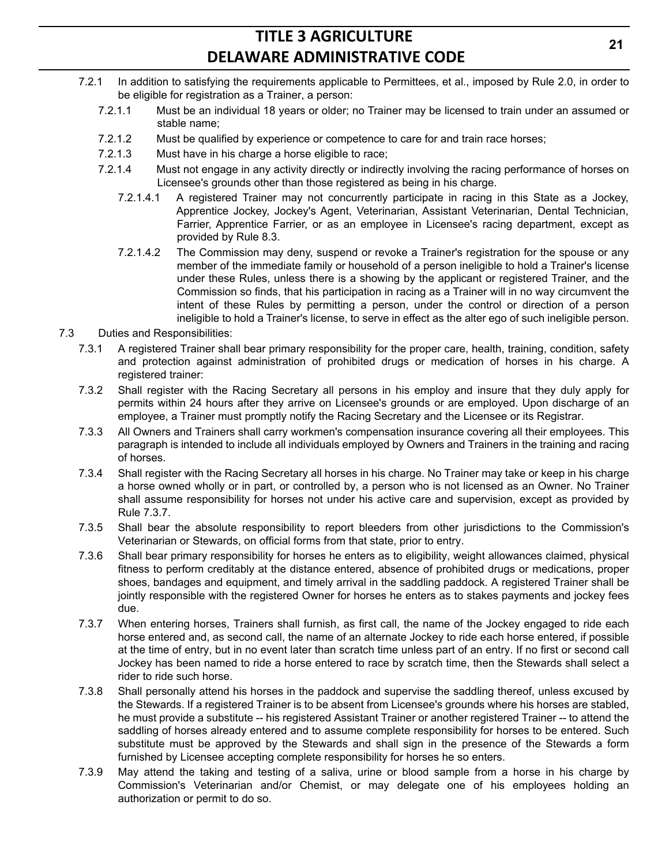- 7.2.1 In addition to satisfying the requirements applicable to Permittees, et al., imposed by Rule 2.0, in order to be eligible for registration as a Trainer, a person:
	- 7.2.1.1 Must be an individual 18 years or older; no Trainer may be licensed to train under an assumed or stable name;
	- 7.2.1.2 Must be qualified by experience or competence to care for and train race horses;
	- 7.2.1.3 Must have in his charge a horse eligible to race;
	- 7.2.1.4 Must not engage in any activity directly or indirectly involving the racing performance of horses on Licensee's grounds other than those registered as being in his charge.
		- 7.2.1.4.1 A registered Trainer may not concurrently participate in racing in this State as a Jockey, Apprentice Jockey, Jockey's Agent, Veterinarian, Assistant Veterinarian, Dental Technician, Farrier, Apprentice Farrier, or as an employee in Licensee's racing department, except as provided by Rule 8.3.
		- 7.2.1.4.2 The Commission may deny, suspend or revoke a Trainer's registration for the spouse or any member of the immediate family or household of a person ineligible to hold a Trainer's license under these Rules, unless there is a showing by the applicant or registered Trainer, and the Commission so finds, that his participation in racing as a Trainer will in no way circumvent the intent of these Rules by permitting a person, under the control or direction of a person ineligible to hold a Trainer's license, to serve in effect as the alter ego of such ineligible person.
- 7.3 Duties and Responsibilities:
	- 7.3.1 A registered Trainer shall bear primary responsibility for the proper care, health, training, condition, safety and protection against administration of prohibited drugs or medication of horses in his charge. A registered trainer:
	- 7.3.2 Shall register with the Racing Secretary all persons in his employ and insure that they duly apply for permits within 24 hours after they arrive on Licensee's grounds or are employed. Upon discharge of an employee, a Trainer must promptly notify the Racing Secretary and the Licensee or its Registrar.
	- 7.3.3 All Owners and Trainers shall carry workmen's compensation insurance covering all their employees. This paragraph is intended to include all individuals employed by Owners and Trainers in the training and racing of horses.
	- 7.3.4 Shall register with the Racing Secretary all horses in his charge. No Trainer may take or keep in his charge a horse owned wholly or in part, or controlled by, a person who is not licensed as an Owner. No Trainer shall assume responsibility for horses not under his active care and supervision, except as provided by Rule 7.3.7.
	- 7.3.5 Shall bear the absolute responsibility to report bleeders from other jurisdictions to the Commission's Veterinarian or Stewards, on official forms from that state, prior to entry.
	- 7.3.6 Shall bear primary responsibility for horses he enters as to eligibility, weight allowances claimed, physical fitness to perform creditably at the distance entered, absence of prohibited drugs or medications, proper shoes, bandages and equipment, and timely arrival in the saddling paddock. A registered Trainer shall be jointly responsible with the registered Owner for horses he enters as to stakes payments and jockey fees due.
	- 7.3.7 When entering horses, Trainers shall furnish, as first call, the name of the Jockey engaged to ride each horse entered and, as second call, the name of an alternate Jockey to ride each horse entered, if possible at the time of entry, but in no event later than scratch time unless part of an entry. If no first or second call Jockey has been named to ride a horse entered to race by scratch time, then the Stewards shall select a rider to ride such horse.
	- 7.3.8 Shall personally attend his horses in the paddock and supervise the saddling thereof, unless excused by the Stewards. If a registered Trainer is to be absent from Licensee's grounds where his horses are stabled, he must provide a substitute -- his registered Assistant Trainer or another registered Trainer -- to attend the saddling of horses already entered and to assume complete responsibility for horses to be entered. Such substitute must be approved by the Stewards and shall sign in the presence of the Stewards a form furnished by Licensee accepting complete responsibility for horses he so enters.
	- 7.3.9 May attend the taking and testing of a saliva, urine or blood sample from a horse in his charge by Commission's Veterinarian and/or Chemist, or may delegate one of his employees holding an authorization or permit to do so.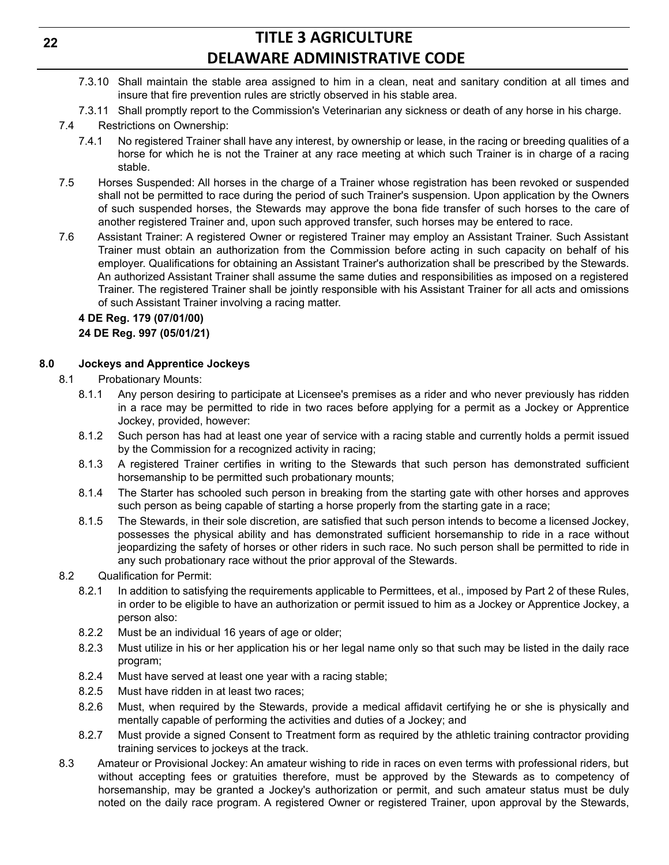- 7.3.10 Shall maintain the stable area assigned to him in a clean, neat and sanitary condition at all times and insure that fire prevention rules are strictly observed in his stable area.
- 7.3.11 Shall promptly report to the Commission's Veterinarian any sickness or death of any horse in his charge.

### 7.4 Restrictions on Ownership:

- 7.4.1 No registered Trainer shall have any interest, by ownership or lease, in the racing or breeding qualities of a horse for which he is not the Trainer at any race meeting at which such Trainer is in charge of a racing stable.
- 7.5 Horses Suspended: All horses in the charge of a Trainer whose registration has been revoked or suspended shall not be permitted to race during the period of such Trainer's suspension. Upon application by the Owners of such suspended horses, the Stewards may approve the bona fide transfer of such horses to the care of another registered Trainer and, upon such approved transfer, such horses may be entered to race.
- 7.6 Assistant Trainer: A registered Owner or registered Trainer may employ an Assistant Trainer. Such Assistant Trainer must obtain an authorization from the Commission before acting in such capacity on behalf of his employer. Qualifications for obtaining an Assistant Trainer's authorization shall be prescribed by the Stewards. An authorized Assistant Trainer shall assume the same duties and responsibilities as imposed on a registered Trainer. The registered Trainer shall be jointly responsible with his Assistant Trainer for all acts and omissions of such Assistant Trainer involving a racing matter.

### **4 DE Reg. 179 (07/01/00)**

### **24 DE Reg. 997 (05/01/21)**

### **8.0 Jockeys and Apprentice Jockeys**

- 8.1 Probationary Mounts:
	- 8.1.1 Any person desiring to participate at Licensee's premises as a rider and who never previously has ridden in a race may be permitted to ride in two races before applying for a permit as a Jockey or Apprentice Jockey, provided, however:
	- 8.1.2 Such person has had at least one year of service with a racing stable and currently holds a permit issued by the Commission for a recognized activity in racing;
	- 8.1.3 A registered Trainer certifies in writing to the Stewards that such person has demonstrated sufficient horsemanship to be permitted such probationary mounts;
	- 8.1.4 The Starter has schooled such person in breaking from the starting gate with other horses and approves such person as being capable of starting a horse properly from the starting gate in a race;
	- 8.1.5 The Stewards, in their sole discretion, are satisfied that such person intends to become a licensed Jockey, possesses the physical ability and has demonstrated sufficient horsemanship to ride in a race without jeopardizing the safety of horses or other riders in such race. No such person shall be permitted to ride in any such probationary race without the prior approval of the Stewards.
- 8.2 Qualification for Permit:
	- 8.2.1 In addition to satisfying the requirements applicable to Permittees, et al., imposed by Part 2 of these Rules, in order to be eligible to have an authorization or permit issued to him as a Jockey or Apprentice Jockey, a person also:
	- 8.2.2 Must be an individual 16 years of age or older;
	- 8.2.3 Must utilize in his or her application his or her legal name only so that such may be listed in the daily race program;
	- 8.2.4 Must have served at least one year with a racing stable;
	- 8.2.5 Must have ridden in at least two races;
	- 8.2.6 Must, when required by the Stewards, provide a medical affidavit certifying he or she is physically and mentally capable of performing the activities and duties of a Jockey; and
	- 8.2.7 Must provide a signed Consent to Treatment form as required by the athletic training contractor providing training services to jockeys at the track.
- 8.3 Amateur or Provisional Jockey: An amateur wishing to ride in races on even terms with professional riders, but without accepting fees or gratuities therefore, must be approved by the Stewards as to competency of horsemanship, may be granted a Jockey's authorization or permit, and such amateur status must be duly noted on the daily race program. A registered Owner or registered Trainer, upon approval by the Stewards,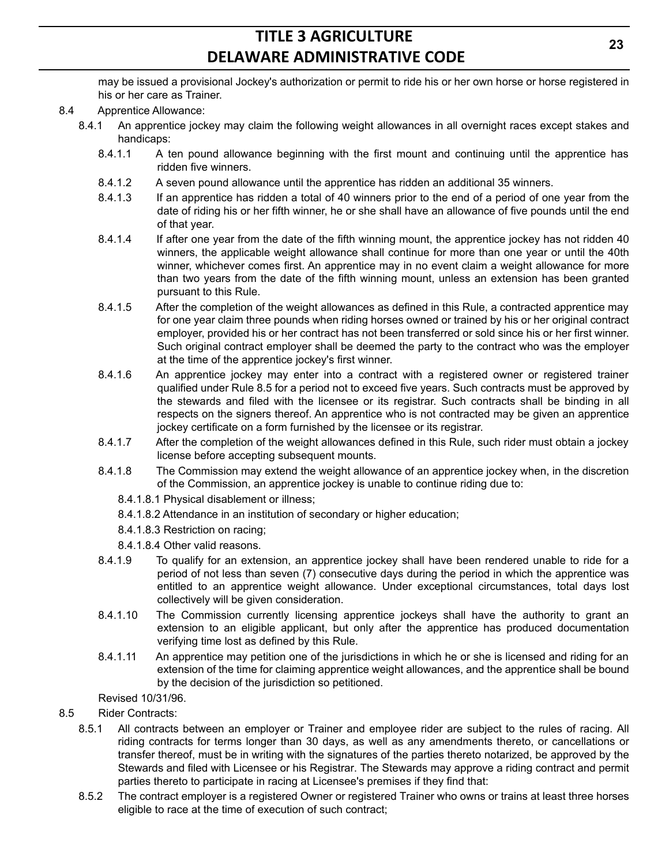may be issued a provisional Jockey's authorization or permit to ride his or her own horse or horse registered in his or her care as Trainer.

- 8.4 Apprentice Allowance:
	- 8.4.1 An apprentice jockey may claim the following weight allowances in all overnight races except stakes and handicaps:
		- 8.4.1.1 A ten pound allowance beginning with the first mount and continuing until the apprentice has ridden five winners.
		- 8.4.1.2 A seven pound allowance until the apprentice has ridden an additional 35 winners.
		- 8.4.1.3 If an apprentice has ridden a total of 40 winners prior to the end of a period of one year from the date of riding his or her fifth winner, he or she shall have an allowance of five pounds until the end of that year.
		- 8.4.1.4 If after one year from the date of the fifth winning mount, the apprentice jockey has not ridden 40 winners, the applicable weight allowance shall continue for more than one year or until the 40th winner, whichever comes first. An apprentice may in no event claim a weight allowance for more than two years from the date of the fifth winning mount, unless an extension has been granted pursuant to this Rule.
		- 8.4.1.5 After the completion of the weight allowances as defined in this Rule, a contracted apprentice may for one year claim three pounds when riding horses owned or trained by his or her original contract employer, provided his or her contract has not been transferred or sold since his or her first winner. Such original contract employer shall be deemed the party to the contract who was the employer at the time of the apprentice jockey's first winner.
		- 8.4.1.6 An apprentice jockey may enter into a contract with a registered owner or registered trainer qualified under Rule 8.5 for a period not to exceed five years. Such contracts must be approved by the stewards and filed with the licensee or its registrar. Such contracts shall be binding in all respects on the signers thereof. An apprentice who is not contracted may be given an apprentice jockey certificate on a form furnished by the licensee or its registrar.
		- 8.4.1.7 After the completion of the weight allowances defined in this Rule, such rider must obtain a jockey license before accepting subsequent mounts.
		- 8.4.1.8 The Commission may extend the weight allowance of an apprentice jockey when, in the discretion of the Commission, an apprentice jockey is unable to continue riding due to:
			- 8.4.1.8.1 Physical disablement or illness;
			- 8.4.1.8.2 Attendance in an institution of secondary or higher education;
			- 8.4.1.8.3 Restriction on racing;
			- 8.4.1.8.4 Other valid reasons.
		- 8.4.1.9 To qualify for an extension, an apprentice jockey shall have been rendered unable to ride for a period of not less than seven (7) consecutive days during the period in which the apprentice was entitled to an apprentice weight allowance. Under exceptional circumstances, total days lost collectively will be given consideration.
		- 8.4.1.10 The Commission currently licensing apprentice jockeys shall have the authority to grant an extension to an eligible applicant, but only after the apprentice has produced documentation verifying time lost as defined by this Rule.
		- 8.4.1.11 An apprentice may petition one of the jurisdictions in which he or she is licensed and riding for an extension of the time for claiming apprentice weight allowances, and the apprentice shall be bound by the decision of the jurisdiction so petitioned.
		- Revised 10/31/96.
- 8.5 Rider Contracts:
	- 8.5.1 All contracts between an employer or Trainer and employee rider are subject to the rules of racing. All riding contracts for terms longer than 30 days, as well as any amendments thereto, or cancellations or transfer thereof, must be in writing with the signatures of the parties thereto notarized, be approved by the Stewards and filed with Licensee or his Registrar. The Stewards may approve a riding contract and permit parties thereto to participate in racing at Licensee's premises if they find that:
	- 8.5.2 The contract employer is a registered Owner or registered Trainer who owns or trains at least three horses eligible to race at the time of execution of such contract;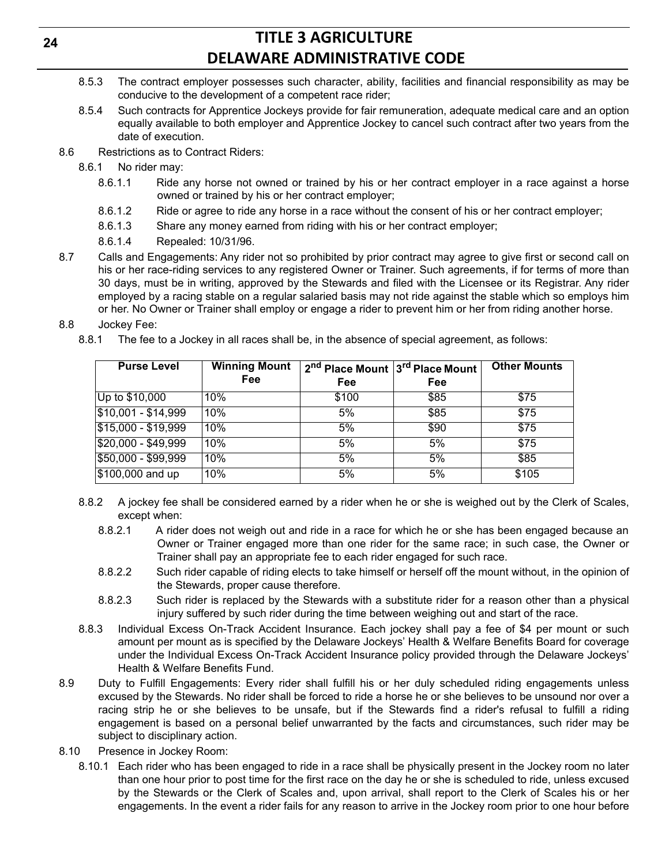- 8.5.3 The contract employer possesses such character, ability, facilities and financial responsibility as may be conducive to the development of a competent race rider;
- 8.5.4 Such contracts for Apprentice Jockeys provide for fair remuneration, adequate medical care and an option equally available to both employer and Apprentice Jockey to cancel such contract after two years from the date of execution.
- 8.6 Restrictions as to Contract Riders:
	- 8.6.1 No rider may:
		- 8.6.1.1 Ride any horse not owned or trained by his or her contract employer in a race against a horse owned or trained by his or her contract employer;
		- 8.6.1.2 Ride or agree to ride any horse in a race without the consent of his or her contract employer;
		- 8.6.1.3 Share any money earned from riding with his or her contract employer;
		- 8.6.1.4 Repealed: 10/31/96.
- 8.7 Calls and Engagements: Any rider not so prohibited by prior contract may agree to give first or second call on his or her race-riding services to any registered Owner or Trainer. Such agreements, if for terms of more than 30 days, must be in writing, approved by the Stewards and filed with the Licensee or its Registrar. Any rider employed by a racing stable on a regular salaried basis may not ride against the stable which so employs him or her. No Owner or Trainer shall employ or engage a rider to prevent him or her from riding another horse.
- 8.8 Jockey Fee:
	- 8.8.1 The fee to a Jockey in all races shall be, in the absence of special agreement, as follows:

| <b>Purse Level</b>  | <b>Winning Mount</b><br>Fee | 2 <sup>nd</sup> Place Mount 3 <sup>rd</sup> Place Mount<br>Fee | Fee  | <b>Other Mounts</b> |
|---------------------|-----------------------------|----------------------------------------------------------------|------|---------------------|
| Up to \$10,000      | 10%                         | \$100                                                          | \$85 | \$75                |
| $$10,001 - $14,999$ | 10%                         | 5%                                                             | \$85 | \$75                |
| $$15,000 - $19,999$ | 10%                         | 5%                                                             | \$90 | \$75                |
| $$20,000 - $49,999$ | 10%                         | 5%                                                             | 5%   | \$75                |
| \$50,000 - \$99,999 | 10%                         | 5%                                                             | 5%   | \$85                |
| $$100,000$ and up   | 10%                         | 5%                                                             | 5%   | \$105               |

- 8.8.2 A jockey fee shall be considered earned by a rider when he or she is weighed out by the Clerk of Scales, except when:
	- 8.8.2.1 A rider does not weigh out and ride in a race for which he or she has been engaged because an Owner or Trainer engaged more than one rider for the same race; in such case, the Owner or Trainer shall pay an appropriate fee to each rider engaged for such race.
	- 8.8.2.2 Such rider capable of riding elects to take himself or herself off the mount without, in the opinion of the Stewards, proper cause therefore.
	- 8.8.2.3 Such rider is replaced by the Stewards with a substitute rider for a reason other than a physical injury suffered by such rider during the time between weighing out and start of the race.
- 8.8.3 Individual Excess On-Track Accident Insurance. Each jockey shall pay a fee of \$4 per mount or such amount per mount as is specified by the Delaware Jockeys' Health & Welfare Benefits Board for coverage under the Individual Excess On-Track Accident Insurance policy provided through the Delaware Jockeys' Health & Welfare Benefits Fund.
- 8.9 Duty to Fulfill Engagements: Every rider shall fulfill his or her duly scheduled riding engagements unless excused by the Stewards. No rider shall be forced to ride a horse he or she believes to be unsound nor over a racing strip he or she believes to be unsafe, but if the Stewards find a rider's refusal to fulfill a riding engagement is based on a personal belief unwarranted by the facts and circumstances, such rider may be subject to disciplinary action.
- 8.10 Presence in Jockey Room:
	- 8.10.1 Each rider who has been engaged to ride in a race shall be physically present in the Jockey room no later than one hour prior to post time for the first race on the day he or she is scheduled to ride, unless excused by the Stewards or the Clerk of Scales and, upon arrival, shall report to the Clerk of Scales his or her engagements. In the event a rider fails for any reason to arrive in the Jockey room prior to one hour before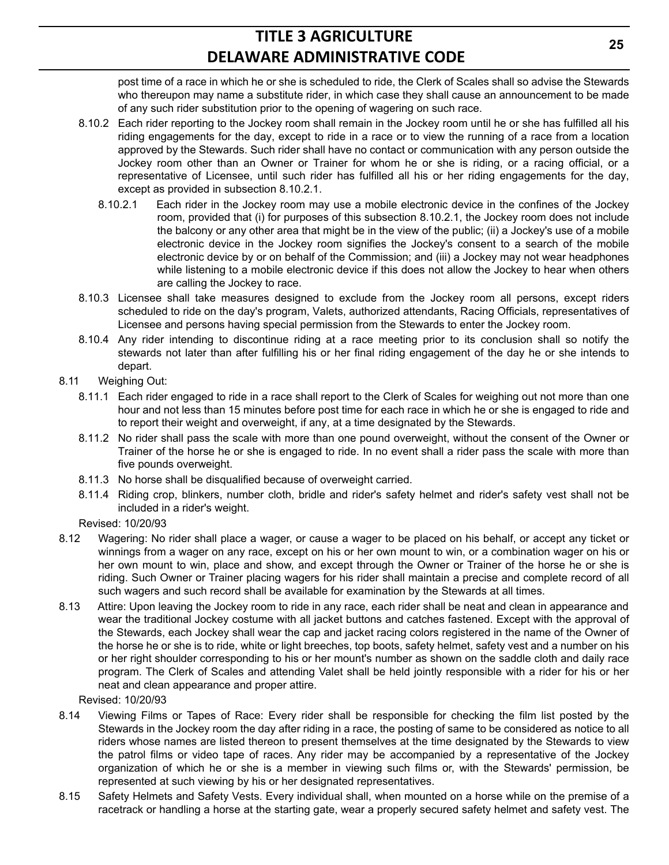post time of a race in which he or she is scheduled to ride, the Clerk of Scales shall so advise the Stewards who thereupon may name a substitute rider, in which case they shall cause an announcement to be made of any such rider substitution prior to the opening of wagering on such race.

- 8.10.2 Each rider reporting to the Jockey room shall remain in the Jockey room until he or she has fulfilled all his riding engagements for the day, except to ride in a race or to view the running of a race from a location approved by the Stewards. Such rider shall have no contact or communication with any person outside the Jockey room other than an Owner or Trainer for whom he or she is riding, or a racing official, or a representative of Licensee, until such rider has fulfilled all his or her riding engagements for the day, except as provided in subsection 8.10.2.1.
	- 8.10.2.1 Each rider in the Jockey room may use a mobile electronic device in the confines of the Jockey room, provided that (i) for purposes of this subsection 8.10.2.1, the Jockey room does not include the balcony or any other area that might be in the view of the public; (ii) a Jockey's use of a mobile electronic device in the Jockey room signifies the Jockey's consent to a search of the mobile electronic device by or on behalf of the Commission; and (iii) a Jockey may not wear headphones while listening to a mobile electronic device if this does not allow the Jockey to hear when others are calling the Jockey to race.
- 8.10.3 Licensee shall take measures designed to exclude from the Jockey room all persons, except riders scheduled to ride on the day's program, Valets, authorized attendants, Racing Officials, representatives of Licensee and persons having special permission from the Stewards to enter the Jockey room.
- 8.10.4 Any rider intending to discontinue riding at a race meeting prior to its conclusion shall so notify the stewards not later than after fulfilling his or her final riding engagement of the day he or she intends to depart.
- 8.11 Weighing Out:
	- 8.11.1 Each rider engaged to ride in a race shall report to the Clerk of Scales for weighing out not more than one hour and not less than 15 minutes before post time for each race in which he or she is engaged to ride and to report their weight and overweight, if any, at a time designated by the Stewards.
	- 8.11.2 No rider shall pass the scale with more than one pound overweight, without the consent of the Owner or Trainer of the horse he or she is engaged to ride. In no event shall a rider pass the scale with more than five pounds overweight.
	- 8.11.3 No horse shall be disqualified because of overweight carried.
	- 8.11.4 Riding crop, blinkers, number cloth, bridle and rider's safety helmet and rider's safety vest shall not be included in a rider's weight.

Revised: 10/20/93

- 8.12 Wagering: No rider shall place a wager, or cause a wager to be placed on his behalf, or accept any ticket or winnings from a wager on any race, except on his or her own mount to win, or a combination wager on his or her own mount to win, place and show, and except through the Owner or Trainer of the horse he or she is riding. Such Owner or Trainer placing wagers for his rider shall maintain a precise and complete record of all such wagers and such record shall be available for examination by the Stewards at all times.
- 8.13 Attire: Upon leaving the Jockey room to ride in any race, each rider shall be neat and clean in appearance and wear the traditional Jockey costume with all jacket buttons and catches fastened. Except with the approval of the Stewards, each Jockey shall wear the cap and jacket racing colors registered in the name of the Owner of the horse he or she is to ride, white or light breeches, top boots, safety helmet, safety vest and a number on his or her right shoulder corresponding to his or her mount's number as shown on the saddle cloth and daily race program. The Clerk of Scales and attending Valet shall be held jointly responsible with a rider for his or her neat and clean appearance and proper attire.

Revised: 10/20/93

- 8.14 Viewing Films or Tapes of Race: Every rider shall be responsible for checking the film list posted by the Stewards in the Jockey room the day after riding in a race, the posting of same to be considered as notice to all riders whose names are listed thereon to present themselves at the time designated by the Stewards to view the patrol films or video tape of races. Any rider may be accompanied by a representative of the Jockey organization of which he or she is a member in viewing such films or, with the Stewards' permission, be represented at such viewing by his or her designated representatives.
- 8.15 Safety Helmets and Safety Vests. Every individual shall, when mounted on a horse while on the premise of a racetrack or handling a horse at the starting gate, wear a properly secured safety helmet and safety vest. The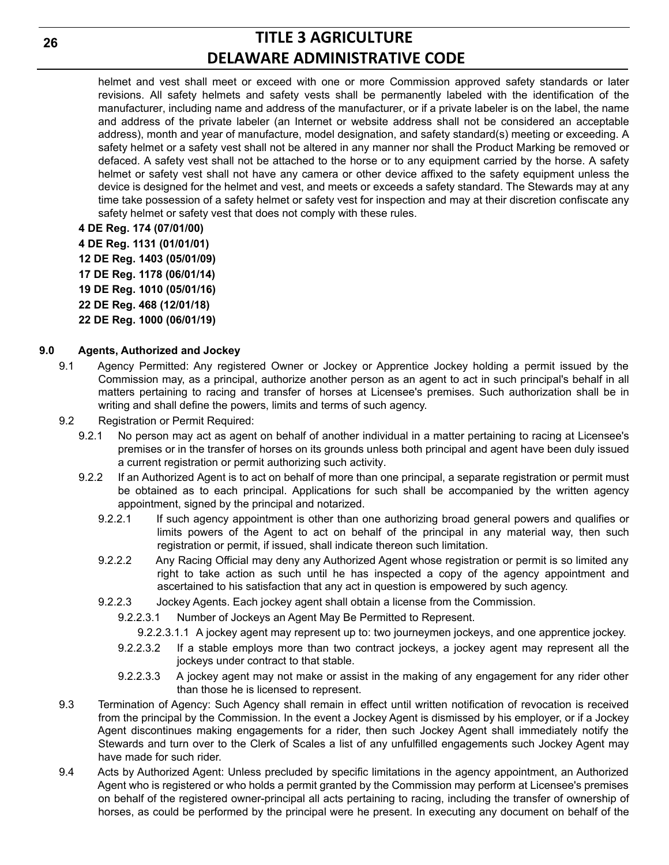helmet and vest shall meet or exceed with one or more Commission approved safety standards or later revisions. All safety helmets and safety vests shall be permanently labeled with the identification of the manufacturer, including name and address of the manufacturer, or if a private labeler is on the label, the name and address of the private labeler (an Internet or website address shall not be considered an acceptable address), month and year of manufacture, model designation, and safety standard(s) meeting or exceeding. A safety helmet or a safety vest shall not be altered in any manner nor shall the Product Marking be removed or defaced. A safety vest shall not be attached to the horse or to any equipment carried by the horse. A safety helmet or safety vest shall not have any camera or other device affixed to the safety equipment unless the device is designed for the helmet and vest, and meets or exceeds a safety standard. The Stewards may at any time take possession of a safety helmet or safety vest for inspection and may at their discretion confiscate any safety helmet or safety vest that does not comply with these rules.

**4 DE Reg. 174 (07/01/00) 4 DE Reg. 1131 (01/01/01) 12 DE Reg. 1403 (05/01/09) 17 DE Reg. 1178 (06/01/14) 19 DE Reg. 1010 (05/01/16) 22 DE Reg. 468 (12/01/18) 22 DE Reg. 1000 (06/01/19)**

### **9.0 Agents, Authorized and Jockey**

- 9.1 Agency Permitted: Any registered Owner or Jockey or Apprentice Jockey holding a permit issued by the Commission may, as a principal, authorize another person as an agent to act in such principal's behalf in all matters pertaining to racing and transfer of horses at Licensee's premises. Such authorization shall be in writing and shall define the powers, limits and terms of such agency.
- 9.2 Registration or Permit Required:
	- 9.2.1 No person may act as agent on behalf of another individual in a matter pertaining to racing at Licensee's premises or in the transfer of horses on its grounds unless both principal and agent have been duly issued a current registration or permit authorizing such activity.
	- 9.2.2 If an Authorized Agent is to act on behalf of more than one principal, a separate registration or permit must be obtained as to each principal. Applications for such shall be accompanied by the written agency appointment, signed by the principal and notarized.
		- 9.2.2.1 If such agency appointment is other than one authorizing broad general powers and qualifies or limits powers of the Agent to act on behalf of the principal in any material way, then such registration or permit, if issued, shall indicate thereon such limitation.
		- 9.2.2.2 Any Racing Official may deny any Authorized Agent whose registration or permit is so limited any right to take action as such until he has inspected a copy of the agency appointment and ascertained to his satisfaction that any act in question is empowered by such agency.
		- 9.2.2.3 Jockey Agents. Each jockey agent shall obtain a license from the Commission.
			- 9.2.2.3.1 Number of Jockeys an Agent May Be Permitted to Represent.
				- 9.2.2.3.1.1 A jockey agent may represent up to: two journeymen jockeys, and one apprentice jockey.
			- 9.2.2.3.2 If a stable employs more than two contract jockeys, a jockey agent may represent all the jockeys under contract to that stable.
			- 9.2.2.3.3 A jockey agent may not make or assist in the making of any engagement for any rider other than those he is licensed to represent.
- 9.3 Termination of Agency: Such Agency shall remain in effect until written notification of revocation is received from the principal by the Commission. In the event a Jockey Agent is dismissed by his employer, or if a Jockey Agent discontinues making engagements for a rider, then such Jockey Agent shall immediately notify the Stewards and turn over to the Clerk of Scales a list of any unfulfilled engagements such Jockey Agent may have made for such rider.
- 9.4 Acts by Authorized Agent: Unless precluded by specific limitations in the agency appointment, an Authorized Agent who is registered or who holds a permit granted by the Commission may perform at Licensee's premises on behalf of the registered owner-principal all acts pertaining to racing, including the transfer of ownership of horses, as could be performed by the principal were he present. In executing any document on behalf of the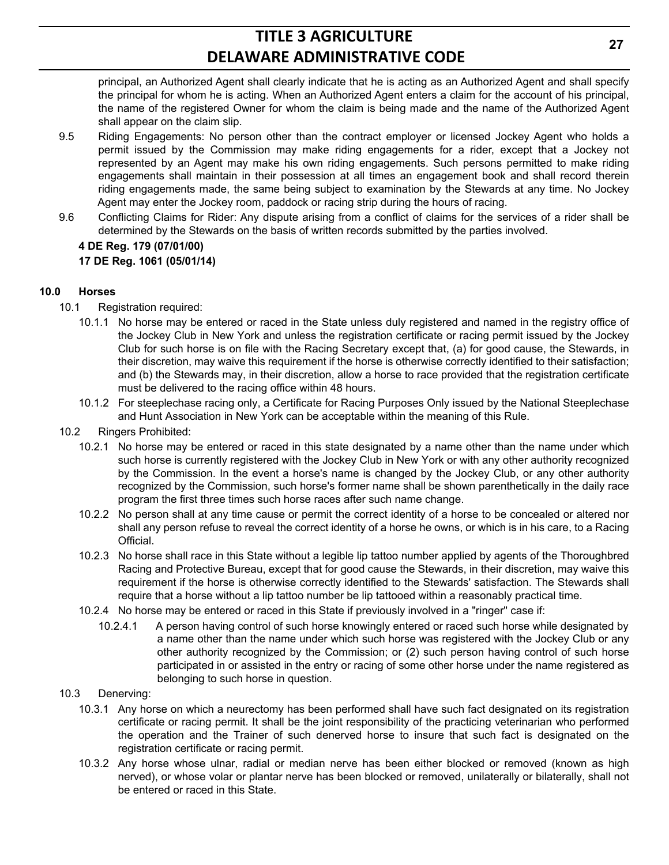principal, an Authorized Agent shall clearly indicate that he is acting as an Authorized Agent and shall specify the principal for whom he is acting. When an Authorized Agent enters a claim for the account of his principal, the name of the registered Owner for whom the claim is being made and the name of the Authorized Agent shall appear on the claim slip.

- 9.5 Riding Engagements: No person other than the contract employer or licensed Jockey Agent who holds a permit issued by the Commission may make riding engagements for a rider, except that a Jockey not represented by an Agent may make his own riding engagements. Such persons permitted to make riding engagements shall maintain in their possession at all times an engagement book and shall record therein riding engagements made, the same being subject to examination by the Stewards at any time. No Jockey Agent may enter the Jockey room, paddock or racing strip during the hours of racing.
- 9.6 Conflicting Claims for Rider: Any dispute arising from a conflict of claims for the services of a rider shall be determined by the Stewards on the basis of written records submitted by the parties involved.

### **4 DE Reg. 179 (07/01/00) 17 DE Reg. 1061 (05/01/14)**

### **10.0 Horses**

- 10.1 Registration required:
	- 10.1.1 No horse may be entered or raced in the State unless duly registered and named in the registry office of the Jockey Club in New York and unless the registration certificate or racing permit issued by the Jockey Club for such horse is on file with the Racing Secretary except that, (a) for good cause, the Stewards, in their discretion, may waive this requirement if the horse is otherwise correctly identified to their satisfaction; and (b) the Stewards may, in their discretion, allow a horse to race provided that the registration certificate must be delivered to the racing office within 48 hours.
	- 10.1.2 For steeplechase racing only, a Certificate for Racing Purposes Only issued by the National Steeplechase and Hunt Association in New York can be acceptable within the meaning of this Rule.
- 10.2 Ringers Prohibited:
	- 10.2.1 No horse may be entered or raced in this state designated by a name other than the name under which such horse is currently registered with the Jockey Club in New York or with any other authority recognized by the Commission. In the event a horse's name is changed by the Jockey Club, or any other authority recognized by the Commission, such horse's former name shall be shown parenthetically in the daily race program the first three times such horse races after such name change.
	- 10.2.2 No person shall at any time cause or permit the correct identity of a horse to be concealed or altered nor shall any person refuse to reveal the correct identity of a horse he owns, or which is in his care, to a Racing Official.
	- 10.2.3 No horse shall race in this State without a legible lip tattoo number applied by agents of the Thoroughbred Racing and Protective Bureau, except that for good cause the Stewards, in their discretion, may waive this requirement if the horse is otherwise correctly identified to the Stewards' satisfaction. The Stewards shall require that a horse without a lip tattoo number be lip tattooed within a reasonably practical time.
	- 10.2.4 No horse may be entered or raced in this State if previously involved in a "ringer" case if:
		- 10.2.4.1 A person having control of such horse knowingly entered or raced such horse while designated by a name other than the name under which such horse was registered with the Jockey Club or any other authority recognized by the Commission; or (2) such person having control of such horse participated in or assisted in the entry or racing of some other horse under the name registered as belonging to such horse in question.
- 10.3 Denerving:
	- 10.3.1 Any horse on which a neurectomy has been performed shall have such fact designated on its registration certificate or racing permit. It shall be the joint responsibility of the practicing veterinarian who performed the operation and the Trainer of such denerved horse to insure that such fact is designated on the registration certificate or racing permit.
	- 10.3.2 Any horse whose ulnar, radial or median nerve has been either blocked or removed (known as high nerved), or whose volar or plantar nerve has been blocked or removed, unilaterally or bilaterally, shall not be entered or raced in this State.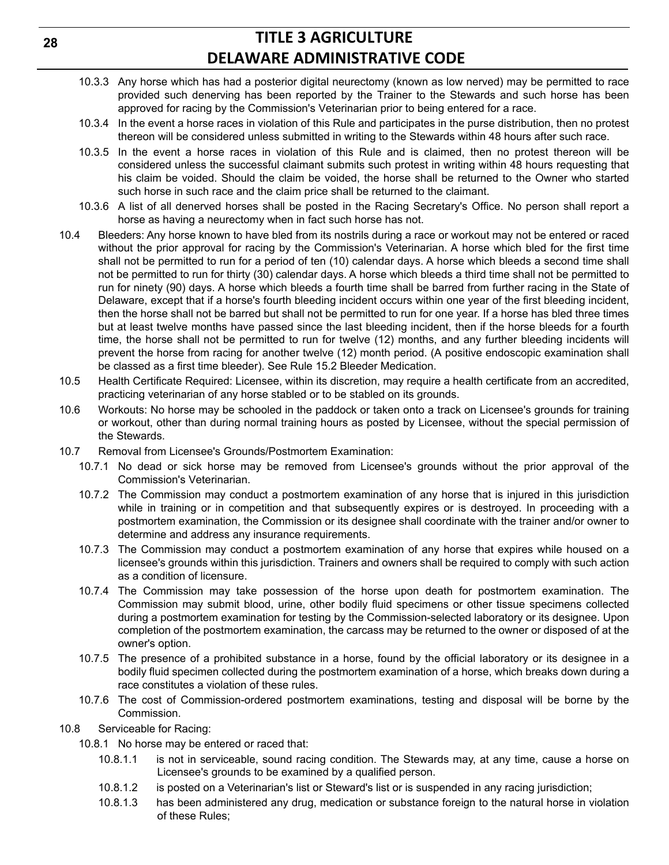- 10.3.3 Any horse which has had a posterior digital neurectomy (known as low nerved) may be permitted to race provided such denerving has been reported by the Trainer to the Stewards and such horse has been approved for racing by the Commission's Veterinarian prior to being entered for a race.
- 10.3.4 In the event a horse races in violation of this Rule and participates in the purse distribution, then no protest thereon will be considered unless submitted in writing to the Stewards within 48 hours after such race.
- 10.3.5 In the event a horse races in violation of this Rule and is claimed, then no protest thereon will be considered unless the successful claimant submits such protest in writing within 48 hours requesting that his claim be voided. Should the claim be voided, the horse shall be returned to the Owner who started such horse in such race and the claim price shall be returned to the claimant.
- 10.3.6 A list of all denerved horses shall be posted in the Racing Secretary's Office. No person shall report a horse as having a neurectomy when in fact such horse has not.
- 10.4 Bleeders: Any horse known to have bled from its nostrils during a race or workout may not be entered or raced without the prior approval for racing by the Commission's Veterinarian. A horse which bled for the first time shall not be permitted to run for a period of ten (10) calendar days. A horse which bleeds a second time shall not be permitted to run for thirty (30) calendar days. A horse which bleeds a third time shall not be permitted to run for ninety (90) days. A horse which bleeds a fourth time shall be barred from further racing in the State of Delaware, except that if a horse's fourth bleeding incident occurs within one year of the first bleeding incident, then the horse shall not be barred but shall not be permitted to run for one year. If a horse has bled three times but at least twelve months have passed since the last bleeding incident, then if the horse bleeds for a fourth time, the horse shall not be permitted to run for twelve (12) months, and any further bleeding incidents will prevent the horse from racing for another twelve (12) month period. (A positive endoscopic examination shall be classed as a first time bleeder). See Rule 15.2 Bleeder Medication.
- 10.5 Health Certificate Required: Licensee, within its discretion, may require a health certificate from an accredited, practicing veterinarian of any horse stabled or to be stabled on its grounds.
- 10.6 Workouts: No horse may be schooled in the paddock or taken onto a track on Licensee's grounds for training or workout, other than during normal training hours as posted by Licensee, without the special permission of the Stewards.
- 10.7 Removal from Licensee's Grounds/Postmortem Examination:
	- 10.7.1 No dead or sick horse may be removed from Licensee's grounds without the prior approval of the Commission's Veterinarian.
	- 10.7.2 The Commission may conduct a postmortem examination of any horse that is injured in this jurisdiction while in training or in competition and that subsequently expires or is destroyed. In proceeding with a postmortem examination, the Commission or its designee shall coordinate with the trainer and/or owner to determine and address any insurance requirements.
	- 10.7.3 The Commission may conduct a postmortem examination of any horse that expires while housed on a licensee's grounds within this jurisdiction. Trainers and owners shall be required to comply with such action as a condition of licensure.
	- 10.7.4 The Commission may take possession of the horse upon death for postmortem examination. The Commission may submit blood, urine, other bodily fluid specimens or other tissue specimens collected during a postmortem examination for testing by the Commission-selected laboratory or its designee. Upon completion of the postmortem examination, the carcass may be returned to the owner or disposed of at the owner's option.
	- 10.7.5 The presence of a prohibited substance in a horse, found by the official laboratory or its designee in a bodily fluid specimen collected during the postmortem examination of a horse, which breaks down during a race constitutes a violation of these rules.
	- 10.7.6 The cost of Commission-ordered postmortem examinations, testing and disposal will be borne by the Commission.
- 10.8 Serviceable for Racing:
	- 10.8.1 No horse may be entered or raced that:
		- 10.8.1.1 is not in serviceable, sound racing condition. The Stewards may, at any time, cause a horse on Licensee's grounds to be examined by a qualified person.
		- 10.8.1.2 is posted on a Veterinarian's list or Steward's list or is suspended in any racing jurisdiction;
		- 10.8.1.3 has been administered any drug, medication or substance foreign to the natural horse in violation of these Rules;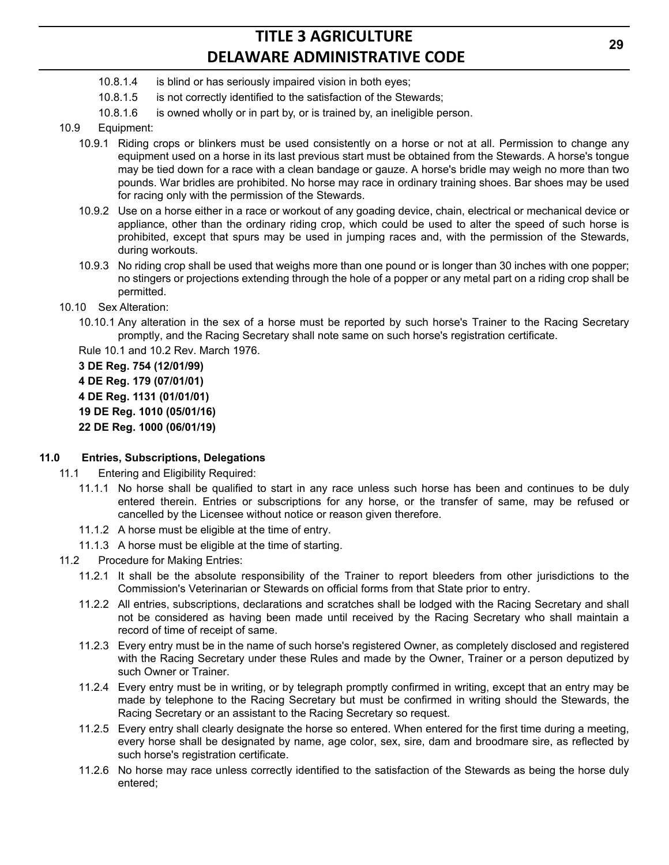- 10.8.1.4 is blind or has seriously impaired vision in both eyes;
- 10.8.1.5 is not correctly identified to the satisfaction of the Stewards;
- 10.8.1.6 is owned wholly or in part by, or is trained by, an ineligible person.
- 10.9 Equipment:
	- 10.9.1 Riding crops or blinkers must be used consistently on a horse or not at all. Permission to change any equipment used on a horse in its last previous start must be obtained from the Stewards. A horse's tongue may be tied down for a race with a clean bandage or gauze. A horse's bridle may weigh no more than two pounds. War bridles are prohibited. No horse may race in ordinary training shoes. Bar shoes may be used for racing only with the permission of the Stewards.
	- 10.9.2 Use on a horse either in a race or workout of any goading device, chain, electrical or mechanical device or appliance, other than the ordinary riding crop, which could be used to alter the speed of such horse is prohibited, except that spurs may be used in jumping races and, with the permission of the Stewards, during workouts.
	- 10.9.3 No riding crop shall be used that weighs more than one pound or is longer than 30 inches with one popper; no stingers or projections extending through the hole of a popper or any metal part on a riding crop shall be permitted.
- 10.10 Sex Alteration:
	- 10.10.1 Any alteration in the sex of a horse must be reported by such horse's Trainer to the Racing Secretary promptly, and the Racing Secretary shall note same on such horse's registration certificate.

Rule 10.1 and 10.2 Rev. March 1976.

**3 DE Reg. 754 (12/01/99) 4 DE Reg. 179 (07/01/01) 4 DE Reg. 1131 (01/01/01) 19 DE Reg. 1010 (05/01/16) 22 DE Reg. 1000 (06/01/19)**

#### **11.0 Entries, Subscriptions, Delegations**

- 11.1 Entering and Eligibility Required:
	- 11.1.1 No horse shall be qualified to start in any race unless such horse has been and continues to be duly entered therein. Entries or subscriptions for any horse, or the transfer of same, may be refused or cancelled by the Licensee without notice or reason given therefore.
	- 11.1.2 A horse must be eligible at the time of entry.
	- 11.1.3 A horse must be eligible at the time of starting.
- 11.2 Procedure for Making Entries:
	- 11.2.1 It shall be the absolute responsibility of the Trainer to report bleeders from other jurisdictions to the Commission's Veterinarian or Stewards on official forms from that State prior to entry.
	- 11.2.2 All entries, subscriptions, declarations and scratches shall be lodged with the Racing Secretary and shall not be considered as having been made until received by the Racing Secretary who shall maintain a record of time of receipt of same.
	- 11.2.3 Every entry must be in the name of such horse's registered Owner, as completely disclosed and registered with the Racing Secretary under these Rules and made by the Owner, Trainer or a person deputized by such Owner or Trainer.
	- 11.2.4 Every entry must be in writing, or by telegraph promptly confirmed in writing, except that an entry may be made by telephone to the Racing Secretary but must be confirmed in writing should the Stewards, the Racing Secretary or an assistant to the Racing Secretary so request.
	- 11.2.5 Every entry shall clearly designate the horse so entered. When entered for the first time during a meeting, every horse shall be designated by name, age color, sex, sire, dam and broodmare sire, as reflected by such horse's registration certificate.
	- 11.2.6 No horse may race unless correctly identified to the satisfaction of the Stewards as being the horse duly entered;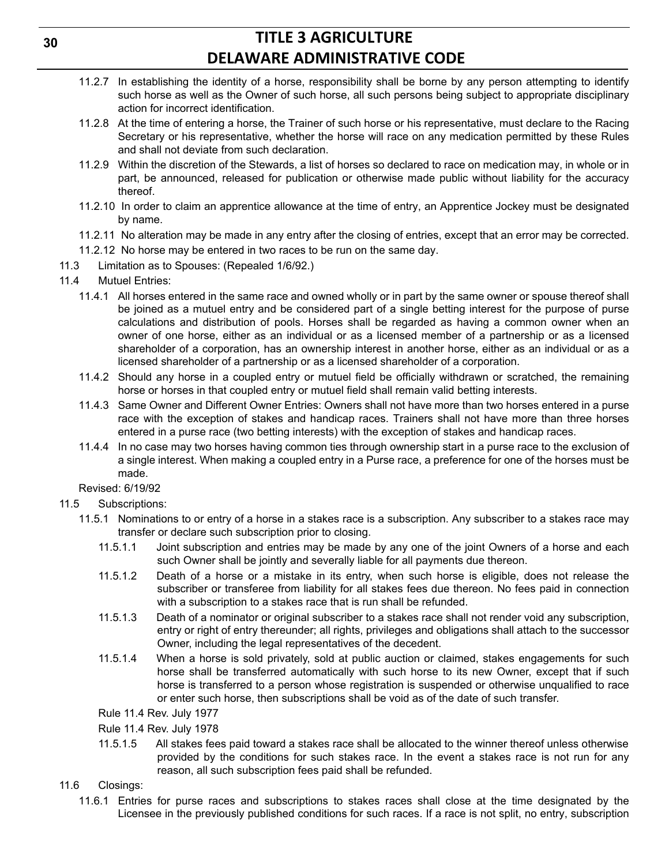- 11.2.7 In establishing the identity of a horse, responsibility shall be borne by any person attempting to identify such horse as well as the Owner of such horse, all such persons being subject to appropriate disciplinary action for incorrect identification.
- 11.2.8 At the time of entering a horse, the Trainer of such horse or his representative, must declare to the Racing Secretary or his representative, whether the horse will race on any medication permitted by these Rules and shall not deviate from such declaration.
- 11.2.9 Within the discretion of the Stewards, a list of horses so declared to race on medication may, in whole or in part, be announced, released for publication or otherwise made public without liability for the accuracy thereof.
- 11.2.10 In order to claim an apprentice allowance at the time of entry, an Apprentice Jockey must be designated by name.
- 11.2.11 No alteration may be made in any entry after the closing of entries, except that an error may be corrected.
- 11.2.12 No horse may be entered in two races to be run on the same day.
- 11.3 Limitation as to Spouses: (Repealed 1/6/92.)
- 11.4 Mutuel Entries:
	- 11.4.1 All horses entered in the same race and owned wholly or in part by the same owner or spouse thereof shall be joined as a mutuel entry and be considered part of a single betting interest for the purpose of purse calculations and distribution of pools. Horses shall be regarded as having a common owner when an owner of one horse, either as an individual or as a licensed member of a partnership or as a licensed shareholder of a corporation, has an ownership interest in another horse, either as an individual or as a licensed shareholder of a partnership or as a licensed shareholder of a corporation.
	- 11.4.2 Should any horse in a coupled entry or mutuel field be officially withdrawn or scratched, the remaining horse or horses in that coupled entry or mutuel field shall remain valid betting interests.
	- 11.4.3 Same Owner and Different Owner Entries: Owners shall not have more than two horses entered in a purse race with the exception of stakes and handicap races. Trainers shall not have more than three horses entered in a purse race (two betting interests) with the exception of stakes and handicap races.
	- 11.4.4 In no case may two horses having common ties through ownership start in a purse race to the exclusion of a single interest. When making a coupled entry in a Purse race, a preference for one of the horses must be made.

Revised: 6/19/92

- 11.5 Subscriptions:
	- 11.5.1 Nominations to or entry of a horse in a stakes race is a subscription. Any subscriber to a stakes race may transfer or declare such subscription prior to closing.
		- 11.5.1.1 Joint subscription and entries may be made by any one of the joint Owners of a horse and each such Owner shall be jointly and severally liable for all payments due thereon.
		- 11.5.1.2 Death of a horse or a mistake in its entry, when such horse is eligible, does not release the subscriber or transferee from liability for all stakes fees due thereon. No fees paid in connection with a subscription to a stakes race that is run shall be refunded.
		- 11.5.1.3 Death of a nominator or original subscriber to a stakes race shall not render void any subscription, entry or right of entry thereunder; all rights, privileges and obligations shall attach to the successor Owner, including the legal representatives of the decedent.
		- 11.5.1.4 When a horse is sold privately, sold at public auction or claimed, stakes engagements for such horse shall be transferred automatically with such horse to its new Owner, except that if such horse is transferred to a person whose registration is suspended or otherwise unqualified to race or enter such horse, then subscriptions shall be void as of the date of such transfer.
		- Rule 11.4 Rev. July 1977
		- Rule 11.4 Rev. July 1978
		- 11.5.1.5 All stakes fees paid toward a stakes race shall be allocated to the winner thereof unless otherwise provided by the conditions for such stakes race. In the event a stakes race is not run for any reason, all such subscription fees paid shall be refunded.
- 11.6 Closings:
	- 11.6.1 Entries for purse races and subscriptions to stakes races shall close at the time designated by the Licensee in the previously published conditions for such races. If a race is not split, no entry, subscription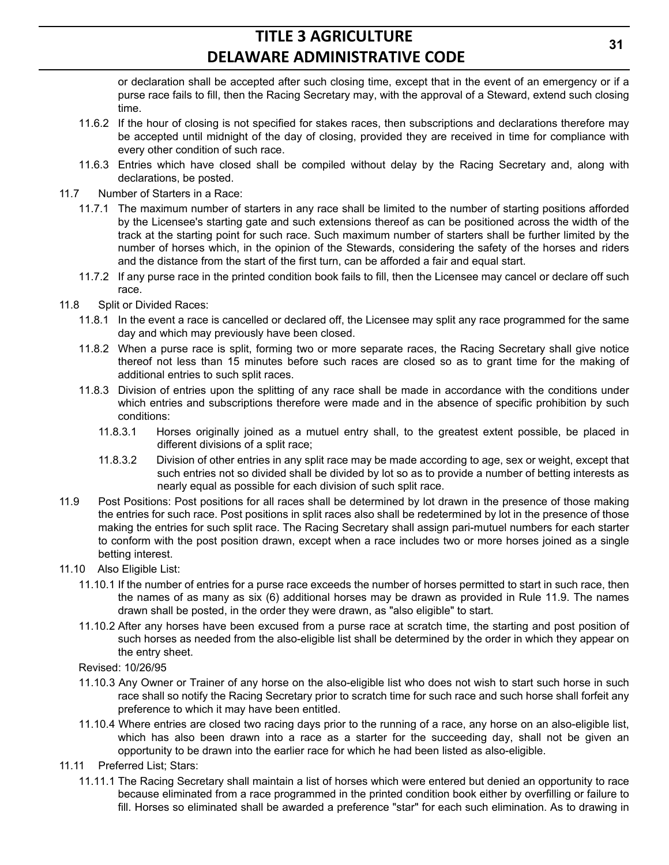or declaration shall be accepted after such closing time, except that in the event of an emergency or if a purse race fails to fill, then the Racing Secretary may, with the approval of a Steward, extend such closing time.

- 11.6.2 If the hour of closing is not specified for stakes races, then subscriptions and declarations therefore may be accepted until midnight of the day of closing, provided they are received in time for compliance with every other condition of such race.
- 11.6.3 Entries which have closed shall be compiled without delay by the Racing Secretary and, along with declarations, be posted.
- 11.7 Number of Starters in a Race:
	- 11.7.1 The maximum number of starters in any race shall be limited to the number of starting positions afforded by the Licensee's starting gate and such extensions thereof as can be positioned across the width of the track at the starting point for such race. Such maximum number of starters shall be further limited by the number of horses which, in the opinion of the Stewards, considering the safety of the horses and riders and the distance from the start of the first turn, can be afforded a fair and equal start.
	- 11.7.2 If any purse race in the printed condition book fails to fill, then the Licensee may cancel or declare off such race.
- 11.8 Split or Divided Races:
	- 11.8.1 In the event a race is cancelled or declared off, the Licensee may split any race programmed for the same day and which may previously have been closed.
	- 11.8.2 When a purse race is split, forming two or more separate races, the Racing Secretary shall give notice thereof not less than 15 minutes before such races are closed so as to grant time for the making of additional entries to such split races.
	- 11.8.3 Division of entries upon the splitting of any race shall be made in accordance with the conditions under which entries and subscriptions therefore were made and in the absence of specific prohibition by such conditions:
		- 11.8.3.1 Horses originally joined as a mutuel entry shall, to the greatest extent possible, be placed in different divisions of a split race;
		- 11.8.3.2 Division of other entries in any split race may be made according to age, sex or weight, except that such entries not so divided shall be divided by lot so as to provide a number of betting interests as nearly equal as possible for each division of such split race.
- 11.9 Post Positions: Post positions for all races shall be determined by lot drawn in the presence of those making the entries for such race. Post positions in split races also shall be redetermined by lot in the presence of those making the entries for such split race. The Racing Secretary shall assign pari-mutuel numbers for each starter to conform with the post position drawn, except when a race includes two or more horses joined as a single betting interest.
- 11.10 Also Eligible List:
	- 11.10.1 If the number of entries for a purse race exceeds the number of horses permitted to start in such race, then the names of as many as six (6) additional horses may be drawn as provided in Rule 11.9. The names drawn shall be posted, in the order they were drawn, as "also eligible" to start.
	- 11.10.2 After any horses have been excused from a purse race at scratch time, the starting and post position of such horses as needed from the also-eligible list shall be determined by the order in which they appear on the entry sheet.

Revised: 10/26/95

- 11.10.3 Any Owner or Trainer of any horse on the also-eligible list who does not wish to start such horse in such race shall so notify the Racing Secretary prior to scratch time for such race and such horse shall forfeit any preference to which it may have been entitled.
- 11.10.4 Where entries are closed two racing days prior to the running of a race, any horse on an also-eligible list, which has also been drawn into a race as a starter for the succeeding day, shall not be given an opportunity to be drawn into the earlier race for which he had been listed as also-eligible.
- 11.11 Preferred List; Stars:
	- 11.11.1 The Racing Secretary shall maintain a list of horses which were entered but denied an opportunity to race because eliminated from a race programmed in the printed condition book either by overfilling or failure to fill. Horses so eliminated shall be awarded a preference "star" for each such elimination. As to drawing in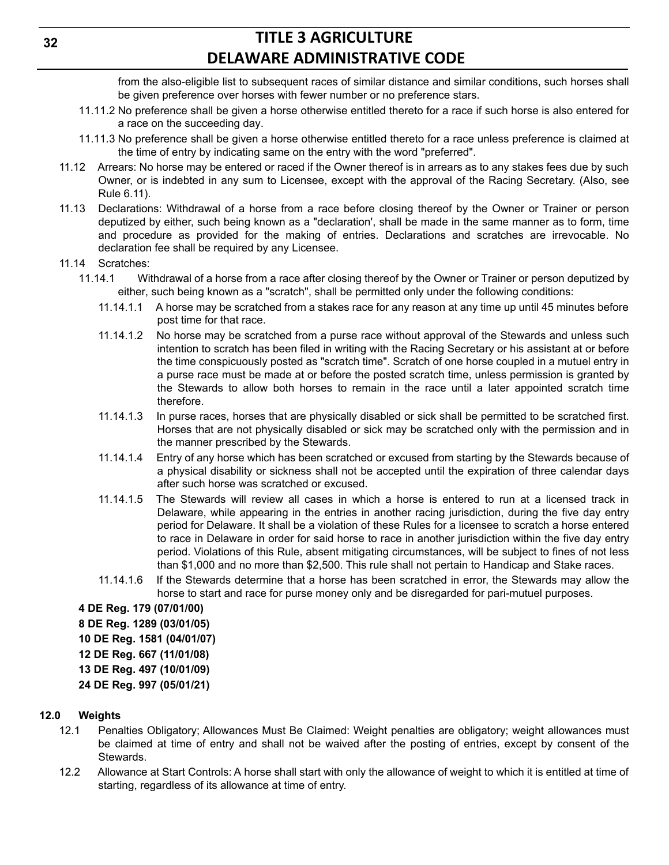from the also-eligible list to subsequent races of similar distance and similar conditions, such horses shall be given preference over horses with fewer number or no preference stars.

- 11.11.2 No preference shall be given a horse otherwise entitled thereto for a race if such horse is also entered for a race on the succeeding day.
- 11.11.3 No preference shall be given a horse otherwise entitled thereto for a race unless preference is claimed at the time of entry by indicating same on the entry with the word "preferred".
- 11.12 Arrears: No horse may be entered or raced if the Owner thereof is in arrears as to any stakes fees due by such Owner, or is indebted in any sum to Licensee, except with the approval of the Racing Secretary. (Also, see Rule 6.11).
- 11.13 Declarations: Withdrawal of a horse from a race before closing thereof by the Owner or Trainer or person deputized by either, such being known as a "declaration', shall be made in the same manner as to form, time and procedure as provided for the making of entries. Declarations and scratches are irrevocable. No declaration fee shall be required by any Licensee.
- 11.14 Scratches:
	- 11.14.1 Withdrawal of a horse from a race after closing thereof by the Owner or Trainer or person deputized by either, such being known as a "scratch", shall be permitted only under the following conditions:
		- 11.14.1.1 A horse may be scratched from a stakes race for any reason at any time up until 45 minutes before post time for that race.
		- 11.14.1.2 No horse may be scratched from a purse race without approval of the Stewards and unless such intention to scratch has been filed in writing with the Racing Secretary or his assistant at or before the time conspicuously posted as "scratch time". Scratch of one horse coupled in a mutuel entry in a purse race must be made at or before the posted scratch time, unless permission is granted by the Stewards to allow both horses to remain in the race until a later appointed scratch time therefore.
		- 11.14.1.3 In purse races, horses that are physically disabled or sick shall be permitted to be scratched first. Horses that are not physically disabled or sick may be scratched only with the permission and in the manner prescribed by the Stewards.
		- 11.14.1.4 Entry of any horse which has been scratched or excused from starting by the Stewards because of a physical disability or sickness shall not be accepted until the expiration of three calendar days after such horse was scratched or excused.
		- 11.14.1.5 The Stewards will review all cases in which a horse is entered to run at a licensed track in Delaware, while appearing in the entries in another racing jurisdiction, during the five day entry period for Delaware. It shall be a violation of these Rules for a licensee to scratch a horse entered to race in Delaware in order for said horse to race in another jurisdiction within the five day entry period. Violations of this Rule, absent mitigating circumstances, will be subject to fines of not less than \$1,000 and no more than \$2,500. This rule shall not pertain to Handicap and Stake races.
		- 11.14.1.6 If the Stewards determine that a horse has been scratched in error, the Stewards may allow the horse to start and race for purse money only and be disregarded for pari-mutuel purposes.

**4 DE Reg. 179 (07/01/00) 8 DE Reg. 1289 (03/01/05) 10 DE Reg. 1581 (04/01/07) 12 DE Reg. 667 (11/01/08) 13 DE Reg. 497 (10/01/09) 24 DE Reg. 997 (05/01/21)**

### **12.0 Weights**

- 12.1 Penalties Obligatory; Allowances Must Be Claimed: Weight penalties are obligatory; weight allowances must be claimed at time of entry and shall not be waived after the posting of entries, except by consent of the Stewards.
- 12.2 Allowance at Start Controls: A horse shall start with only the allowance of weight to which it is entitled at time of starting, regardless of its allowance at time of entry.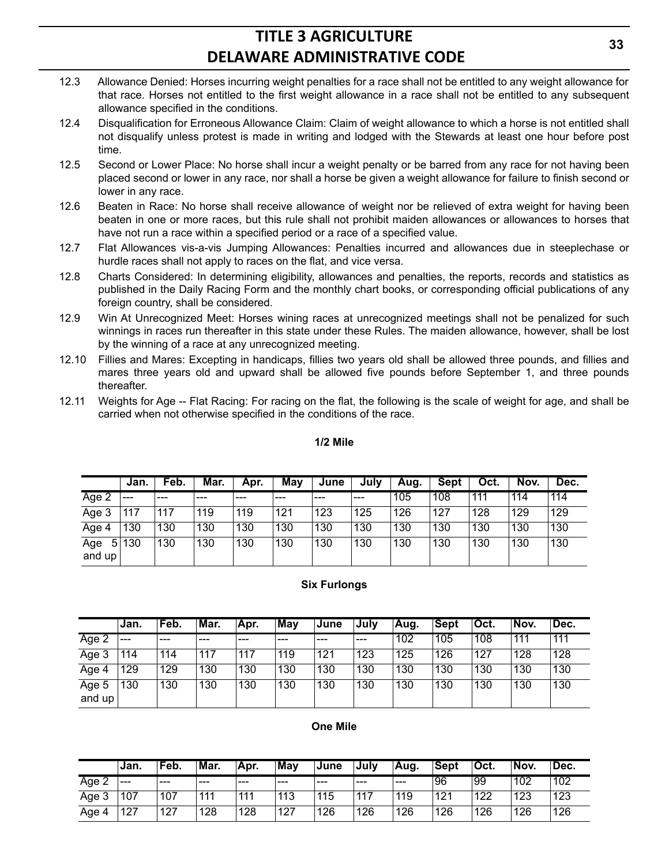- 12.3 Allowance Denied: Horses incurring weight penalties for a race shall not be entitled to any weight allowance for that race. Horses not entitled to the first weight allowance in a race shall not be entitled to any subsequent allowance specified in the conditions.
- 12.4 Disqualification for Erroneous Allowance Claim: Claim of weight allowance to which a horse is not entitled shall not disqualify unless protest is made in writing and lodged with the Stewards at least one hour before post time.
- 12.5 Second or Lower Place: No horse shall incur a weight penalty or be barred from any race for not having been placed second or lower in any race, nor shall a horse be given a weight allowance for failure to finish second or lower in any race.
- 12.6 Beaten in Race: No horse shall receive allowance of weight nor be relieved of extra weight for having been beaten in one or more races, but this rule shall not prohibit maiden allowances or allowances to horses that have not run a race within a specified period or a race of a specified value.
- 12.7 Flat Allowances vis-a-vis Jumping Allowances: Penalties incurred and allowances due in steeplechase or hurdle races shall not apply to races on the flat, and vice versa.
- 12.8 Charts Considered: In determining eligibility, allowances and penalties, the reports, records and statistics as published in the Daily Racing Form and the monthly chart books, or corresponding official publications of any foreign country, shall be considered.
- 12.9 Win At Unrecognized Meet: Horses wining races at unrecognized meetings shall not be penalized for such winnings in races run thereafter in this state under these Rules. The maiden allowance, however, shall be lost by the winning of a race at any unrecognized meeting.
- 12.10 Fillies and Mares: Excepting in handicaps, fillies two years old shall be allowed three pounds, and fillies and mares three years old and upward shall be allowed five pounds before September 1, and three pounds thereafter.
- 12.11 Weights for Age -- Flat Racing: For racing on the flat, the following is the scale of weight for age, and shall be carried when not otherwise specified in the conditions of the race.

#### **1/2 Mile**

|                    | Jan.  | Feb. | Mar. | Apr. | May | June | July | Aug. | Sept | Oct. | Nov. | Dec. |
|--------------------|-------|------|------|------|-----|------|------|------|------|------|------|------|
| Age 2              | $---$ | ---  | ---  | ---  | --- | ---  | ---  | 105  | 108  | 111  | 114  | 114  |
| Age 3              | 117   | 117  | 119  | 119  | 121 | 123  | 125  | 126  | 127  | 128  | 129  | 129  |
| Age 4              | 130   | 130  | 130  | 130  | 130 | 130  | 130  | 130  | 130  | 130  | 130  | 130  |
| 5<br>Age<br>and up | 130   | 130  | 130  | 130  | 130 | 130  | 130  | 130  | 130  | 130  | 130  | 130  |

#### **Six Furlongs**

|                 | ∣Jan. | 'Feb. | Mar. | 'Apr. | May | <b>June</b> | ,July | Aug. | <b>Sept</b> | 'Oct. | 'Nov. | Dec. |
|-----------------|-------|-------|------|-------|-----|-------------|-------|------|-------------|-------|-------|------|
| Age 2           | $---$ | ---   | ---  | ---   | --- | ---         | ---   | 102  | 105         | 108   | 111   | 111  |
| Age 3           | 114   | 114   | 117  | 117   | 119 | 121         | 123   | 125  | 126         | 127   | 128   | 128  |
| Age 4           | 129   | 129   | 130  | 130   | 130 | 130         | 130   | 130  | 130         | 130   | 130   | 130  |
| Age 5<br>and up | 130   | 130   | 130  | 130   | 130 | 130         | 130   | 130  | 130         | 130   | 130   | 130  |

#### **One Mile**

|       | Jan.  | 'Feb. | Mar. | 'Apr. | May | <b>June</b> | ∍Julv | ∣Aug. | <b>Sept</b> | 'Oct. | Nov. | 'Dec. |
|-------|-------|-------|------|-------|-----|-------------|-------|-------|-------------|-------|------|-------|
| Age ∠ | $---$ | ---   | ---  | ---   | --- | ---         | ---   | ---   | 96          | 99    | 102  | 102   |
| Age 3 | 107   | 107   | 111  | 111   | 113 | 115         | 117   | 119   | 121         | 122   | 123  | 123   |
| Age   | 127   | 127   | 128  | 128   | 127 | 126         | 126   | 126   | 126         | 126   | 126  | 126   |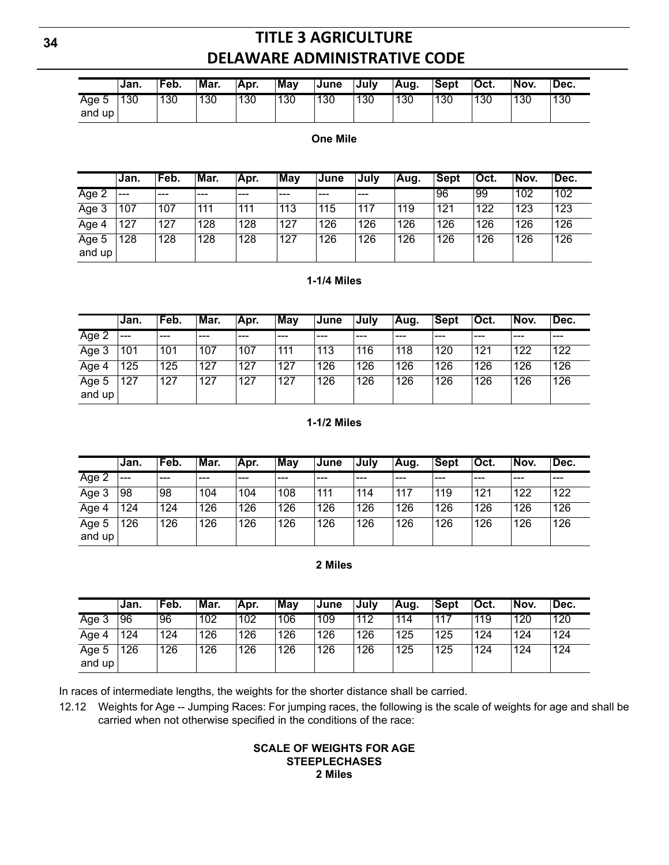|                 | ∣Jan. | Feb. | Mar. | Apr. | <b>Mav</b> | ∣June | ∍Julv | Aug. | ∣Sept | <sup>≀</sup> Oct. | 'Nov. | <sup>⊥</sup> Dec. |
|-----------------|-------|------|------|------|------------|-------|-------|------|-------|-------------------|-------|-------------------|
| Aqe 5<br>and up | 130   | 130  | 130  | '30  | 130        | 130   | 130   | 130  | 130   | 130               | 130   | 130               |

#### **One Mile**

|                 | ∣Jan. | Feb. | Mar. | Apr. | Mav | <b>June</b> | Julv | Aug. | Sept | Oct. | Nov. | Dec. |
|-----------------|-------|------|------|------|-----|-------------|------|------|------|------|------|------|
| Age 2           | ---   | ---  | ---  | ---  | --- | ---         | ---  |      | 96   | 99   | 102  | 102  |
| Age 3           | 107   | 107  | 111  | 111  | 113 | 115         | 117  | 119  | 121  | 122  | 123  | 123  |
| Age 4           | 127   | 127  | 128  | 128  | 127 | 126         | 126  | 126  | 126  | 126  | 126  | 126  |
| Age 5<br>and up | 128   | 128  | 128  | 128  | 127 | 126         | 126  | 126  | 126  | 126  | 126  | 126  |

#### **1-1/4 Miles**

|                 | Jan.  | 'Feb. | Mar. | Apr. | $\overline{\textsf{Mav}}$ | <b>June</b> | July | Aug. | Sept | Oct. | Nov. | 'Dec. |
|-----------------|-------|-------|------|------|---------------------------|-------------|------|------|------|------|------|-------|
| Age 2           | $---$ | ---   | ---  | ---  | ---                       | ---         | ---  | ---  | ---  | ---  | ---  | ---   |
| Age 3           | 101   | 101   | 107  | 107  | 111                       | 113         | 116  | 118  | 120  | 121  | 122  | 122   |
| Age 4           | 125   | 125   | 127  | 127  | 127                       | 126         | 126  | 126  | 126  | 126  | 126  | 126   |
| Age 5<br>and up | 127   | 127   | 127  | 127  | 127                       | 126         | 126  | 126  | 126  | 126  | 126  | 126   |

### **1-1/2 Miles**

|                 | Jan.  | Feb. | Mar. | Apr. | <b>May</b> | <b>June</b> | July | Aug. | <b>Sept</b> | Oct. | Nov. | Dec. |
|-----------------|-------|------|------|------|------------|-------------|------|------|-------------|------|------|------|
| Age 2           | $---$ | ---  | ---  | ---  | ---        | ---         | ---  | ---  | ---         | ---  | ---  | ---  |
| Age 3           | 98    | 98   | 104  | 104  | 108        | 111         | 114  | 117  | 119         | 121  | 122  | 122  |
| Age 4           | 124   | 124  | 126  | 126  | 126        | 126         | 126  | 126  | 126         | 126  | 126  | 126  |
| Age 5<br>and up | 126   | 126  | 126  | 126  | 126        | 126         | 126  | 126  | 126         | 126  | 126  | 126  |

#### **2 Miles**

|                 | ∣Jan. | 'Feb. | Mar. | Apr. | May | ∣June | Julv | Aug. | ∣Sept | 'Oct. | 'Nov. | 'Dec. |
|-----------------|-------|-------|------|------|-----|-------|------|------|-------|-------|-------|-------|
| Age 3           | 96    | 96    | 102  | 102  | 106 | 109   | 112  | 114  | 117   | 119   | 120   | 120   |
| Age 4           | 124   | 124   | 126  | 126  | 126 | 126   | 126  | 125  | 125   | 124   | 124   | ່ 124 |
| Age 5<br>and up | 126   | 126   | 126  | 126  | 126 | 126   | 126  | 125  | 125   | 124   | 124   | 124   |

In races of intermediate lengths, the weights for the shorter distance shall be carried.

12.12 Weights for Age -- Jumping Races: For jumping races, the following is the scale of weights for age and shall be carried when not otherwise specified in the conditions of the race:

### **SCALE OF WEIGHTS FOR AGE STEEPLECHASES 2 Miles**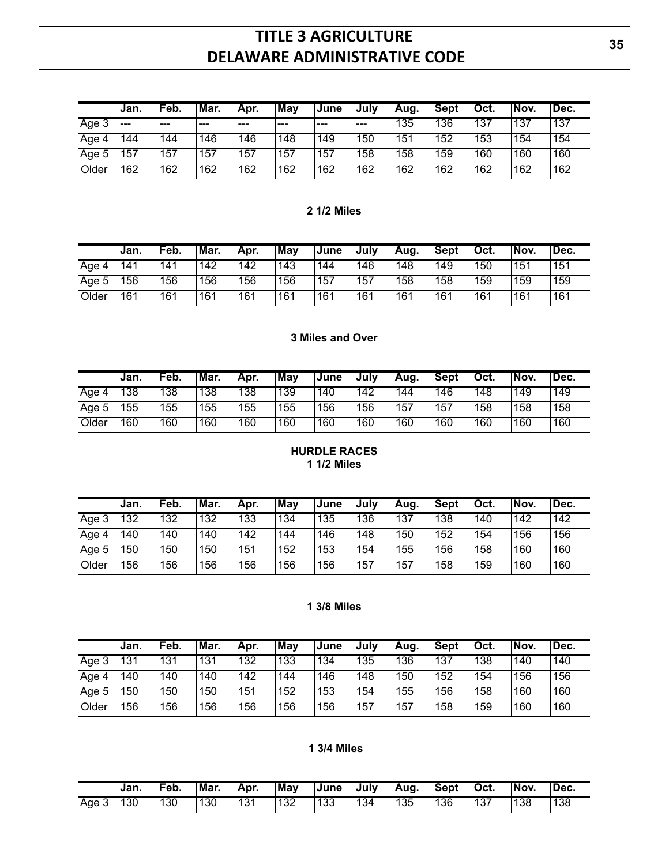|       | Jan.  | 'Feb. | Mar. | 'Apr. | May | ∣June | .Julv | Aug. | ∣Sept | Oct. | 'Nov. | Dec. |
|-------|-------|-------|------|-------|-----|-------|-------|------|-------|------|-------|------|
| Age 3 | $---$ | ---   | ---  | ---   | --- | ---   | ---   | 135  | 136   | 137  | 137   | 137  |
| Age 4 | 144   | 144   | 146  | 146   | 148 | 149   | 150   | 151  | 152   | 153  | 154   | 154  |
| Age 5 | 157   | 157   | 157  | 157   | 157 | 157   | 158   | 158  | 159   | 160  | 160   | 160  |
| Older | 162   | 162   | 162  | 162   | 162 | 162   | 162   | 162  | 162   | 162  | 162   | 162  |

#### **2 1/2 Miles**

|          | ∣Jan. | 'Feb. | Mar. | Apr. | May | ∣June | ,July | 'Aug. | <b>Sept</b> | <sup>≀</sup> Oct. | 'Nov. | 'Dec. |
|----------|-------|-------|------|------|-----|-------|-------|-------|-------------|-------------------|-------|-------|
| Age<br>4 | 141   | 141   | 142  | 142  | 143 | 144   | 146   | 148   | 149         | 150               | 151   | 151   |
| Age 5    | 56    | 156   | 156  | 156  | 156 | 157   | ,157  | 158   | 158         | 159               | 159   | 159   |
| Older    | 161   | 161   | 161  | 161  | 161 | 161   | 161   | 161   | 161         | 161               | 161   | 161   |

### **3 Miles and Over**

|       | Jan. | 'Feb. | Mar. | 'Apr. | <b>May</b> | <b>June</b> | Julv | Aug. | ∣Sept | Oct. | Nov. | Dec. |
|-------|------|-------|------|-------|------------|-------------|------|------|-------|------|------|------|
| Aqe   | 138  | 138   | 138  | 138   | 139        | 140         | 142  | 144  | 146   | 148  | 149  | 149  |
| Age 5 | 55   | 155   | 155  | 155   | 155        | 156         | 156  | 157  | 157   | 158  | 158  | 158  |
| Older | 160  | 160   | 160  | 160   | 160        | 160         | 160  | 160  | 160   | 160  | 160  | 160  |

#### **HURDLE RACES 1 1/2 Miles**

|       | Jan. | 'Feb. | Mar. | 'Apr. | Mav | ∣June | Julv | Aua. | ∣Sept | Oct. | Nov. | 'Dec. |
|-------|------|-------|------|-------|-----|-------|------|------|-------|------|------|-------|
| Age 3 | 132  | 132   | 132  | 133   | 134 | 135   | 136  | 137  | 138   | 140  | 142  | 142   |
| Age 4 | 140  | 140   | 140  | 142   | 144 | 146   | 148  | 150  | 152   | 154  | 156  | 156   |
| Age 5 | 50   | 150   | 150  | 151   | 152 | 153   | 154  | 155  | 156   | 158  | 160  | 160   |
| Older | 56   | 156   | 156  | 156   | 156 | 156   | 157، | 157  | 158   | 159  | 160  | 160   |

#### **1 3/8 Miles**

|            | Jan. | 'Feb. | Mar. | 'Apr. | May | ∣June | July | Aua. | Sept | Oct. | Nov. | 'Dec. |
|------------|------|-------|------|-------|-----|-------|------|------|------|------|------|-------|
| ◠<br>Age 3 | 131  | 131   | 131  | 132   | 133 | 134   | 135  | 136  | 137  | 138  | 140  | 140   |
| Age        | 140  | 140   | 140  | 142   | 144 | 146   | 148  | 150  | 152  | 154  | 156  | 156   |
| Age 5      | 150  | 150   | 150  | 151   | 152 | 153   | 154  | 155  | 156  | 158  | 160  | 160   |
| Older      | 156  | 156   | 156  | 156   | 156 | 156   | ,157 | 157  | 158  | 159  | 160  | 160   |

### **1 3/4 Miles**

|     | ∣Jan. | 'Feb. | Mar. | IApr.      | $\overline{\mathsf{May}}$ | ∣June | ∍July | Aug. | ∣Sept | <sup>⊥</sup> Oct. | ⊺Nov. | Dec. |
|-----|-------|-------|------|------------|---------------------------|-------|-------|------|-------|-------------------|-------|------|
| Age | 130   | 130   | 130  | 101<br>10. | 100<br>∟ە∪                | 133   | 134   | 135  | 136   | 137               | 138   | 138  |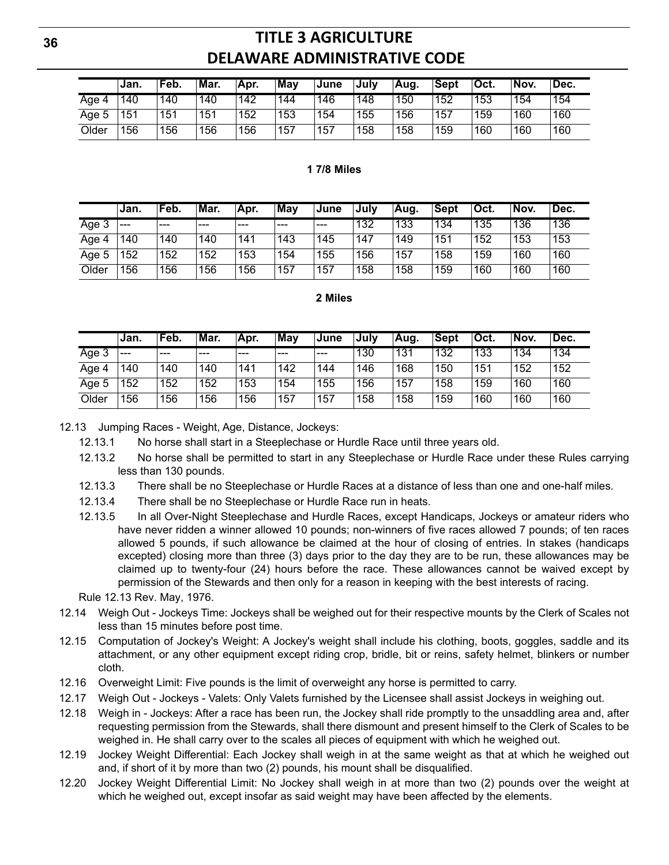|                 | ∣Jan. | ˈFeb. | 'Mar. | 'Apr. | Mav  | ∣June | Julv | Aug. | <b>Sept</b> | 'Oct. | Nov. | `Dec. |
|-----------------|-------|-------|-------|-------|------|-------|------|------|-------------|-------|------|-------|
| Age<br>$\Delta$ | 140   | 140   | 140   | 142   | 144  | 146   | 148  | 150  | 152         | 153   | 154  | 154   |
| Age 5           | 151   | 151   | 51    | 152   | 153  | 154   | 155  | 156  | 157         | 159   | 160  | 160   |
| Older           | 156   | 156   | 56    | 156   | .157 | 157   | 158  | 158  | 159         | 160   | 160  | 160   |

#### **1 7/8 Miles**

|       | ∣Jan.   | Feb. | Mar. | Apr. | May | June | Julv | Aug. | ˈSept | 'Oct. | Nov. | 'Dec. |
|-------|---------|------|------|------|-----|------|------|------|-------|-------|------|-------|
| Age 3 | $- - -$ | $--$ | $--$ | $--$ | --- | $--$ | 132  | 133  | 134   | 135   | 136  | 136   |
| Age 4 | 140     | 140  | 140  | 141  | 143 | 145  | 147  | 149  | 151   | 152   | 153  | 153   |
| Age 5 | 152     | 52   | 152  | 153  | 154 | 155  | 156  | 157  | 158   | 159   | 160  | 160   |
| Older | 156     | 56   | 156  | 156  | 157 | 157  | 158  | 158  | 159   | 160   | 160  | 160   |

#### **2 Miles**

|       | Jan.  | 'Feb. | Mar. | Apr. | May   | ∣June | .Julv | Aug. | ∣Sept | 'Oct. | Nov. | Dec. |
|-------|-------|-------|------|------|-------|-------|-------|------|-------|-------|------|------|
| Age 3 | $---$ | $---$ | ---  | ---  | $---$ | $---$ | 130   | 131  | 132   | 133   | 134  | 134  |
| Age 4 | 140   | 140   | 140  | 141  | 142   | 144   | 146   | 168  | 150   | 151   | 152  | 152  |
| Age 5 | 152   | 152   | 52   | 153  | 154   | 155   | 156   | 157  | 158   | 159   | 160  | 160  |
| Older | 156   | 156   | 56   | 156  | 157   | 157   | 158   | 158  | 159   | 160   | 160  | 160  |

12.13 Jumping Races - Weight, Age, Distance, Jockeys:

12.13.1 No horse shall start in a Steeplechase or Hurdle Race until three years old.

- 12.13.2 No horse shall be permitted to start in any Steeplechase or Hurdle Race under these Rules carrying less than 130 pounds.
- 12.13.3 There shall be no Steeplechase or Hurdle Races at a distance of less than one and one-half miles.
- 12.13.4 There shall be no Steeplechase or Hurdle Race run in heats.
- 12.13.5 In all Over-Night Steeplechase and Hurdle Races, except Handicaps, Jockeys or amateur riders who have never ridden a winner allowed 10 pounds; non-winners of five races allowed 7 pounds; of ten races allowed 5 pounds, if such allowance be claimed at the hour of closing of entries. In stakes (handicaps excepted) closing more than three (3) days prior to the day they are to be run, these allowances may be claimed up to twenty-four (24) hours before the race. These allowances cannot be waived except by permission of the Stewards and then only for a reason in keeping with the best interests of racing.

Rule 12.13 Rev. May, 1976.

- 12.14 Weigh Out Jockeys Time: Jockeys shall be weighed out for their respective mounts by the Clerk of Scales not less than 15 minutes before post time.
- 12.15 Computation of Jockey's Weight: A Jockey's weight shall include his clothing, boots, goggles, saddle and its attachment, or any other equipment except riding crop, bridle, bit or reins, safety helmet, blinkers or number cloth.
- 12.16 Overweight Limit: Five pounds is the limit of overweight any horse is permitted to carry.
- 12.17 Weigh Out Jockeys Valets: Only Valets furnished by the Licensee shall assist Jockeys in weighing out.
- 12.18 Weigh in Jockeys: After a race has been run, the Jockey shall ride promptly to the unsaddling area and, after requesting permission from the Stewards, shall there dismount and present himself to the Clerk of Scales to be weighed in. He shall carry over to the scales all pieces of equipment with which he weighed out.
- 12.19 Jockey Weight Differential: Each Jockey shall weigh in at the same weight as that at which he weighed out and, if short of it by more than two (2) pounds, his mount shall be disqualified.
- 12.20 Jockey Weight Differential Limit: No Jockey shall weigh in at more than two (2) pounds over the weight at which he weighed out, except insofar as said weight may have been affected by the elements.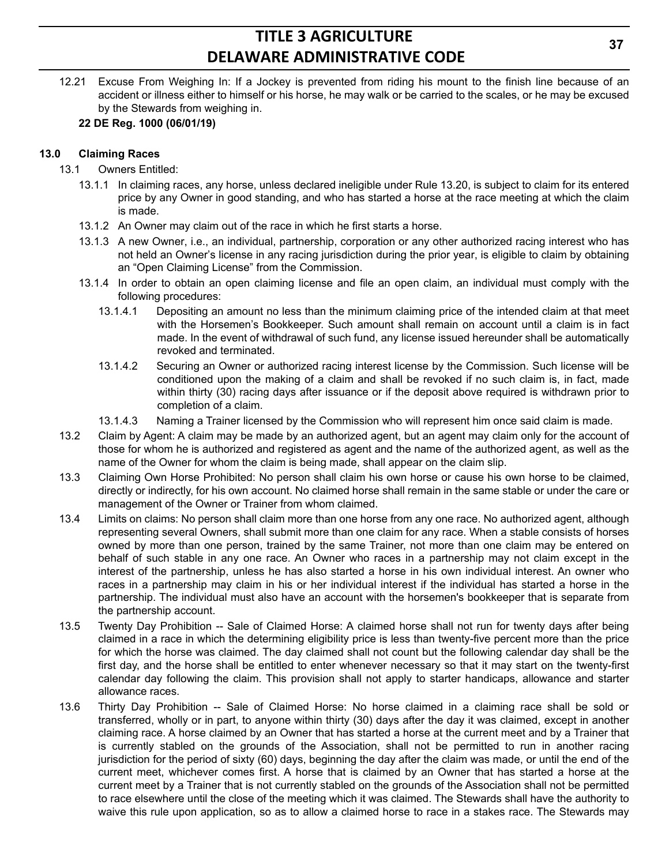12.21 Excuse From Weighing In: If a Jockey is prevented from riding his mount to the finish line because of an accident or illness either to himself or his horse, he may walk or be carried to the scales, or he may be excused by the Stewards from weighing in.

### **22 DE Reg. 1000 (06/01/19)**

### **13.0 Claiming Races**

- 13.1 Owners Entitled:
	- 13.1.1 In claiming races, any horse, unless declared ineligible under Rule 13.20, is subject to claim for its entered price by any Owner in good standing, and who has started a horse at the race meeting at which the claim is made.
	- 13.1.2 An Owner may claim out of the race in which he first starts a horse.
	- 13.1.3 A new Owner, i.e., an individual, partnership, corporation or any other authorized racing interest who has not held an Owner's license in any racing jurisdiction during the prior year, is eligible to claim by obtaining an "Open Claiming License" from the Commission.
	- 13.1.4 In order to obtain an open claiming license and file an open claim, an individual must comply with the following procedures:
		- 13.1.4.1 Depositing an amount no less than the minimum claiming price of the intended claim at that meet with the Horsemen's Bookkeeper. Such amount shall remain on account until a claim is in fact made. In the event of withdrawal of such fund, any license issued hereunder shall be automatically revoked and terminated.
		- 13.1.4.2 Securing an Owner or authorized racing interest license by the Commission. Such license will be conditioned upon the making of a claim and shall be revoked if no such claim is, in fact, made within thirty (30) racing days after issuance or if the deposit above required is withdrawn prior to completion of a claim.
		- 13.1.4.3 Naming a Trainer licensed by the Commission who will represent him once said claim is made.
- 13.2 Claim by Agent: A claim may be made by an authorized agent, but an agent may claim only for the account of those for whom he is authorized and registered as agent and the name of the authorized agent, as well as the name of the Owner for whom the claim is being made, shall appear on the claim slip.
- 13.3 Claiming Own Horse Prohibited: No person shall claim his own horse or cause his own horse to be claimed, directly or indirectly, for his own account. No claimed horse shall remain in the same stable or under the care or management of the Owner or Trainer from whom claimed.
- 13.4 Limits on claims: No person shall claim more than one horse from any one race. No authorized agent, although representing several Owners, shall submit more than one claim for any race. When a stable consists of horses owned by more than one person, trained by the same Trainer, not more than one claim may be entered on behalf of such stable in any one race. An Owner who races in a partnership may not claim except in the interest of the partnership, unless he has also started a horse in his own individual interest. An owner who races in a partnership may claim in his or her individual interest if the individual has started a horse in the partnership. The individual must also have an account with the horsemen's bookkeeper that is separate from the partnership account.
- 13.5 Twenty Day Prohibition -- Sale of Claimed Horse: A claimed horse shall not run for twenty days after being claimed in a race in which the determining eligibility price is less than twenty-five percent more than the price for which the horse was claimed. The day claimed shall not count but the following calendar day shall be the first day, and the horse shall be entitled to enter whenever necessary so that it may start on the twenty-first calendar day following the claim. This provision shall not apply to starter handicaps, allowance and starter allowance races.
- 13.6 Thirty Day Prohibition -- Sale of Claimed Horse: No horse claimed in a claiming race shall be sold or transferred, wholly or in part, to anyone within thirty (30) days after the day it was claimed, except in another claiming race. A horse claimed by an Owner that has started a horse at the current meet and by a Trainer that is currently stabled on the grounds of the Association, shall not be permitted to run in another racing jurisdiction for the period of sixty (60) days, beginning the day after the claim was made, or until the end of the current meet, whichever comes first. A horse that is claimed by an Owner that has started a horse at the current meet by a Trainer that is not currently stabled on the grounds of the Association shall not be permitted to race elsewhere until the close of the meeting which it was claimed. The Stewards shall have the authority to waive this rule upon application, so as to allow a claimed horse to race in a stakes race. The Stewards may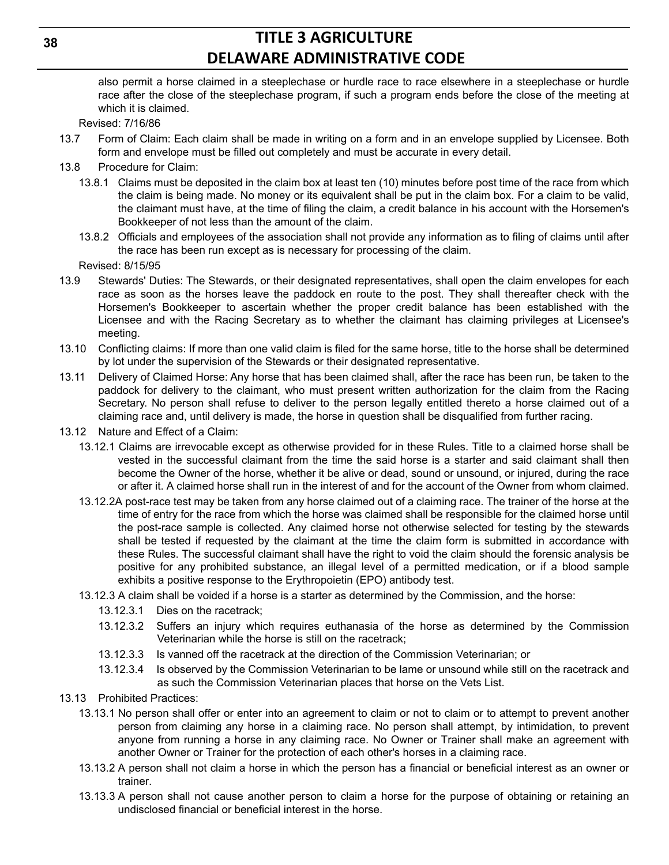also permit a horse claimed in a steeplechase or hurdle race to race elsewhere in a steeplechase or hurdle race after the close of the steeplechase program, if such a program ends before the close of the meeting at which it is claimed.

Revised: 7/16/86

- 13.7 Form of Claim: Each claim shall be made in writing on a form and in an envelope supplied by Licensee. Both form and envelope must be filled out completely and must be accurate in every detail.
- 13.8 Procedure for Claim:
	- 13.8.1 Claims must be deposited in the claim box at least ten (10) minutes before post time of the race from which the claim is being made. No money or its equivalent shall be put in the claim box. For a claim to be valid, the claimant must have, at the time of filing the claim, a credit balance in his account with the Horsemen's Bookkeeper of not less than the amount of the claim.
	- 13.8.2 Officials and employees of the association shall not provide any information as to filing of claims until after the race has been run except as is necessary for processing of the claim.

Revised: 8/15/95

- 13.9 Stewards' Duties: The Stewards, or their designated representatives, shall open the claim envelopes for each race as soon as the horses leave the paddock en route to the post. They shall thereafter check with the Horsemen's Bookkeeper to ascertain whether the proper credit balance has been established with the Licensee and with the Racing Secretary as to whether the claimant has claiming privileges at Licensee's meeting.
- 13.10 Conflicting claims: If more than one valid claim is filed for the same horse, title to the horse shall be determined by lot under the supervision of the Stewards or their designated representative.
- 13.11 Delivery of Claimed Horse: Any horse that has been claimed shall, after the race has been run, be taken to the paddock for delivery to the claimant, who must present written authorization for the claim from the Racing Secretary. No person shall refuse to deliver to the person legally entitled thereto a horse claimed out of a claiming race and, until delivery is made, the horse in question shall be disqualified from further racing.
- 13.12 Nature and Effect of a Claim:
	- 13.12.1 Claims are irrevocable except as otherwise provided for in these Rules. Title to a claimed horse shall be vested in the successful claimant from the time the said horse is a starter and said claimant shall then become the Owner of the horse, whether it be alive or dead, sound or unsound, or injured, during the race or after it. A claimed horse shall run in the interest of and for the account of the Owner from whom claimed.
	- 13.12.2A post-race test may be taken from any horse claimed out of a claiming race. The trainer of the horse at the time of entry for the race from which the horse was claimed shall be responsible for the claimed horse until the post-race sample is collected. Any claimed horse not otherwise selected for testing by the stewards shall be tested if requested by the claimant at the time the claim form is submitted in accordance with these Rules. The successful claimant shall have the right to void the claim should the forensic analysis be positive for any prohibited substance, an illegal level of a permitted medication, or if a blood sample exhibits a positive response to the Erythropoietin (EPO) antibody test.
	- 13.12.3 A claim shall be voided if a horse is a starter as determined by the Commission, and the horse:
		- 13.12.3.1 Dies on the racetrack;
		- 13.12.3.2 Suffers an injury which requires euthanasia of the horse as determined by the Commission Veterinarian while the horse is still on the racetrack;
		- 13.12.3.3 Is vanned off the racetrack at the direction of the Commission Veterinarian; or
		- 13.12.3.4 Is observed by the Commission Veterinarian to be lame or unsound while still on the racetrack and as such the Commission Veterinarian places that horse on the Vets List.
- 13.13 Prohibited Practices:
	- 13.13.1 No person shall offer or enter into an agreement to claim or not to claim or to attempt to prevent another person from claiming any horse in a claiming race. No person shall attempt, by intimidation, to prevent anyone from running a horse in any claiming race. No Owner or Trainer shall make an agreement with another Owner or Trainer for the protection of each other's horses in a claiming race.
	- 13.13.2 A person shall not claim a horse in which the person has a financial or beneficial interest as an owner or trainer.
	- 13.13.3 A person shall not cause another person to claim a horse for the purpose of obtaining or retaining an undisclosed financial or beneficial interest in the horse.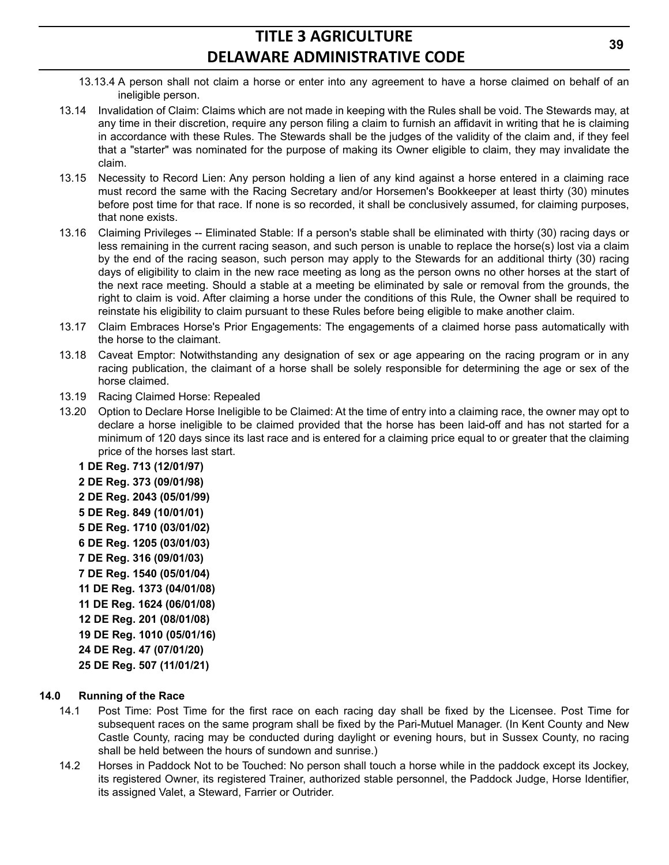- 13.13.4 A person shall not claim a horse or enter into any agreement to have a horse claimed on behalf of an ineligible person.
- 13.14 Invalidation of Claim: Claims which are not made in keeping with the Rules shall be void. The Stewards may, at any time in their discretion, require any person filing a claim to furnish an affidavit in writing that he is claiming in accordance with these Rules. The Stewards shall be the judges of the validity of the claim and, if they feel that a "starter" was nominated for the purpose of making its Owner eligible to claim, they may invalidate the claim.
- 13.15 Necessity to Record Lien: Any person holding a lien of any kind against a horse entered in a claiming race must record the same with the Racing Secretary and/or Horsemen's Bookkeeper at least thirty (30) minutes before post time for that race. If none is so recorded, it shall be conclusively assumed, for claiming purposes, that none exists.
- 13.16 Claiming Privileges -- Eliminated Stable: If a person's stable shall be eliminated with thirty (30) racing days or less remaining in the current racing season, and such person is unable to replace the horse(s) lost via a claim by the end of the racing season, such person may apply to the Stewards for an additional thirty (30) racing days of eligibility to claim in the new race meeting as long as the person owns no other horses at the start of the next race meeting. Should a stable at a meeting be eliminated by sale or removal from the grounds, the right to claim is void. After claiming a horse under the conditions of this Rule, the Owner shall be required to reinstate his eligibility to claim pursuant to these Rules before being eligible to make another claim.
- 13.17 Claim Embraces Horse's Prior Engagements: The engagements of a claimed horse pass automatically with the horse to the claimant.
- 13.18 Caveat Emptor: Notwithstanding any designation of sex or age appearing on the racing program or in any racing publication, the claimant of a horse shall be solely responsible for determining the age or sex of the horse claimed.
- 13.19 Racing Claimed Horse: Repealed
- 13.20 Option to Declare Horse Ineligible to be Claimed: At the time of entry into a claiming race, the owner may opt to declare a horse ineligible to be claimed provided that the horse has been laid-off and has not started for a minimum of 120 days since its last race and is entered for a claiming price equal to or greater that the claiming price of the horses last start.
	- **1 DE Reg. 713 (12/01/97)**
	- **2 DE Reg. 373 (09/01/98)**
	- **2 DE Reg. 2043 (05/01/99)**
	- **5 DE Reg. 849 (10/01/01)**
	- **5 DE Reg. 1710 (03/01/02)**
	- **6 DE Reg. 1205 (03/01/03)**
	- **7 DE Reg. 316 (09/01/03)**
	- **7 DE Reg. 1540 (05/01/04)**
	- **11 DE Reg. 1373 (04/01/08)**
	- **11 DE Reg. 1624 (06/01/08)**
	- **12 DE Reg. 201 (08/01/08)**
	- **19 DE Reg. 1010 (05/01/16)**
	- **24 DE Reg. 47 (07/01/20)**
	- **25 DE Reg. 507 (11/01/21)**

### **14.0 Running of the Race**

- 14.1 Post Time: Post Time for the first race on each racing day shall be fixed by the Licensee. Post Time for subsequent races on the same program shall be fixed by the Pari-Mutuel Manager. (In Kent County and New Castle County, racing may be conducted during daylight or evening hours, but in Sussex County, no racing shall be held between the hours of sundown and sunrise.)
- 14.2 Horses in Paddock Not to be Touched: No person shall touch a horse while in the paddock except its Jockey, its registered Owner, its registered Trainer, authorized stable personnel, the Paddock Judge, Horse Identifier, its assigned Valet, a Steward, Farrier or Outrider.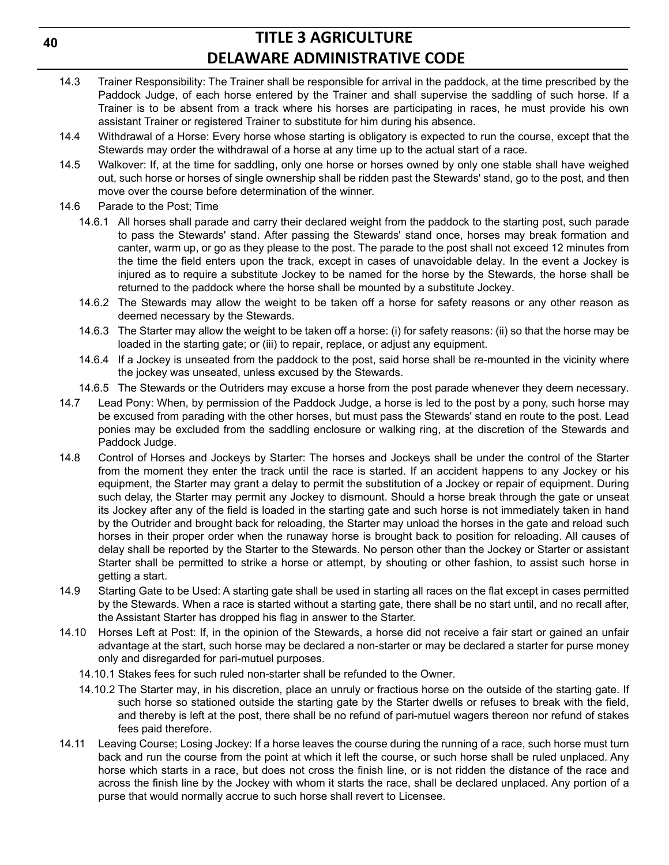- 14.3 Trainer Responsibility: The Trainer shall be responsible for arrival in the paddock, at the time prescribed by the Paddock Judge, of each horse entered by the Trainer and shall supervise the saddling of such horse. If a Trainer is to be absent from a track where his horses are participating in races, he must provide his own assistant Trainer or registered Trainer to substitute for him during his absence.
- 14.4 Withdrawal of a Horse: Every horse whose starting is obligatory is expected to run the course, except that the Stewards may order the withdrawal of a horse at any time up to the actual start of a race.
- 14.5 Walkover: If, at the time for saddling, only one horse or horses owned by only one stable shall have weighed out, such horse or horses of single ownership shall be ridden past the Stewards' stand, go to the post, and then move over the course before determination of the winner.
- 14.6 Parade to the Post; Time
	- 14.6.1 All horses shall parade and carry their declared weight from the paddock to the starting post, such parade to pass the Stewards' stand. After passing the Stewards' stand once, horses may break formation and canter, warm up, or go as they please to the post. The parade to the post shall not exceed 12 minutes from the time the field enters upon the track, except in cases of unavoidable delay. In the event a Jockey is injured as to require a substitute Jockey to be named for the horse by the Stewards, the horse shall be returned to the paddock where the horse shall be mounted by a substitute Jockey.
	- 14.6.2 The Stewards may allow the weight to be taken off a horse for safety reasons or any other reason as deemed necessary by the Stewards.
	- 14.6.3 The Starter may allow the weight to be taken off a horse: (i) for safety reasons: (ii) so that the horse may be loaded in the starting gate; or (iii) to repair, replace, or adjust any equipment.
	- 14.6.4 If a Jockey is unseated from the paddock to the post, said horse shall be re-mounted in the vicinity where the jockey was unseated, unless excused by the Stewards.
	- 14.6.5 The Stewards or the Outriders may excuse a horse from the post parade whenever they deem necessary.
- 14.7 Lead Pony: When, by permission of the Paddock Judge, a horse is led to the post by a pony, such horse may be excused from parading with the other horses, but must pass the Stewards' stand en route to the post. Lead ponies may be excluded from the saddling enclosure or walking ring, at the discretion of the Stewards and Paddock Judge.
- 14.8 Control of Horses and Jockeys by Starter: The horses and Jockeys shall be under the control of the Starter from the moment they enter the track until the race is started. If an accident happens to any Jockey or his equipment, the Starter may grant a delay to permit the substitution of a Jockey or repair of equipment. During such delay, the Starter may permit any Jockey to dismount. Should a horse break through the gate or unseat its Jockey after any of the field is loaded in the starting gate and such horse is not immediately taken in hand by the Outrider and brought back for reloading, the Starter may unload the horses in the gate and reload such horses in their proper order when the runaway horse is brought back to position for reloading. All causes of delay shall be reported by the Starter to the Stewards. No person other than the Jockey or Starter or assistant Starter shall be permitted to strike a horse or attempt, by shouting or other fashion, to assist such horse in getting a start.
- 14.9 Starting Gate to be Used: A starting gate shall be used in starting all races on the flat except in cases permitted by the Stewards. When a race is started without a starting gate, there shall be no start until, and no recall after, the Assistant Starter has dropped his flag in answer to the Starter.
- 14.10 Horses Left at Post: If, in the opinion of the Stewards, a horse did not receive a fair start or gained an unfair advantage at the start, such horse may be declared a non-starter or may be declared a starter for purse money only and disregarded for pari-mutuel purposes.
	- 14.10.1 Stakes fees for such ruled non-starter shall be refunded to the Owner.
	- 14.10.2 The Starter may, in his discretion, place an unruly or fractious horse on the outside of the starting gate. If such horse so stationed outside the starting gate by the Starter dwells or refuses to break with the field, and thereby is left at the post, there shall be no refund of pari-mutuel wagers thereon nor refund of stakes fees paid therefore.
- 14.11 Leaving Course; Losing Jockey: If a horse leaves the course during the running of a race, such horse must turn back and run the course from the point at which it left the course, or such horse shall be ruled unplaced. Any horse which starts in a race, but does not cross the finish line, or is not ridden the distance of the race and across the finish line by the Jockey with whom it starts the race, shall be declared unplaced. Any portion of a purse that would normally accrue to such horse shall revert to Licensee.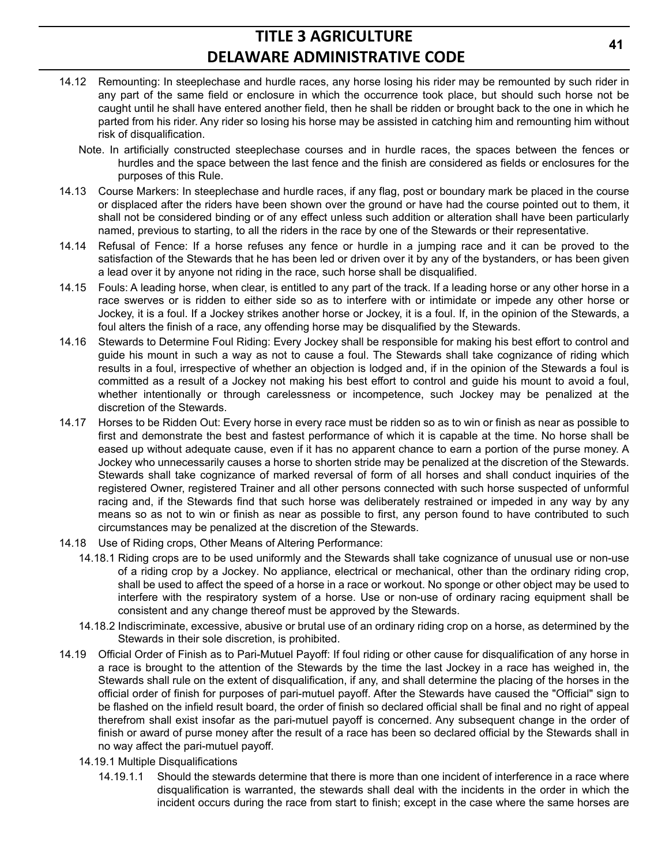- 14.12 Remounting: In steeplechase and hurdle races, any horse losing his rider may be remounted by such rider in any part of the same field or enclosure in which the occurrence took place, but should such horse not be caught until he shall have entered another field, then he shall be ridden or brought back to the one in which he parted from his rider. Any rider so losing his horse may be assisted in catching him and remounting him without risk of disqualification.
	- Note. In artificially constructed steeplechase courses and in hurdle races, the spaces between the fences or hurdles and the space between the last fence and the finish are considered as fields or enclosures for the purposes of this Rule.
- 14.13 Course Markers: In steeplechase and hurdle races, if any flag, post or boundary mark be placed in the course or displaced after the riders have been shown over the ground or have had the course pointed out to them, it shall not be considered binding or of any effect unless such addition or alteration shall have been particularly named, previous to starting, to all the riders in the race by one of the Stewards or their representative.
- 14.14 Refusal of Fence: If a horse refuses any fence or hurdle in a jumping race and it can be proved to the satisfaction of the Stewards that he has been led or driven over it by any of the bystanders, or has been given a lead over it by anyone not riding in the race, such horse shall be disqualified.
- 14.15 Fouls: A leading horse, when clear, is entitled to any part of the track. If a leading horse or any other horse in a race swerves or is ridden to either side so as to interfere with or intimidate or impede any other horse or Jockey, it is a foul. If a Jockey strikes another horse or Jockey, it is a foul. If, in the opinion of the Stewards, a foul alters the finish of a race, any offending horse may be disqualified by the Stewards.
- 14.16 Stewards to Determine Foul Riding: Every Jockey shall be responsible for making his best effort to control and guide his mount in such a way as not to cause a foul. The Stewards shall take cognizance of riding which results in a foul, irrespective of whether an objection is lodged and, if in the opinion of the Stewards a foul is committed as a result of a Jockey not making his best effort to control and guide his mount to avoid a foul, whether intentionally or through carelessness or incompetence, such Jockey may be penalized at the discretion of the Stewards.
- 14.17 Horses to be Ridden Out: Every horse in every race must be ridden so as to win or finish as near as possible to first and demonstrate the best and fastest performance of which it is capable at the time. No horse shall be eased up without adequate cause, even if it has no apparent chance to earn a portion of the purse money. A Jockey who unnecessarily causes a horse to shorten stride may be penalized at the discretion of the Stewards. Stewards shall take cognizance of marked reversal of form of all horses and shall conduct inquiries of the registered Owner, registered Trainer and all other persons connected with such horse suspected of unformful racing and, if the Stewards find that such horse was deliberately restrained or impeded in any way by any means so as not to win or finish as near as possible to first, any person found to have contributed to such circumstances may be penalized at the discretion of the Stewards.
- 14.18 Use of Riding crops, Other Means of Altering Performance:
	- 14.18.1 Riding crops are to be used uniformly and the Stewards shall take cognizance of unusual use or non-use of a riding crop by a Jockey. No appliance, electrical or mechanical, other than the ordinary riding crop, shall be used to affect the speed of a horse in a race or workout. No sponge or other object may be used to interfere with the respiratory system of a horse. Use or non-use of ordinary racing equipment shall be consistent and any change thereof must be approved by the Stewards.
	- 14.18.2 Indiscriminate, excessive, abusive or brutal use of an ordinary riding crop on a horse, as determined by the Stewards in their sole discretion, is prohibited.
- 14.19 Official Order of Finish as to Pari-Mutuel Payoff: If foul riding or other cause for disqualification of any horse in a race is brought to the attention of the Stewards by the time the last Jockey in a race has weighed in, the Stewards shall rule on the extent of disqualification, if any, and shall determine the placing of the horses in the official order of finish for purposes of pari-mutuel payoff. After the Stewards have caused the "Official" sign to be flashed on the infield result board, the order of finish so declared official shall be final and no right of appeal therefrom shall exist insofar as the pari-mutuel payoff is concerned. Any subsequent change in the order of finish or award of purse money after the result of a race has been so declared official by the Stewards shall in no way affect the pari-mutuel payoff.
	- 14.19.1 Multiple Disqualifications
		- 14.19.1.1 Should the stewards determine that there is more than one incident of interference in a race where disqualification is warranted, the stewards shall deal with the incidents in the order in which the incident occurs during the race from start to finish; except in the case where the same horses are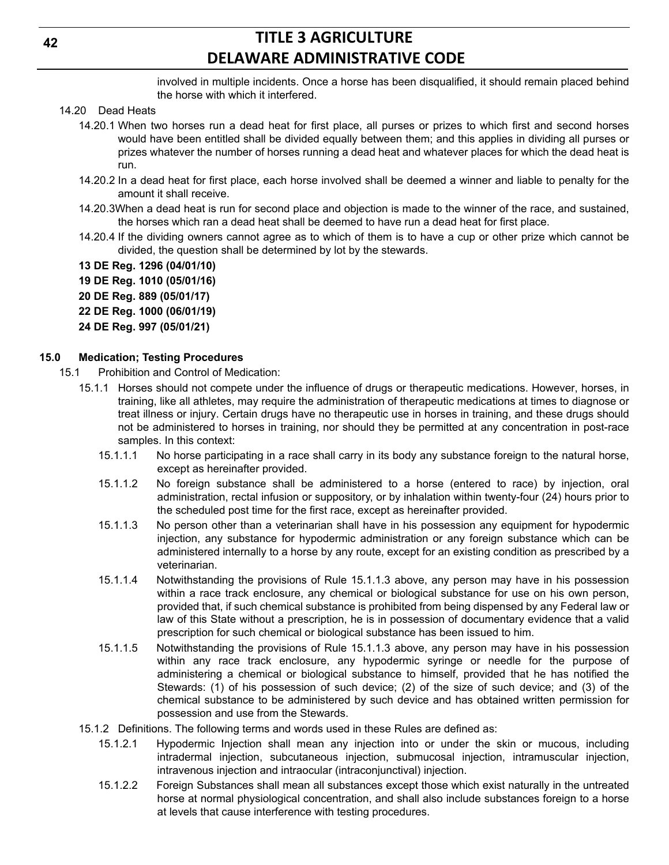involved in multiple incidents. Once a horse has been disqualified, it should remain placed behind the horse with which it interfered.

- 14.20 Dead Heats
	- 14.20.1 When two horses run a dead heat for first place, all purses or prizes to which first and second horses would have been entitled shall be divided equally between them; and this applies in dividing all purses or prizes whatever the number of horses running a dead heat and whatever places for which the dead heat is run.
	- 14.20.2 In a dead heat for first place, each horse involved shall be deemed a winner and liable to penalty for the amount it shall receive.
	- 14.20.3When a dead heat is run for second place and objection is made to the winner of the race, and sustained, the horses which ran a dead heat shall be deemed to have run a dead heat for first place.
	- 14.20.4 If the dividing owners cannot agree as to which of them is to have a cup or other prize which cannot be divided, the question shall be determined by lot by the stewards.
	- **13 DE Reg. 1296 (04/01/10)**

**19 DE Reg. 1010 (05/01/16)**

- **20 DE Reg. 889 (05/01/17)**
- **22 DE Reg. 1000 (06/01/19)**
- **24 DE Reg. 997 (05/01/21)**

#### **15.0 Medication; Testing Procedures**

- 15.1 Prohibition and Control of Medication:
	- 15.1.1 Horses should not compete under the influence of drugs or therapeutic medications. However, horses, in training, like all athletes, may require the administration of therapeutic medications at times to diagnose or treat illness or injury. Certain drugs have no therapeutic use in horses in training, and these drugs should not be administered to horses in training, nor should they be permitted at any concentration in post-race samples. In this context:
		- 15.1.1.1 No horse participating in a race shall carry in its body any substance foreign to the natural horse, except as hereinafter provided.
		- 15.1.1.2 No foreign substance shall be administered to a horse (entered to race) by injection, oral administration, rectal infusion or suppository, or by inhalation within twenty-four (24) hours prior to the scheduled post time for the first race, except as hereinafter provided.
		- 15.1.1.3 No person other than a veterinarian shall have in his possession any equipment for hypodermic injection, any substance for hypodermic administration or any foreign substance which can be administered internally to a horse by any route, except for an existing condition as prescribed by a veterinarian.
		- 15.1.1.4 Notwithstanding the provisions of Rule 15.1.1.3 above, any person may have in his possession within a race track enclosure, any chemical or biological substance for use on his own person, provided that, if such chemical substance is prohibited from being dispensed by any Federal law or law of this State without a prescription, he is in possession of documentary evidence that a valid prescription for such chemical or biological substance has been issued to him.
		- 15.1.1.5 Notwithstanding the provisions of Rule 15.1.1.3 above, any person may have in his possession within any race track enclosure, any hypodermic syringe or needle for the purpose of administering a chemical or biological substance to himself, provided that he has notified the Stewards: (1) of his possession of such device; (2) of the size of such device; and (3) of the chemical substance to be administered by such device and has obtained written permission for possession and use from the Stewards.
	- 15.1.2 Definitions. The following terms and words used in these Rules are defined as:
		- 15.1.2.1 Hypodermic Injection shall mean any injection into or under the skin or mucous, including intradermal injection, subcutaneous injection, submucosal injection, intramuscular injection, intravenous injection and intraocular (intraconjunctival) injection.
		- 15.1.2.2 Foreign Substances shall mean all substances except those which exist naturally in the untreated horse at normal physiological concentration, and shall also include substances foreign to a horse at levels that cause interference with testing procedures.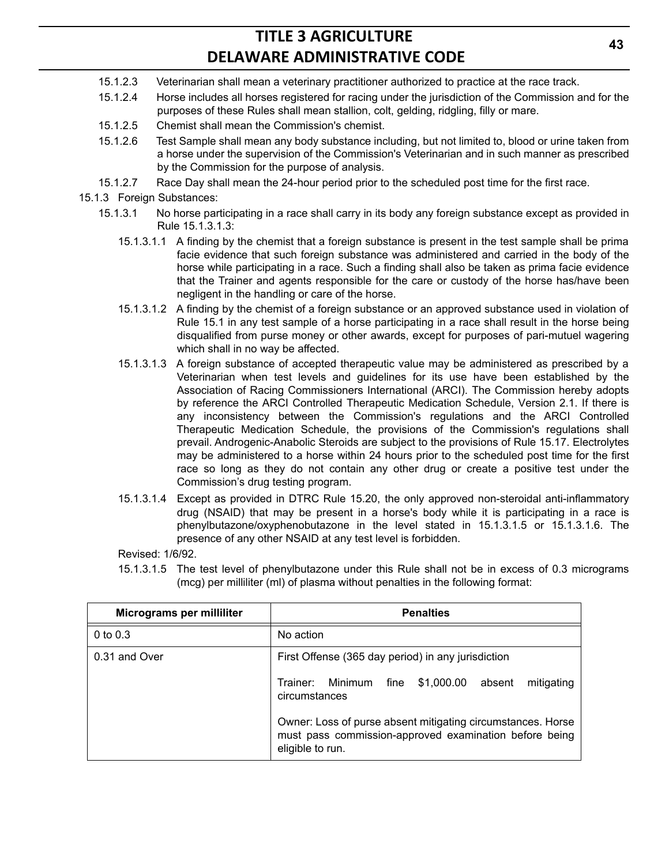- 15.1.2.3 Veterinarian shall mean a veterinary practitioner authorized to practice at the race track.
- 15.1.2.4 Horse includes all horses registered for racing under the jurisdiction of the Commission and for the purposes of these Rules shall mean stallion, colt, gelding, ridgling, filly or mare.
- 15.1.2.5 Chemist shall mean the Commission's chemist.
- 15.1.2.6 Test Sample shall mean any body substance including, but not limited to, blood or urine taken from a horse under the supervision of the Commission's Veterinarian and in such manner as prescribed by the Commission for the purpose of analysis.
- 15.1.2.7 Race Day shall mean the 24-hour period prior to the scheduled post time for the first race.
- 15.1.3 Foreign Substances:
	- 15.1.3.1 No horse participating in a race shall carry in its body any foreign substance except as provided in Rule 15.1.3.1.3:
		- 15.1.3.1.1 A finding by the chemist that a foreign substance is present in the test sample shall be prima facie evidence that such foreign substance was administered and carried in the body of the horse while participating in a race. Such a finding shall also be taken as prima facie evidence that the Trainer and agents responsible for the care or custody of the horse has/have been negligent in the handling or care of the horse.
		- 15.1.3.1.2 A finding by the chemist of a foreign substance or an approved substance used in violation of Rule 15.1 in any test sample of a horse participating in a race shall result in the horse being disqualified from purse money or other awards, except for purposes of pari-mutuel wagering which shall in no way be affected.
		- 15.1.3.1.3 A foreign substance of accepted therapeutic value may be administered as prescribed by a Veterinarian when test levels and guidelines for its use have been established by the Association of Racing Commissioners International (ARCI). The Commission hereby adopts by reference the ARCI Controlled Therapeutic Medication Schedule, Version 2.1. If there is any inconsistency between the Commission's regulations and the ARCI Controlled Therapeutic Medication Schedule, the provisions of the Commission's regulations shall prevail. Androgenic-Anabolic Steroids are subject to the provisions of Rule 15.17. Electrolytes may be administered to a horse within 24 hours prior to the scheduled post time for the first race so long as they do not contain any other drug or create a positive test under the Commission's drug testing program.
		- 15.1.3.1.4 Except as provided in DTRC Rule 15.20, the only approved non-steroidal anti-inflammatory drug (NSAID) that may be present in a horse's body while it is participating in a race is phenylbutazone/oxyphenobutazone in the level stated in 15.1.3.1.5 or 15.1.3.1.6. The presence of any other NSAID at any test level is forbidden.

Revised: 1/6/92.

15.1.3.1.5 The test level of phenylbutazone under this Rule shall not be in excess of 0.3 micrograms (mcg) per milliliter (ml) of plasma without penalties in the following format:

| Micrograms per milliliter | <b>Penalties</b>                                                                                                                          |  |  |  |  |  |  |  |
|---------------------------|-------------------------------------------------------------------------------------------------------------------------------------------|--|--|--|--|--|--|--|
| $0$ to $0.3$              | No action                                                                                                                                 |  |  |  |  |  |  |  |
| 0.31 and Over             | First Offense (365 day period) in any jurisdiction                                                                                        |  |  |  |  |  |  |  |
|                           | Trainer: Minimum fine<br>\$1,000.00<br>mitigating<br>absent<br>circumstances                                                              |  |  |  |  |  |  |  |
|                           | Owner: Loss of purse absent mitigating circumstances. Horse<br>must pass commission-approved examination before being<br>eligible to run. |  |  |  |  |  |  |  |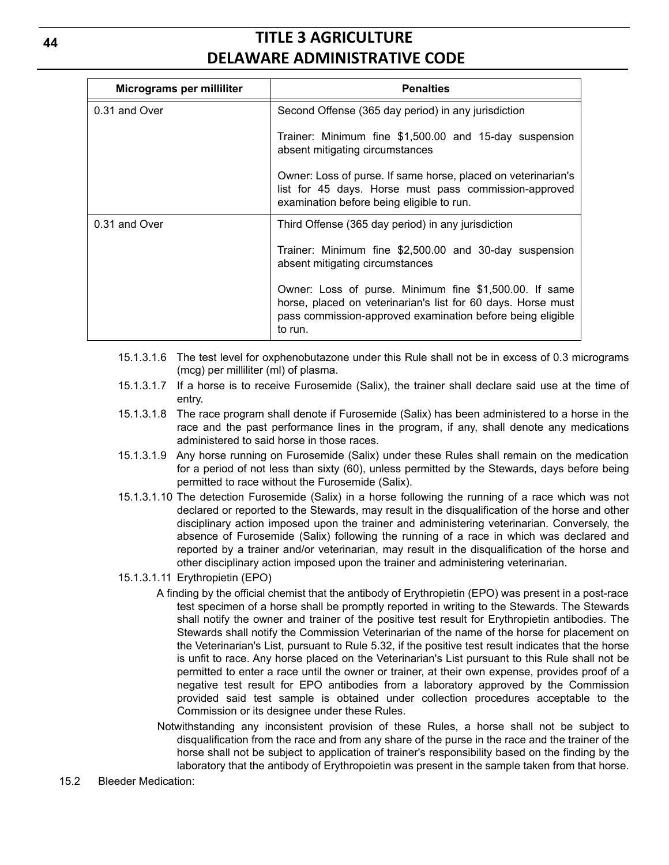| Micrograms per milliliter | <b>Penalties</b>                                                                                                                                                                                |
|---------------------------|-------------------------------------------------------------------------------------------------------------------------------------------------------------------------------------------------|
| 0.31 and Over             | Second Offense (365 day period) in any jurisdiction                                                                                                                                             |
|                           | Trainer: Minimum fine \$1,500.00 and 15-day suspension<br>absent mitigating circumstances                                                                                                       |
|                           | Owner: Loss of purse. If same horse, placed on veterinarian's<br>list for 45 days. Horse must pass commission-approved<br>examination before being eligible to run.                             |
| 0.31 and Over             | Third Offense (365 day period) in any jurisdiction                                                                                                                                              |
|                           | Trainer: Minimum fine \$2,500.00 and 30-day suspension<br>absent mitigating circumstances                                                                                                       |
|                           | Owner: Loss of purse. Minimum fine \$1,500.00. If same<br>horse, placed on veterinarian's list for 60 days. Horse must<br>pass commission-approved examination before being eligible<br>to run. |

- 15.1.3.1.6 The test level for oxphenobutazone under this Rule shall not be in excess of 0.3 micrograms (mcg) per milliliter (ml) of plasma.
- 15.1.3.1.7 If a horse is to receive Furosemide (Salix), the trainer shall declare said use at the time of entry.
- 15.1.3.1.8 The race program shall denote if Furosemide (Salix) has been administered to a horse in the race and the past performance lines in the program, if any, shall denote any medications administered to said horse in those races.
- 15.1.3.1.9 Any horse running on Furosemide (Salix) under these Rules shall remain on the medication for a period of not less than sixty (60), unless permitted by the Stewards, days before being permitted to race without the Furosemide (Salix).
- 15.1.3.1.10 The detection Furosemide (Salix) in a horse following the running of a race which was not declared or reported to the Stewards, may result in the disqualification of the horse and other disciplinary action imposed upon the trainer and administering veterinarian. Conversely, the absence of Furosemide (Salix) following the running of a race in which was declared and reported by a trainer and/or veterinarian, may result in the disqualification of the horse and other disciplinary action imposed upon the trainer and administering veterinarian.
- 15.1.3.1.11 Erythropietin (EPO)
	- A finding by the official chemist that the antibody of Erythropietin (EPO) was present in a post-race test specimen of a horse shall be promptly reported in writing to the Stewards. The Stewards shall notify the owner and trainer of the positive test result for Erythropietin antibodies. The Stewards shall notify the Commission Veterinarian of the name of the horse for placement on the Veterinarian's List, pursuant to Rule 5.32, if the positive test result indicates that the horse is unfit to race. Any horse placed on the Veterinarian's List pursuant to this Rule shall not be permitted to enter a race until the owner or trainer, at their own expense, provides proof of a negative test result for EPO antibodies from a laboratory approved by the Commission provided said test sample is obtained under collection procedures acceptable to the Commission or its designee under these Rules.
	- Notwithstanding any inconsistent provision of these Rules, a horse shall not be subject to disqualification from the race and from any share of the purse in the race and the trainer of the horse shall not be subject to application of trainer's responsibility based on the finding by the laboratory that the antibody of Erythropoietin was present in the sample taken from that horse.
- 15.2 Bleeder Medication: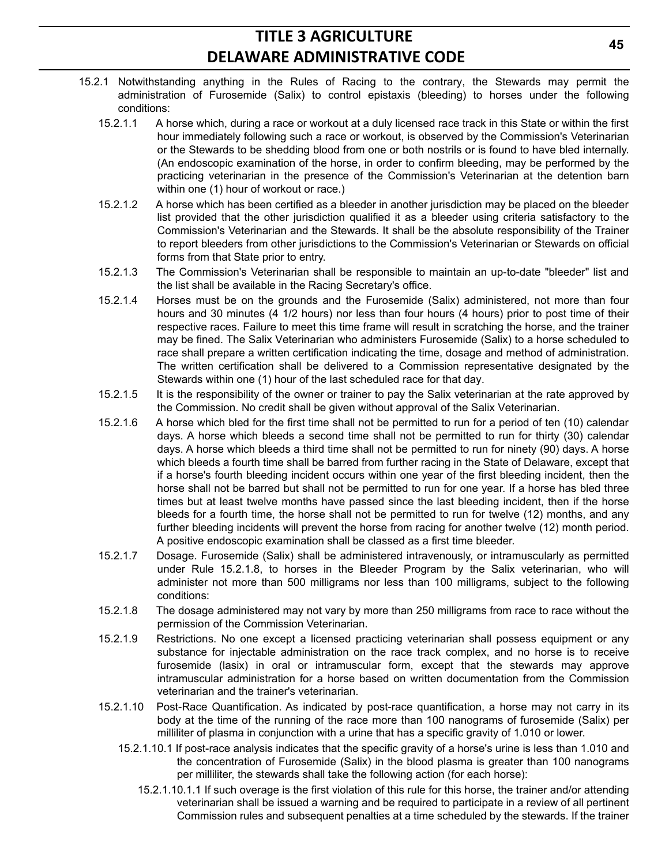- 15.2.1 Notwithstanding anything in the Rules of Racing to the contrary, the Stewards may permit the administration of Furosemide (Salix) to control epistaxis (bleeding) to horses under the following conditions:
	- 15.2.1.1 A horse which, during a race or workout at a duly licensed race track in this State or within the first hour immediately following such a race or workout, is observed by the Commission's Veterinarian or the Stewards to be shedding blood from one or both nostrils or is found to have bled internally. (An endoscopic examination of the horse, in order to confirm bleeding, may be performed by the practicing veterinarian in the presence of the Commission's Veterinarian at the detention barn within one (1) hour of workout or race.)
	- 15.2.1.2 A horse which has been certified as a bleeder in another jurisdiction may be placed on the bleeder list provided that the other jurisdiction qualified it as a bleeder using criteria satisfactory to the Commission's Veterinarian and the Stewards. It shall be the absolute responsibility of the Trainer to report bleeders from other jurisdictions to the Commission's Veterinarian or Stewards on official forms from that State prior to entry.
	- 15.2.1.3 The Commission's Veterinarian shall be responsible to maintain an up-to-date "bleeder" list and the list shall be available in the Racing Secretary's office.
	- 15.2.1.4 Horses must be on the grounds and the Furosemide (Salix) administered, not more than four hours and 30 minutes (4 1/2 hours) nor less than four hours (4 hours) prior to post time of their respective races. Failure to meet this time frame will result in scratching the horse, and the trainer may be fined. The Salix Veterinarian who administers Furosemide (Salix) to a horse scheduled to race shall prepare a written certification indicating the time, dosage and method of administration. The written certification shall be delivered to a Commission representative designated by the Stewards within one (1) hour of the last scheduled race for that day.
	- 15.2.1.5 It is the responsibility of the owner or trainer to pay the Salix veterinarian at the rate approved by the Commission. No credit shall be given without approval of the Salix Veterinarian.
	- 15.2.1.6 A horse which bled for the first time shall not be permitted to run for a period of ten (10) calendar days. A horse which bleeds a second time shall not be permitted to run for thirty (30) calendar days. A horse which bleeds a third time shall not be permitted to run for ninety (90) days. A horse which bleeds a fourth time shall be barred from further racing in the State of Delaware, except that if a horse's fourth bleeding incident occurs within one year of the first bleeding incident, then the horse shall not be barred but shall not be permitted to run for one year. If a horse has bled three times but at least twelve months have passed since the last bleeding incident, then if the horse bleeds for a fourth time, the horse shall not be permitted to run for twelve (12) months, and any further bleeding incidents will prevent the horse from racing for another twelve (12) month period. A positive endoscopic examination shall be classed as a first time bleeder.
	- 15.2.1.7 Dosage. Furosemide (Salix) shall be administered intravenously, or intramuscularly as permitted under Rule 15.2.1.8, to horses in the Bleeder Program by the Salix veterinarian, who will administer not more than 500 milligrams nor less than 100 milligrams, subject to the following conditions:
	- 15.2.1.8 The dosage administered may not vary by more than 250 milligrams from race to race without the permission of the Commission Veterinarian.
	- 15.2.1.9 Restrictions. No one except a licensed practicing veterinarian shall possess equipment or any substance for injectable administration on the race track complex, and no horse is to receive furosemide (lasix) in oral or intramuscular form, except that the stewards may approve intramuscular administration for a horse based on written documentation from the Commission veterinarian and the trainer's veterinarian.
	- 15.2.1.10 Post-Race Quantification. As indicated by post-race quantification, a horse may not carry in its body at the time of the running of the race more than 100 nanograms of furosemide (Salix) per milliliter of plasma in conjunction with a urine that has a specific gravity of 1.010 or lower.
		- 15.2.1.10.1 If post-race analysis indicates that the specific gravity of a horse's urine is less than 1.010 and the concentration of Furosemide (Salix) in the blood plasma is greater than 100 nanograms per milliliter, the stewards shall take the following action (for each horse):
			- 15.2.1.10.1.1 If such overage is the first violation of this rule for this horse, the trainer and/or attending veterinarian shall be issued a warning and be required to participate in a review of all pertinent Commission rules and subsequent penalties at a time scheduled by the stewards. If the trainer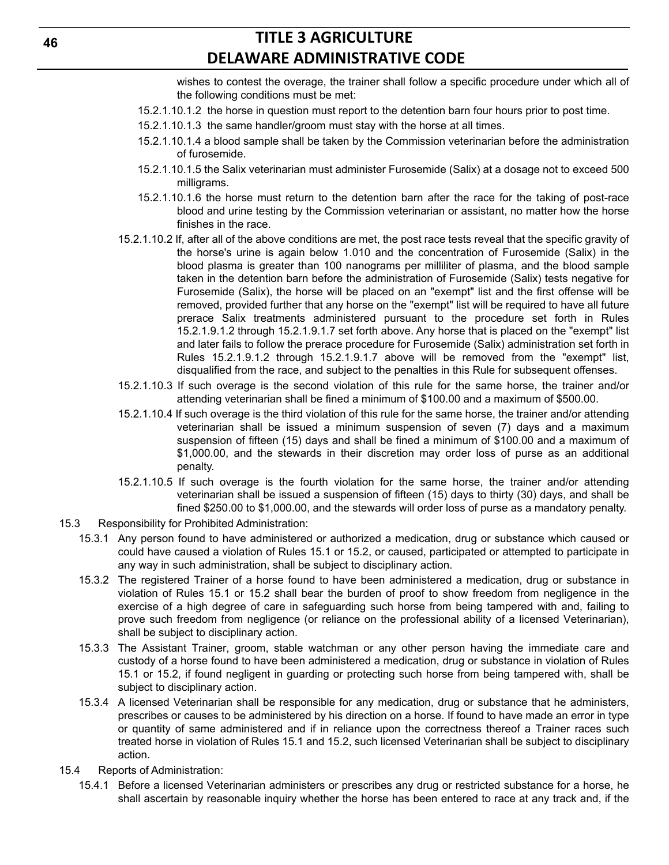wishes to contest the overage, the trainer shall follow a specific procedure under which all of the following conditions must be met:

- 15.2.1.10.1.2 the horse in question must report to the detention barn four hours prior to post time.
- 15.2.1.10.1.3 the same handler/groom must stay with the horse at all times.
- 15.2.1.10.1.4 a blood sample shall be taken by the Commission veterinarian before the administration of furosemide.
- 15.2.1.10.1.5 the Salix veterinarian must administer Furosemide (Salix) at a dosage not to exceed 500 milligrams.
- 15.2.1.10.1.6 the horse must return to the detention barn after the race for the taking of post-race blood and urine testing by the Commission veterinarian or assistant, no matter how the horse finishes in the race.
- 15.2.1.10.2 If, after all of the above conditions are met, the post race tests reveal that the specific gravity of the horse's urine is again below 1.010 and the concentration of Furosemide (Salix) in the blood plasma is greater than 100 nanograms per milliliter of plasma, and the blood sample taken in the detention barn before the administration of Furosemide (Salix) tests negative for Furosemide (Salix), the horse will be placed on an "exempt" list and the first offense will be removed, provided further that any horse on the "exempt" list will be required to have all future prerace Salix treatments administered pursuant to the procedure set forth in Rules 15.2.1.9.1.2 through 15.2.1.9.1.7 set forth above. Any horse that is placed on the "exempt" list and later fails to follow the prerace procedure for Furosemide (Salix) administration set forth in Rules 15.2.1.9.1.2 through 15.2.1.9.1.7 above will be removed from the "exempt" list, disqualified from the race, and subject to the penalties in this Rule for subsequent offenses.
- 15.2.1.10.3 If such overage is the second violation of this rule for the same horse, the trainer and/or attending veterinarian shall be fined a minimum of \$100.00 and a maximum of \$500.00.
- 15.2.1.10.4 If such overage is the third violation of this rule for the same horse, the trainer and/or attending veterinarian shall be issued a minimum suspension of seven (7) days and a maximum suspension of fifteen (15) days and shall be fined a minimum of \$100.00 and a maximum of \$1,000.00, and the stewards in their discretion may order loss of purse as an additional penalty.
- 15.2.1.10.5 If such overage is the fourth violation for the same horse, the trainer and/or attending veterinarian shall be issued a suspension of fifteen (15) days to thirty (30) days, and shall be fined \$250.00 to \$1,000.00, and the stewards will order loss of purse as a mandatory penalty.
- 15.3 Responsibility for Prohibited Administration:
	- 15.3.1 Any person found to have administered or authorized a medication, drug or substance which caused or could have caused a violation of Rules 15.1 or 15.2, or caused, participated or attempted to participate in any way in such administration, shall be subject to disciplinary action.
	- 15.3.2 The registered Trainer of a horse found to have been administered a medication, drug or substance in violation of Rules 15.1 or 15.2 shall bear the burden of proof to show freedom from negligence in the exercise of a high degree of care in safeguarding such horse from being tampered with and, failing to prove such freedom from negligence (or reliance on the professional ability of a licensed Veterinarian), shall be subject to disciplinary action.
	- 15.3.3 The Assistant Trainer, groom, stable watchman or any other person having the immediate care and custody of a horse found to have been administered a medication, drug or substance in violation of Rules 15.1 or 15.2, if found negligent in guarding or protecting such horse from being tampered with, shall be subject to disciplinary action.
	- 15.3.4 A licensed Veterinarian shall be responsible for any medication, drug or substance that he administers, prescribes or causes to be administered by his direction on a horse. If found to have made an error in type or quantity of same administered and if in reliance upon the correctness thereof a Trainer races such treated horse in violation of Rules 15.1 and 15.2, such licensed Veterinarian shall be subject to disciplinary action.
- 15.4 Reports of Administration:
	- 15.4.1 Before a licensed Veterinarian administers or prescribes any drug or restricted substance for a horse, he shall ascertain by reasonable inquiry whether the horse has been entered to race at any track and, if the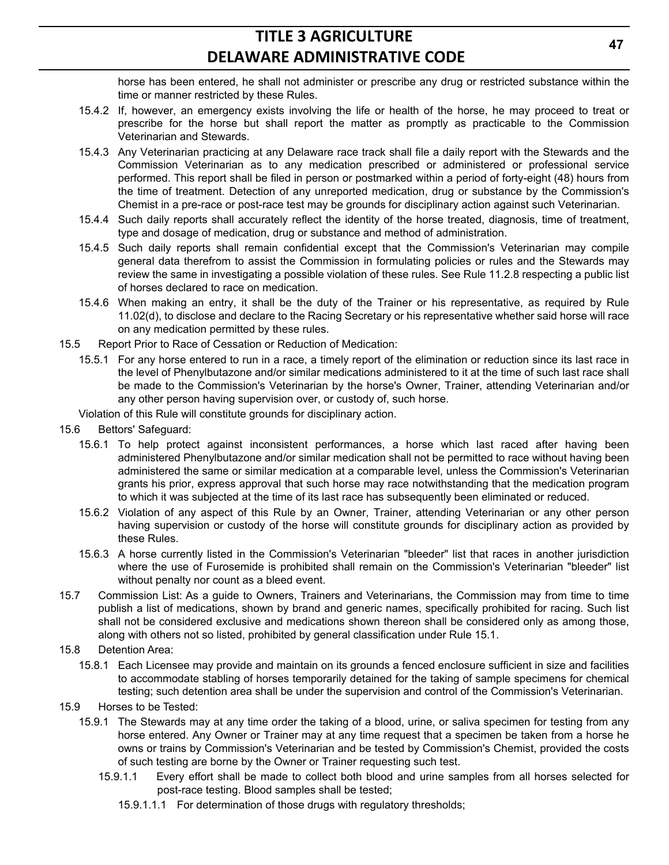horse has been entered, he shall not administer or prescribe any drug or restricted substance within the time or manner restricted by these Rules.

- 15.4.2 If, however, an emergency exists involving the life or health of the horse, he may proceed to treat or prescribe for the horse but shall report the matter as promptly as practicable to the Commission Veterinarian and Stewards.
- 15.4.3 Any Veterinarian practicing at any Delaware race track shall file a daily report with the Stewards and the Commission Veterinarian as to any medication prescribed or administered or professional service performed. This report shall be filed in person or postmarked within a period of forty-eight (48) hours from the time of treatment. Detection of any unreported medication, drug or substance by the Commission's Chemist in a pre-race or post-race test may be grounds for disciplinary action against such Veterinarian.
- 15.4.4 Such daily reports shall accurately reflect the identity of the horse treated, diagnosis, time of treatment, type and dosage of medication, drug or substance and method of administration.
- 15.4.5 Such daily reports shall remain confidential except that the Commission's Veterinarian may compile general data therefrom to assist the Commission in formulating policies or rules and the Stewards may review the same in investigating a possible violation of these rules. See Rule 11.2.8 respecting a public list of horses declared to race on medication.
- 15.4.6 When making an entry, it shall be the duty of the Trainer or his representative, as required by Rule 11.02(d), to disclose and declare to the Racing Secretary or his representative whether said horse will race on any medication permitted by these rules.
- 15.5 Report Prior to Race of Cessation or Reduction of Medication:
	- 15.5.1 For any horse entered to run in a race, a timely report of the elimination or reduction since its last race in the level of Phenylbutazone and/or similar medications administered to it at the time of such last race shall be made to the Commission's Veterinarian by the horse's Owner, Trainer, attending Veterinarian and/or any other person having supervision over, or custody of, such horse.
	- Violation of this Rule will constitute grounds for disciplinary action.
- 15.6 Bettors' Safeguard:
	- 15.6.1 To help protect against inconsistent performances, a horse which last raced after having been administered Phenylbutazone and/or similar medication shall not be permitted to race without having been administered the same or similar medication at a comparable level, unless the Commission's Veterinarian grants his prior, express approval that such horse may race notwithstanding that the medication program to which it was subjected at the time of its last race has subsequently been eliminated or reduced.
	- 15.6.2 Violation of any aspect of this Rule by an Owner, Trainer, attending Veterinarian or any other person having supervision or custody of the horse will constitute grounds for disciplinary action as provided by these Rules.
	- 15.6.3 A horse currently listed in the Commission's Veterinarian "bleeder" list that races in another jurisdiction where the use of Furosemide is prohibited shall remain on the Commission's Veterinarian "bleeder" list without penalty nor count as a bleed event.
- 15.7 Commission List: As a guide to Owners, Trainers and Veterinarians, the Commission may from time to time publish a list of medications, shown by brand and generic names, specifically prohibited for racing. Such list shall not be considered exclusive and medications shown thereon shall be considered only as among those, along with others not so listed, prohibited by general classification under Rule 15.1.
- 15.8 Detention Area:
	- 15.8.1 Each Licensee may provide and maintain on its grounds a fenced enclosure sufficient in size and facilities to accommodate stabling of horses temporarily detained for the taking of sample specimens for chemical testing; such detention area shall be under the supervision and control of the Commission's Veterinarian.
- 15.9 Horses to be Tested:
	- 15.9.1 The Stewards may at any time order the taking of a blood, urine, or saliva specimen for testing from any horse entered. Any Owner or Trainer may at any time request that a specimen be taken from a horse he owns or trains by Commission's Veterinarian and be tested by Commission's Chemist, provided the costs of such testing are borne by the Owner or Trainer requesting such test.
		- 15.9.1.1 Every effort shall be made to collect both blood and urine samples from all horses selected for post-race testing. Blood samples shall be tested;
			- 15.9.1.1.1 For determination of those drugs with regulatory thresholds;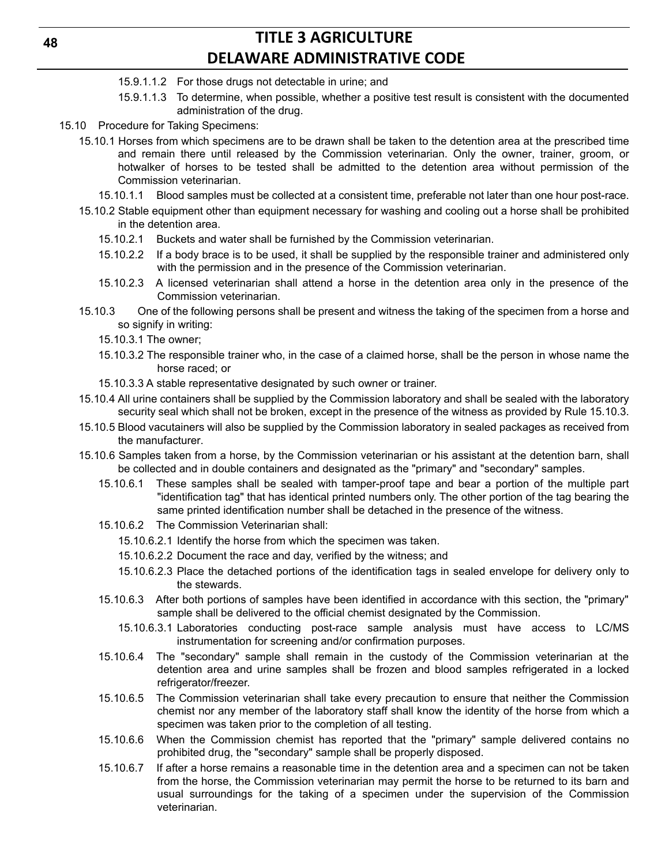**48**

- 15.9.1.1.2 For those drugs not detectable in urine; and
- 15.9.1.1.3 To determine, when possible, whether a positive test result is consistent with the documented administration of the drug.
- 15.10 Procedure for Taking Specimens:
	- 15.10.1 Horses from which specimens are to be drawn shall be taken to the detention area at the prescribed time and remain there until released by the Commission veterinarian. Only the owner, trainer, groom, or hotwalker of horses to be tested shall be admitted to the detention area without permission of the Commission veterinarian.
		- 15.10.1.1 Blood samples must be collected at a consistent time, preferable not later than one hour post-race.
	- 15.10.2 Stable equipment other than equipment necessary for washing and cooling out a horse shall be prohibited in the detention area.
		- 15.10.2.1 Buckets and water shall be furnished by the Commission veterinarian.
		- 15.10.2.2 If a body brace is to be used, it shall be supplied by the responsible trainer and administered only with the permission and in the presence of the Commission veterinarian.
		- 15.10.2.3 A licensed veterinarian shall attend a horse in the detention area only in the presence of the Commission veterinarian.
	- 15.10.3 One of the following persons shall be present and witness the taking of the specimen from a horse and so signify in writing:
		- 15.10.3.1 The owner;
		- 15.10.3.2 The responsible trainer who, in the case of a claimed horse, shall be the person in whose name the horse raced; or
		- 15.10.3.3 A stable representative designated by such owner or trainer.
	- 15.10.4 All urine containers shall be supplied by the Commission laboratory and shall be sealed with the laboratory security seal which shall not be broken, except in the presence of the witness as provided by Rule 15.10.3.
	- 15.10.5 Blood vacutainers will also be supplied by the Commission laboratory in sealed packages as received from the manufacturer.
	- 15.10.6 Samples taken from a horse, by the Commission veterinarian or his assistant at the detention barn, shall be collected and in double containers and designated as the "primary" and "secondary" samples.
		- 15.10.6.1 These samples shall be sealed with tamper-proof tape and bear a portion of the multiple part "identification tag" that has identical printed numbers only. The other portion of the tag bearing the same printed identification number shall be detached in the presence of the witness.
		- 15.10.6.2 The Commission Veterinarian shall:
			- 15.10.6.2.1 Identify the horse from which the specimen was taken.
			- 15.10.6.2.2 Document the race and day, verified by the witness; and
			- 15.10.6.2.3 Place the detached portions of the identification tags in sealed envelope for delivery only to the stewards.
		- 15.10.6.3 After both portions of samples have been identified in accordance with this section, the "primary" sample shall be delivered to the official chemist designated by the Commission.
			- 15.10.6.3.1 Laboratories conducting post-race sample analysis must have access to LC/MS instrumentation for screening and/or confirmation purposes.
		- 15.10.6.4 The "secondary" sample shall remain in the custody of the Commission veterinarian at the detention area and urine samples shall be frozen and blood samples refrigerated in a locked refrigerator/freezer.
		- 15.10.6.5 The Commission veterinarian shall take every precaution to ensure that neither the Commission chemist nor any member of the laboratory staff shall know the identity of the horse from which a specimen was taken prior to the completion of all testing.
		- 15.10.6.6 When the Commission chemist has reported that the "primary" sample delivered contains no prohibited drug, the "secondary" sample shall be properly disposed.
		- 15.10.6.7 If after a horse remains a reasonable time in the detention area and a specimen can not be taken from the horse, the Commission veterinarian may permit the horse to be returned to its barn and usual surroundings for the taking of a specimen under the supervision of the Commission veterinarian.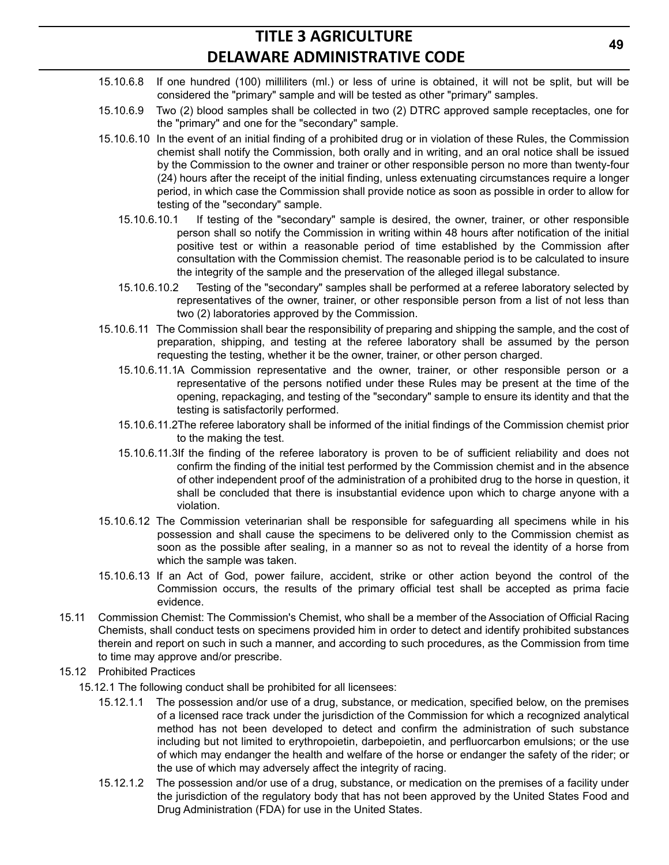- 15.10.6.8 If one hundred (100) milliliters (ml.) or less of urine is obtained, it will not be split, but will be considered the "primary" sample and will be tested as other "primary" samples.
- 15.10.6.9 Two (2) blood samples shall be collected in two (2) DTRC approved sample receptacles, one for the "primary" and one for the "secondary" sample.
- 15.10.6.10 In the event of an initial finding of a prohibited drug or in violation of these Rules, the Commission chemist shall notify the Commission, both orally and in writing, and an oral notice shall be issued by the Commission to the owner and trainer or other responsible person no more than twenty-four (24) hours after the receipt of the initial finding, unless extenuating circumstances require a longer period, in which case the Commission shall provide notice as soon as possible in order to allow for testing of the "secondary" sample.
	- 15.10.6.10.1 If testing of the "secondary" sample is desired, the owner, trainer, or other responsible person shall so notify the Commission in writing within 48 hours after notification of the initial positive test or within a reasonable period of time established by the Commission after consultation with the Commission chemist. The reasonable period is to be calculated to insure the integrity of the sample and the preservation of the alleged illegal substance.
	- 15.10.6.10.2 Testing of the "secondary" samples shall be performed at a referee laboratory selected by representatives of the owner, trainer, or other responsible person from a list of not less than two (2) laboratories approved by the Commission.
- 15.10.6.11 The Commission shall bear the responsibility of preparing and shipping the sample, and the cost of preparation, shipping, and testing at the referee laboratory shall be assumed by the person requesting the testing, whether it be the owner, trainer, or other person charged.
	- 15.10.6.11.1A Commission representative and the owner, trainer, or other responsible person or a representative of the persons notified under these Rules may be present at the time of the opening, repackaging, and testing of the "secondary" sample to ensure its identity and that the testing is satisfactorily performed.
	- 15.10.6.11.2The referee laboratory shall be informed of the initial findings of the Commission chemist prior to the making the test.
	- 15.10.6.11.3If the finding of the referee laboratory is proven to be of sufficient reliability and does not confirm the finding of the initial test performed by the Commission chemist and in the absence of other independent proof of the administration of a prohibited drug to the horse in question, it shall be concluded that there is insubstantial evidence upon which to charge anyone with a violation.
- 15.10.6.12 The Commission veterinarian shall be responsible for safeguarding all specimens while in his possession and shall cause the specimens to be delivered only to the Commission chemist as soon as the possible after sealing, in a manner so as not to reveal the identity of a horse from which the sample was taken.
- 15.10.6.13 If an Act of God, power failure, accident, strike or other action beyond the control of the Commission occurs, the results of the primary official test shall be accepted as prima facie evidence.
- 15.11 Commission Chemist: The Commission's Chemist, who shall be a member of the Association of Official Racing Chemists, shall conduct tests on specimens provided him in order to detect and identify prohibited substances therein and report on such in such a manner, and according to such procedures, as the Commission from time to time may approve and/or prescribe.
- 15.12 Prohibited Practices
	- 15.12.1 The following conduct shall be prohibited for all licensees:
		- 15.12.1.1 The possession and/or use of a drug, substance, or medication, specified below, on the premises of a licensed race track under the jurisdiction of the Commission for which a recognized analytical method has not been developed to detect and confirm the administration of such substance including but not limited to erythropoietin, darbepoietin, and perfluorcarbon emulsions; or the use of which may endanger the health and welfare of the horse or endanger the safety of the rider; or the use of which may adversely affect the integrity of racing.
		- 15.12.1.2 The possession and/or use of a drug, substance, or medication on the premises of a facility under the jurisdiction of the regulatory body that has not been approved by the United States Food and Drug Administration (FDA) for use in the United States.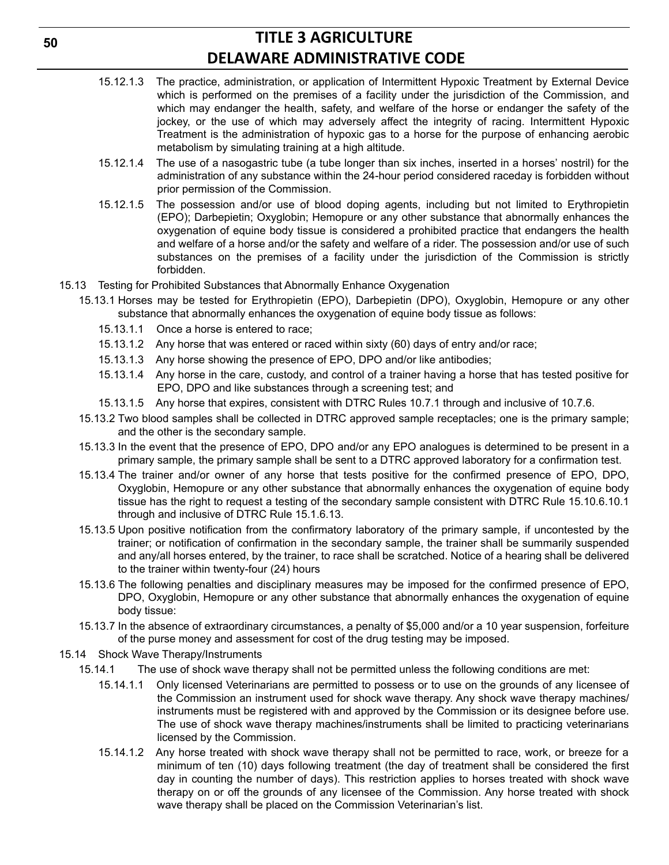- 15.12.1.3 The practice, administration, or application of Intermittent Hypoxic Treatment by External Device which is performed on the premises of a facility under the jurisdiction of the Commission, and which may endanger the health, safety, and welfare of the horse or endanger the safety of the jockey, or the use of which may adversely affect the integrity of racing. Intermittent Hypoxic Treatment is the administration of hypoxic gas to a horse for the purpose of enhancing aerobic metabolism by simulating training at a high altitude.
- 15.12.1.4 The use of a nasogastric tube (a tube longer than six inches, inserted in a horses' nostril) for the administration of any substance within the 24-hour period considered raceday is forbidden without prior permission of the Commission.
- 15.12.1.5 The possession and/or use of blood doping agents, including but not limited to Erythropietin (EPO); Darbepietin; Oxyglobin; Hemopure or any other substance that abnormally enhances the oxygenation of equine body tissue is considered a prohibited practice that endangers the health and welfare of a horse and/or the safety and welfare of a rider. The possession and/or use of such substances on the premises of a facility under the jurisdiction of the Commission is strictly forbidden.
- 15.13 Testing for Prohibited Substances that Abnormally Enhance Oxygenation
	- 15.13.1 Horses may be tested for Erythropietin (EPO), Darbepietin (DPO), Oxyglobin, Hemopure or any other substance that abnormally enhances the oxygenation of equine body tissue as follows:
		- 15.13.1.1 Once a horse is entered to race;
		- 15.13.1.2 Any horse that was entered or raced within sixty (60) days of entry and/or race;
		- 15.13.1.3 Any horse showing the presence of EPO, DPO and/or like antibodies;
		- 15.13.1.4 Any horse in the care, custody, and control of a trainer having a horse that has tested positive for EPO, DPO and like substances through a screening test; and
		- 15.13.1.5 Any horse that expires, consistent with DTRC Rules 10.7.1 through and inclusive of 10.7.6.
	- 15.13.2 Two blood samples shall be collected in DTRC approved sample receptacles; one is the primary sample; and the other is the secondary sample.
	- 15.13.3 In the event that the presence of EPO, DPO and/or any EPO analogues is determined to be present in a primary sample, the primary sample shall be sent to a DTRC approved laboratory for a confirmation test.
	- 15.13.4 The trainer and/or owner of any horse that tests positive for the confirmed presence of EPO, DPO, Oxyglobin, Hemopure or any other substance that abnormally enhances the oxygenation of equine body tissue has the right to request a testing of the secondary sample consistent with DTRC Rule 15.10.6.10.1 through and inclusive of DTRC Rule 15.1.6.13.
	- 15.13.5 Upon positive notification from the confirmatory laboratory of the primary sample, if uncontested by the trainer; or notification of confirmation in the secondary sample, the trainer shall be summarily suspended and any/all horses entered, by the trainer, to race shall be scratched. Notice of a hearing shall be delivered to the trainer within twenty-four (24) hours
	- 15.13.6 The following penalties and disciplinary measures may be imposed for the confirmed presence of EPO, DPO, Oxyglobin, Hemopure or any other substance that abnormally enhances the oxygenation of equine body tissue:
	- 15.13.7 In the absence of extraordinary circumstances, a penalty of \$5,000 and/or a 10 year suspension, forfeiture of the purse money and assessment for cost of the drug testing may be imposed.
- 15.14 Shock Wave Therapy/Instruments
	- 15.14.1 The use of shock wave therapy shall not be permitted unless the following conditions are met:
		- 15.14.1.1 Only licensed Veterinarians are permitted to possess or to use on the grounds of any licensee of the Commission an instrument used for shock wave therapy. Any shock wave therapy machines/ instruments must be registered with and approved by the Commission or its designee before use. The use of shock wave therapy machines/instruments shall be limited to practicing veterinarians licensed by the Commission.
		- 15.14.1.2 Any horse treated with shock wave therapy shall not be permitted to race, work, or breeze for a minimum of ten (10) days following treatment (the day of treatment shall be considered the first day in counting the number of days). This restriction applies to horses treated with shock wave therapy on or off the grounds of any licensee of the Commission. Any horse treated with shock wave therapy shall be placed on the Commission Veterinarian's list.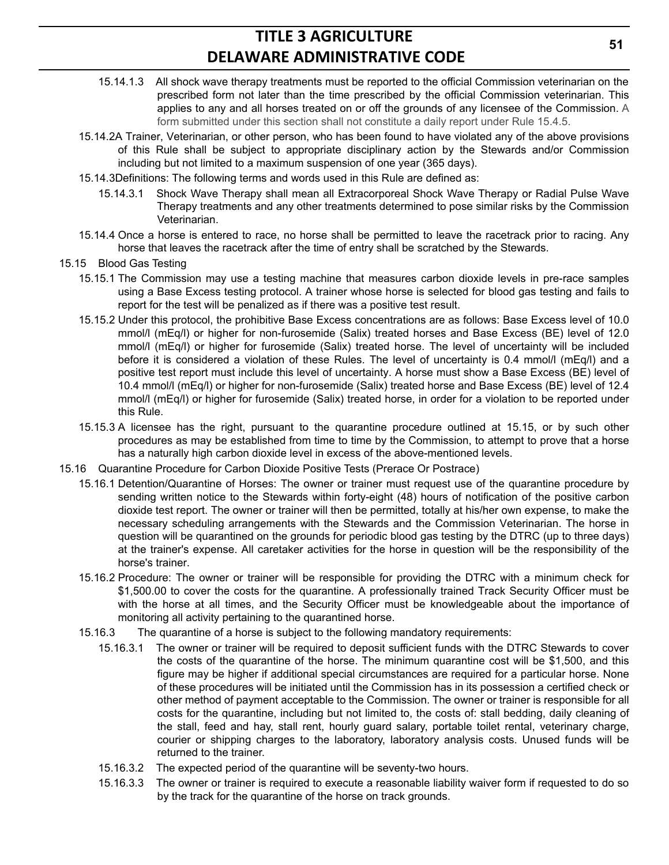- 15.14.1.3 All shock wave therapy treatments must be reported to the official Commission veterinarian on the prescribed form not later than the time prescribed by the official Commission veterinarian. This applies to any and all horses treated on or off the grounds of any licensee of the Commission. A form submitted under this section shall not constitute a daily report under Rule 15.4.5.
- 15.14.2A Trainer, Veterinarian, or other person, who has been found to have violated any of the above provisions of this Rule shall be subject to appropriate disciplinary action by the Stewards and/or Commission including but not limited to a maximum suspension of one year (365 days).
- 15.14.3Definitions: The following terms and words used in this Rule are defined as:
	- 15.14.3.1 Shock Wave Therapy shall mean all Extracorporeal Shock Wave Therapy or Radial Pulse Wave Therapy treatments and any other treatments determined to pose similar risks by the Commission Veterinarian.
- 15.14.4 Once a horse is entered to race, no horse shall be permitted to leave the racetrack prior to racing. Any horse that leaves the racetrack after the time of entry shall be scratched by the Stewards.
- 15.15 Blood Gas Testing
	- 15.15.1 The Commission may use a testing machine that measures carbon dioxide levels in pre-race samples using a Base Excess testing protocol. A trainer whose horse is selected for blood gas testing and fails to report for the test will be penalized as if there was a positive test result.
	- 15.15.2 Under this protocol, the prohibitive Base Excess concentrations are as follows: Base Excess level of 10.0 mmol/l (mEq/l) or higher for non-furosemide (Salix) treated horses and Base Excess (BE) level of 12.0 mmol/l (mEq/l) or higher for furosemide (Salix) treated horse. The level of uncertainty will be included before it is considered a violation of these Rules. The level of uncertainty is 0.4 mmol/l (mEq/l) and a positive test report must include this level of uncertainty. A horse must show a Base Excess (BE) level of 10.4 mmol/l (mEq/l) or higher for non-furosemide (Salix) treated horse and Base Excess (BE) level of 12.4 mmol/l (mEq/l) or higher for furosemide (Salix) treated horse, in order for a violation to be reported under this Rule.
	- 15.15.3 A licensee has the right, pursuant to the quarantine procedure outlined at 15.15, or by such other procedures as may be established from time to time by the Commission, to attempt to prove that a horse has a naturally high carbon dioxide level in excess of the above-mentioned levels.
- 15.16 Quarantine Procedure for Carbon Dioxide Positive Tests (Prerace Or Postrace)
	- 15.16.1 Detention/Quarantine of Horses: The owner or trainer must request use of the quarantine procedure by sending written notice to the Stewards within forty-eight (48) hours of notification of the positive carbon dioxide test report. The owner or trainer will then be permitted, totally at his/her own expense, to make the necessary scheduling arrangements with the Stewards and the Commission Veterinarian. The horse in question will be quarantined on the grounds for periodic blood gas testing by the DTRC (up to three days) at the trainer's expense. All caretaker activities for the horse in question will be the responsibility of the horse's trainer.
	- 15.16.2 Procedure: The owner or trainer will be responsible for providing the DTRC with a minimum check for \$1,500.00 to cover the costs for the quarantine. A professionally trained Track Security Officer must be with the horse at all times, and the Security Officer must be knowledgeable about the importance of monitoring all activity pertaining to the quarantined horse.
	- 15.16.3 The quarantine of a horse is subject to the following mandatory requirements:
		- 15.16.3.1 The owner or trainer will be required to deposit sufficient funds with the DTRC Stewards to cover the costs of the quarantine of the horse. The minimum quarantine cost will be \$1,500, and this figure may be higher if additional special circumstances are required for a particular horse. None of these procedures will be initiated until the Commission has in its possession a certified check or other method of payment acceptable to the Commission. The owner or trainer is responsible for all costs for the quarantine, including but not limited to, the costs of: stall bedding, daily cleaning of the stall, feed and hay, stall rent, hourly guard salary, portable toilet rental, veterinary charge, courier or shipping charges to the laboratory, laboratory analysis costs. Unused funds will be returned to the trainer.
		- 15.16.3.2 The expected period of the quarantine will be seventy-two hours.
		- 15.16.3.3 The owner or trainer is required to execute a reasonable liability waiver form if requested to do so by the track for the quarantine of the horse on track grounds.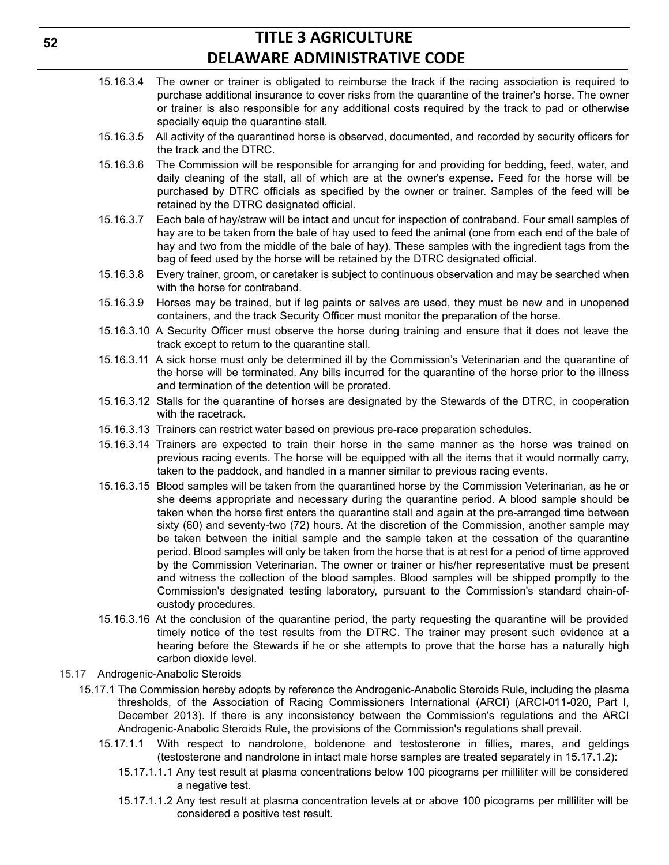- 15.16.3.4 The owner or trainer is obligated to reimburse the track if the racing association is required to purchase additional insurance to cover risks from the quarantine of the trainer's horse. The owner or trainer is also responsible for any additional costs required by the track to pad or otherwise specially equip the quarantine stall.
- 15.16.3.5 All activity of the quarantined horse is observed, documented, and recorded by security officers for the track and the DTRC.
- 15.16.3.6 The Commission will be responsible for arranging for and providing for bedding, feed, water, and daily cleaning of the stall, all of which are at the owner's expense. Feed for the horse will be purchased by DTRC officials as specified by the owner or trainer. Samples of the feed will be retained by the DTRC designated official.
- 15.16.3.7 Each bale of hay/straw will be intact and uncut for inspection of contraband. Four small samples of hay are to be taken from the bale of hay used to feed the animal (one from each end of the bale of hay and two from the middle of the bale of hay). These samples with the ingredient tags from the bag of feed used by the horse will be retained by the DTRC designated official.
- 15.16.3.8 Every trainer, groom, or caretaker is subject to continuous observation and may be searched when with the horse for contraband.
- 15.16.3.9 Horses may be trained, but if leg paints or salves are used, they must be new and in unopened containers, and the track Security Officer must monitor the preparation of the horse.
- 15.16.3.10 A Security Officer must observe the horse during training and ensure that it does not leave the track except to return to the quarantine stall.
- 15.16.3.11 A sick horse must only be determined ill by the Commission's Veterinarian and the quarantine of the horse will be terminated. Any bills incurred for the quarantine of the horse prior to the illness and termination of the detention will be prorated.
- 15.16.3.12 Stalls for the quarantine of horses are designated by the Stewards of the DTRC, in cooperation with the racetrack.
- 15.16.3.13 Trainers can restrict water based on previous pre-race preparation schedules.
- 15.16.3.14 Trainers are expected to train their horse in the same manner as the horse was trained on previous racing events. The horse will be equipped with all the items that it would normally carry, taken to the paddock, and handled in a manner similar to previous racing events.
- 15.16.3.15 Blood samples will be taken from the quarantined horse by the Commission Veterinarian, as he or she deems appropriate and necessary during the quarantine period. A blood sample should be taken when the horse first enters the quarantine stall and again at the pre-arranged time between sixty (60) and seventy-two (72) hours. At the discretion of the Commission, another sample may be taken between the initial sample and the sample taken at the cessation of the quarantine period. Blood samples will only be taken from the horse that is at rest for a period of time approved by the Commission Veterinarian. The owner or trainer or his/her representative must be present and witness the collection of the blood samples. Blood samples will be shipped promptly to the Commission's designated testing laboratory, pursuant to the Commission's standard chain-ofcustody procedures.
- 15.16.3.16 At the conclusion of the quarantine period, the party requesting the quarantine will be provided timely notice of the test results from the DTRC. The trainer may present such evidence at a hearing before the Stewards if he or she attempts to prove that the horse has a naturally high carbon dioxide level.
- 15.17 Androgenic-Anabolic Steroids
	- 15.17.1 The Commission hereby adopts by reference the Androgenic-Anabolic Steroids Rule, including the plasma thresholds, of the Association of Racing Commissioners International (ARCI) (ARCI-011-020, Part I, December 2013). If there is any inconsistency between the Commission's regulations and the ARCI Androgenic-Anabolic Steroids Rule, the provisions of the Commission's regulations shall prevail.
		- 15.17.1.1 With respect to nandrolone, boldenone and testosterone in fillies, mares, and geldings (testosterone and nandrolone in intact male horse samples are treated separately in 15.17.1.2):
			- 15.17.1.1.1 Any test result at plasma concentrations below 100 picograms per milliliter will be considered a negative test.
			- 15.17.1.1.2 Any test result at plasma concentration levels at or above 100 picograms per milliliter will be considered a positive test result.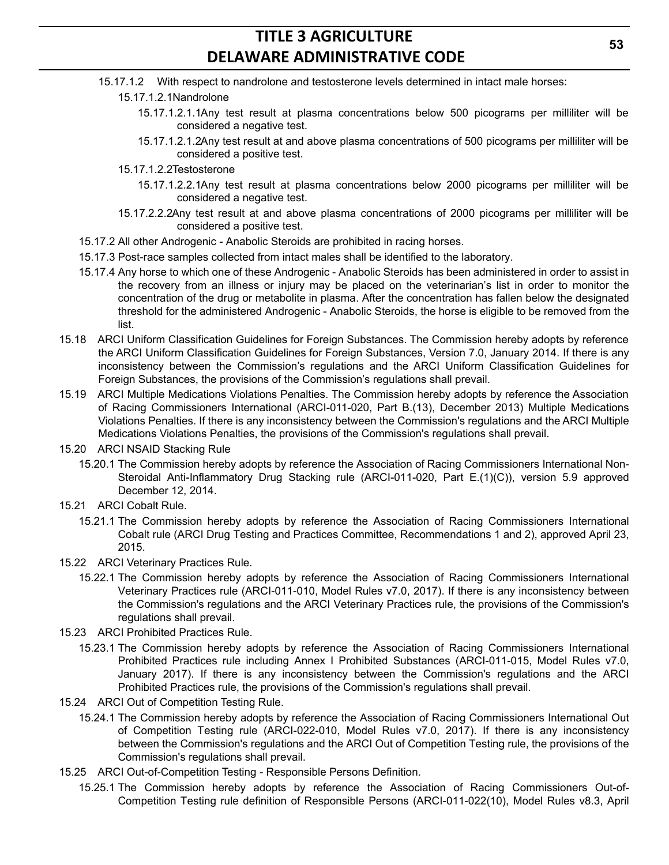- 15.17.1.2 With respect to nandrolone and testosterone levels determined in intact male horses:
	- 15.17.1.2.1Nandrolone
		- 15.17.1.2.1.1Any test result at plasma concentrations below 500 picograms per milliliter will be considered a negative test.
		- 15.17.1.2.1.2Any test result at and above plasma concentrations of 500 picograms per milliliter will be considered a positive test.
	- 15.17.1.2.2Testosterone
		- 15.17.1.2.2.1Any test result at plasma concentrations below 2000 picograms per milliliter will be considered a negative test.
	- 15.17.2.2.2Any test result at and above plasma concentrations of 2000 picograms per milliliter will be considered a positive test.
- 15.17.2 All other Androgenic Anabolic Steroids are prohibited in racing horses.
- 15.17.3 Post-race samples collected from intact males shall be identified to the laboratory.
- 15.17.4 Any horse to which one of these Androgenic Anabolic Steroids has been administered in order to assist in the recovery from an illness or injury may be placed on the veterinarian's list in order to monitor the concentration of the drug or metabolite in plasma. After the concentration has fallen below the designated threshold for the administered Androgenic - Anabolic Steroids, the horse is eligible to be removed from the list.
- 15.18 ARCI Uniform Classification Guidelines for Foreign Substances. The Commission hereby adopts by reference the ARCI Uniform Classification Guidelines for Foreign Substances, Version 7.0, January 2014. If there is any inconsistency between the Commission's regulations and the ARCI Uniform Classification Guidelines for Foreign Substances, the provisions of the Commission's regulations shall prevail.
- 15.19 ARCI Multiple Medications Violations Penalties. The Commission hereby adopts by reference the Association of Racing Commissioners International (ARCI-011-020, Part B.(13), December 2013) Multiple Medications Violations Penalties. If there is any inconsistency between the Commission's regulations and the ARCI Multiple Medications Violations Penalties, the provisions of the Commission's regulations shall prevail.
- 15.20 ARCI NSAID Stacking Rule
	- 15.20.1 The Commission hereby adopts by reference the Association of Racing Commissioners International Non-Steroidal Anti-Inflammatory Drug Stacking rule (ARCI-011-020, Part E.(1)(C)), version 5.9 approved December 12, 2014.
- 15.21 ARCI Cobalt Rule.
	- 15.21.1 The Commission hereby adopts by reference the Association of Racing Commissioners International Cobalt rule (ARCI Drug Testing and Practices Committee, Recommendations 1 and 2), approved April 23, 2015.
- 15.22 ARCI Veterinary Practices Rule.
	- 15.22.1 The Commission hereby adopts by reference the Association of Racing Commissioners International Veterinary Practices rule (ARCI-011-010, Model Rules v7.0, 2017). If there is any inconsistency between the Commission's regulations and the ARCI Veterinary Practices rule, the provisions of the Commission's regulations shall prevail.
- 15.23 ARCI Prohibited Practices Rule.
	- 15.23.1 The Commission hereby adopts by reference the Association of Racing Commissioners International Prohibited Practices rule including Annex I Prohibited Substances (ARCI-011-015, Model Rules v7.0, January 2017). If there is any inconsistency between the Commission's regulations and the ARCI Prohibited Practices rule, the provisions of the Commission's regulations shall prevail.
- 15.24 ARCI Out of Competition Testing Rule.
	- 15.24.1 The Commission hereby adopts by reference the Association of Racing Commissioners International Out of Competition Testing rule (ARCI-022-010, Model Rules v7.0, 2017). If there is any inconsistency between the Commission's regulations and the ARCI Out of Competition Testing rule, the provisions of the Commission's regulations shall prevail.
- 15.25 ARCI Out-of-Competition Testing Responsible Persons Definition.
	- 15.25.1 The Commission hereby adopts by reference the Association of Racing Commissioners Out-of-Competition Testing rule definition of Responsible Persons (ARCI-011-022(10), Model Rules v8.3, April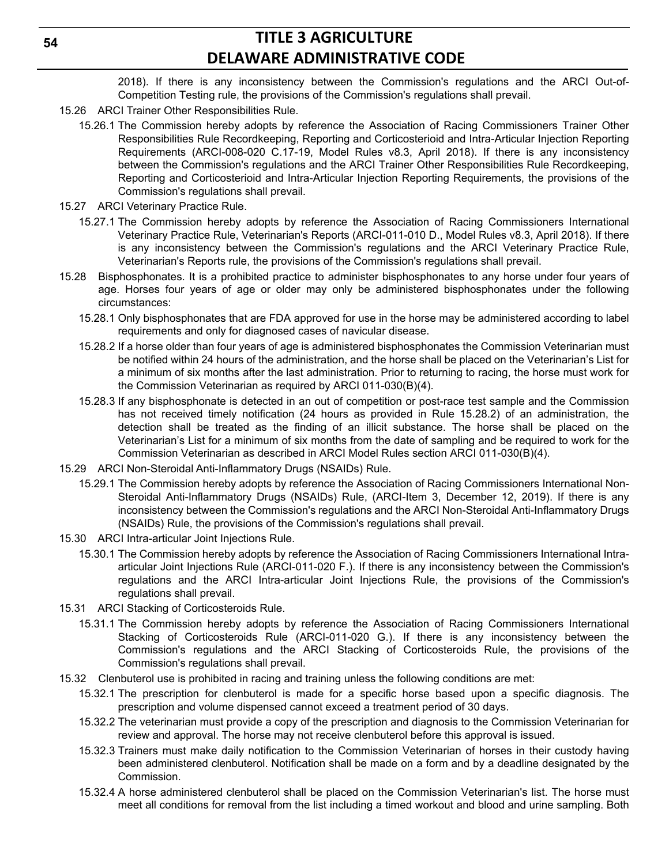2018). If there is any inconsistency between the Commission's regulations and the ARCI Out-of-Competition Testing rule, the provisions of the Commission's regulations shall prevail.

- 15.26 ARCI Trainer Other Responsibilities Rule.
	- 15.26.1 The Commission hereby adopts by reference the Association of Racing Commissioners Trainer Other Responsibilities Rule Recordkeeping, Reporting and Corticosterioid and Intra-Articular Injection Reporting Requirements (ARCI-008-020 C.17-19, Model Rules v8.3, April 2018). If there is any inconsistency between the Commission's regulations and the ARCI Trainer Other Responsibilities Rule Recordkeeping, Reporting and Corticosterioid and Intra-Articular Injection Reporting Requirements, the provisions of the Commission's regulations shall prevail.
- 15.27 ARCI Veterinary Practice Rule.
	- 15.27.1 The Commission hereby adopts by reference the Association of Racing Commissioners International Veterinary Practice Rule, Veterinarian's Reports (ARCI-011-010 D., Model Rules v8.3, April 2018). If there is any inconsistency between the Commission's regulations and the ARCI Veterinary Practice Rule, Veterinarian's Reports rule, the provisions of the Commission's regulations shall prevail.
- 15.28 Bisphosphonates. It is a prohibited practice to administer bisphosphonates to any horse under four years of age. Horses four years of age or older may only be administered bisphosphonates under the following circumstances:
	- 15.28.1 Only bisphosphonates that are FDA approved for use in the horse may be administered according to label requirements and only for diagnosed cases of navicular disease.
	- 15.28.2 If a horse older than four years of age is administered bisphosphonates the Commission Veterinarian must be notified within 24 hours of the administration, and the horse shall be placed on the Veterinarian's List for a minimum of six months after the last administration. Prior to returning to racing, the horse must work for the Commission Veterinarian as required by ARCI 011-030(B)(4).
	- 15.28.3 If any bisphosphonate is detected in an out of competition or post-race test sample and the Commission has not received timely notification (24 hours as provided in Rule 15.28.2) of an administration, the detection shall be treated as the finding of an illicit substance. The horse shall be placed on the Veterinarian's List for a minimum of six months from the date of sampling and be required to work for the Commission Veterinarian as described in ARCI Model Rules section ARCI 011-030(B)(4).
- 15.29 ARCI Non-Steroidal Anti-Inflammatory Drugs (NSAIDs) Rule.
	- 15.29.1 The Commission hereby adopts by reference the Association of Racing Commissioners International Non-Steroidal Anti-Inflammatory Drugs (NSAIDs) Rule, (ARCI-Item 3, December 12, 2019). If there is any inconsistency between the Commission's regulations and the ARCI Non-Steroidal Anti-Inflammatory Drugs (NSAIDs) Rule, the provisions of the Commission's regulations shall prevail.
- 15.30 ARCI Intra-articular Joint Injections Rule.
	- 15.30.1 The Commission hereby adopts by reference the Association of Racing Commissioners International Intraarticular Joint Injections Rule (ARCI-011-020 F.). If there is any inconsistency between the Commission's regulations and the ARCI Intra-articular Joint Injections Rule, the provisions of the Commission's regulations shall prevail.
- 15.31 ARCI Stacking of Corticosteroids Rule.
	- 15.31.1 The Commission hereby adopts by reference the Association of Racing Commissioners International Stacking of Corticosteroids Rule (ARCI-011-020 G.). If there is any inconsistency between the Commission's regulations and the ARCI Stacking of Corticosteroids Rule, the provisions of the Commission's regulations shall prevail.
- 15.32 Clenbuterol use is prohibited in racing and training unless the following conditions are met:
	- 15.32.1 The prescription for clenbuterol is made for a specific horse based upon a specific diagnosis. The prescription and volume dispensed cannot exceed a treatment period of 30 days.
	- 15.32.2 The veterinarian must provide a copy of the prescription and diagnosis to the Commission Veterinarian for review and approval. The horse may not receive clenbuterol before this approval is issued.
	- 15.32.3 Trainers must make daily notification to the Commission Veterinarian of horses in their custody having been administered clenbuterol. Notification shall be made on a form and by a deadline designated by the Commission.
	- 15.32.4 A horse administered clenbuterol shall be placed on the Commission Veterinarian's list. The horse must meet all conditions for removal from the list including a timed workout and blood and urine sampling. Both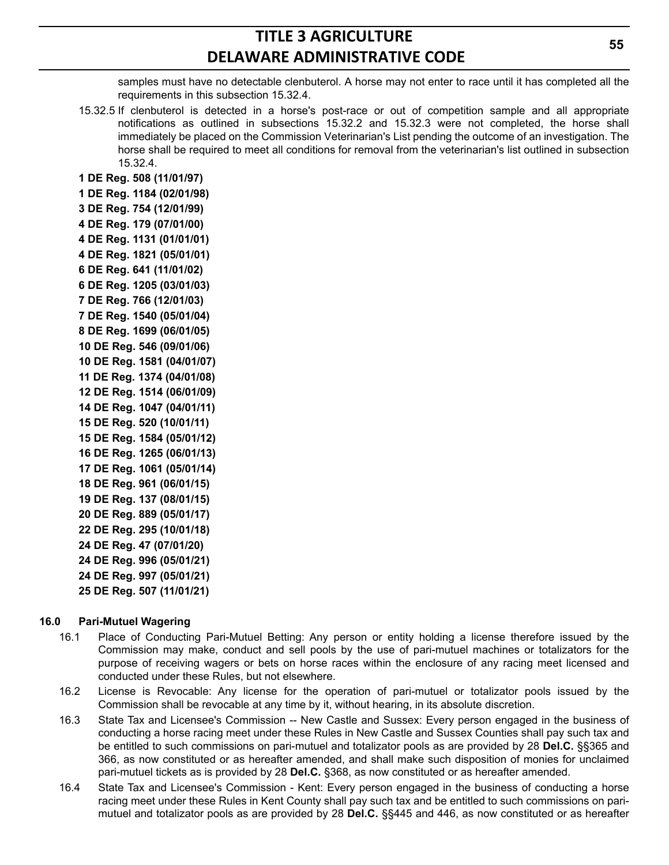samples must have no detectable clenbuterol. A horse may not enter to race until it has completed all the requirements in this subsection 15.32.4.

15.32.5 If clenbuterol is detected in a horse's post-race or out of competition sample and all appropriate notifications as outlined in subsections 15.32.2 and 15.32.3 were not completed, the horse shall immediately be placed on the Commission Veterinarian's List pending the outcome of an investigation. The horse shall be required to meet all conditions for removal from the veterinarian's list outlined in subsection 15.32.4.

**1 DE Reg. 508 (11/01/97) 1 DE Reg. 1184 (02/01/98) 3 DE Reg. 754 (12/01/99) 4 DE Reg. 179 (07/01/00) 4 DE Reg. 1131 (01/01/01) 4 DE Reg. 1821 (05/01/01) 6 DE Reg. 641 (11/01/02) 6 DE Reg. 1205 (03/01/03) 7 DE Reg. 766 (12/01/03) 7 DE Reg. 1540 (05/01/04) 8 DE Reg. 1699 (06/01/05) 10 DE Reg. 546 (09/01/06) 10 DE Reg. 1581 (04/01/07) 11 DE Reg. 1374 (04/01/08) 12 DE Reg. 1514 (06/01/09) 14 DE Reg. 1047 (04/01/11) 15 DE Reg. 520 (10/01/11) 15 DE Reg. 1584 (05/01/12) 16 DE Reg. 1265 (06/01/13) 17 DE Reg. 1061 (05/01/14) 18 DE Reg. 961 (06/01/15) 19 DE Reg. 137 (08/01/15) 20 DE Reg. 889 (05/01/17) 22 DE Reg. 295 (10/01/18) 24 DE Reg. 47 (07/01/20) 24 DE Reg. 996 (05/01/21) 24 DE Reg. 997 (05/01/21) 25 DE Reg. 507 (11/01/21)**

#### **16.0 Pari-Mutuel Wagering**

- 16.1 Place of Conducting Pari-Mutuel Betting: Any person or entity holding a license therefore issued by the Commission may make, conduct and sell pools by the use of pari-mutuel machines or totalizators for the purpose of receiving wagers or bets on horse races within the enclosure of any racing meet licensed and conducted under these Rules, but not elsewhere.
- 16.2 License is Revocable: Any license for the operation of pari-mutuel or totalizator pools issued by the Commission shall be revocable at any time by it, without hearing, in its absolute discretion.
- 16.3 State Tax and Licensee's Commission -- New Castle and Sussex: Every person engaged in the business of conducting a horse racing meet under these Rules in New Castle and Sussex Counties shall pay such tax and be entitled to such commissions on pari-mutuel and totalizator pools as are provided by 28 **Del.C.** §§365 and 366, as now constituted or as hereafter amended, and shall make such disposition of monies for unclaimed pari-mutuel tickets as is provided by 28 **Del.C.** §368, as now constituted or as hereafter amended.
- 16.4 State Tax and Licensee's Commission Kent: Every person engaged in the business of conducting a horse racing meet under these Rules in Kent County shall pay such tax and be entitled to such commissions on parimutuel and totalizator pools as are provided by 28 **Del.C.** §§445 and 446, as now constituted or as hereafter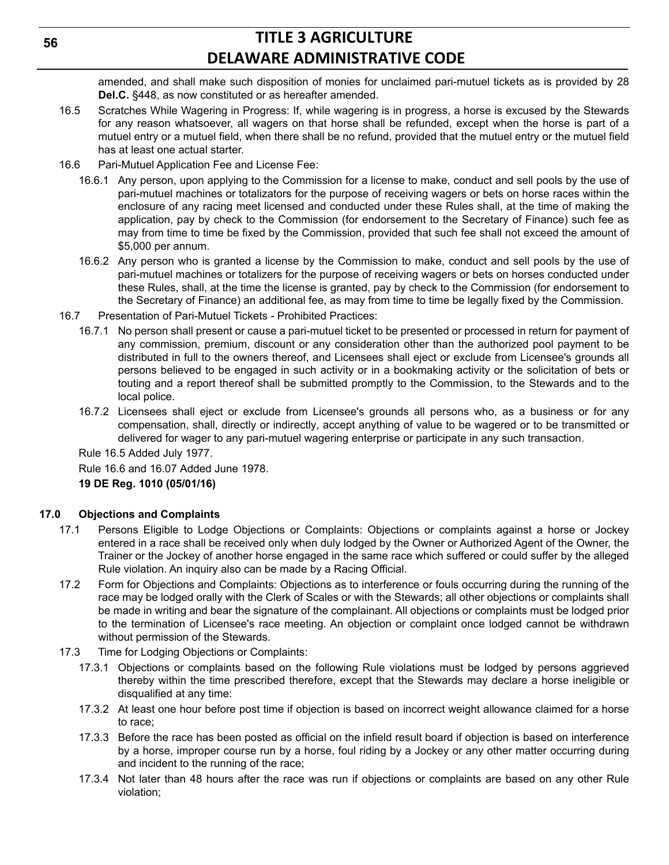amended, and shall make such disposition of monies for unclaimed pari-mutuel tickets as is provided by 28 **Del.C.** §448, as now constituted or as hereafter amended.

- 16.5 Scratches While Wagering in Progress: If, while wagering is in progress, a horse is excused by the Stewards for any reason whatsoever, all wagers on that horse shall be refunded, except when the horse is part of a mutuel entry or a mutuel field, when there shall be no refund, provided that the mutuel entry or the mutuel field has at least one actual starter.
- 16.6 Pari-Mutuel Application Fee and License Fee:
	- 16.6.1 Any person, upon applying to the Commission for a license to make, conduct and sell pools by the use of pari-mutuel machines or totalizators for the purpose of receiving wagers or bets on horse races within the enclosure of any racing meet licensed and conducted under these Rules shall, at the time of making the application, pay by check to the Commission (for endorsement to the Secretary of Finance) such fee as may from time to time be fixed by the Commission, provided that such fee shall not exceed the amount of \$5,000 per annum.
	- 16.6.2 Any person who is granted a license by the Commission to make, conduct and sell pools by the use of pari-mutuel machines or totalizers for the purpose of receiving wagers or bets on horses conducted under these Rules, shall, at the time the license is granted, pay by check to the Commission (for endorsement to the Secretary of Finance) an additional fee, as may from time to time be legally fixed by the Commission.
- 16.7 Presentation of Pari-Mutuel Tickets Prohibited Practices:
	- 16.7.1 No person shall present or cause a pari-mutuel ticket to be presented or processed in return for payment of any commission, premium, discount or any consideration other than the authorized pool payment to be distributed in full to the owners thereof, and Licensees shall eject or exclude from Licensee's grounds all persons believed to be engaged in such activity or in a bookmaking activity or the solicitation of bets or touting and a report thereof shall be submitted promptly to the Commission, to the Stewards and to the local police.
	- 16.7.2 Licensees shall eject or exclude from Licensee's grounds all persons who, as a business or for any compensation, shall, directly or indirectly, accept anything of value to be wagered or to be transmitted or delivered for wager to any pari-mutuel wagering enterprise or participate in any such transaction.

Rule 16.5 Added July 1977.

Rule 16.6 and 16.07 Added June 1978.

**19 DE Reg. 1010 (05/01/16)**

#### **17.0 Objections and Complaints**

- 17.1 Persons Eligible to Lodge Objections or Complaints: Objections or complaints against a horse or Jockey entered in a race shall be received only when duly lodged by the Owner or Authorized Agent of the Owner, the Trainer or the Jockey of another horse engaged in the same race which suffered or could suffer by the alleged Rule violation. An inquiry also can be made by a Racing Official.
- 17.2 Form for Objections and Complaints: Objections as to interference or fouls occurring during the running of the race may be lodged orally with the Clerk of Scales or with the Stewards; all other objections or complaints shall be made in writing and bear the signature of the complainant. All objections or complaints must be lodged prior to the termination of Licensee's race meeting. An objection or complaint once lodged cannot be withdrawn without permission of the Stewards.
- 17.3 Time for Lodging Objections or Complaints:
	- 17.3.1 Objections or complaints based on the following Rule violations must be lodged by persons aggrieved thereby within the time prescribed therefore, except that the Stewards may declare a horse ineligible or disqualified at any time:
	- 17.3.2 At least one hour before post time if objection is based on incorrect weight allowance claimed for a horse to race;
	- 17.3.3 Before the race has been posted as official on the infield result board if objection is based on interference by a horse, improper course run by a horse, foul riding by a Jockey or any other matter occurring during and incident to the running of the race;
	- 17.3.4 Not later than 48 hours after the race was run if objections or complaints are based on any other Rule violation;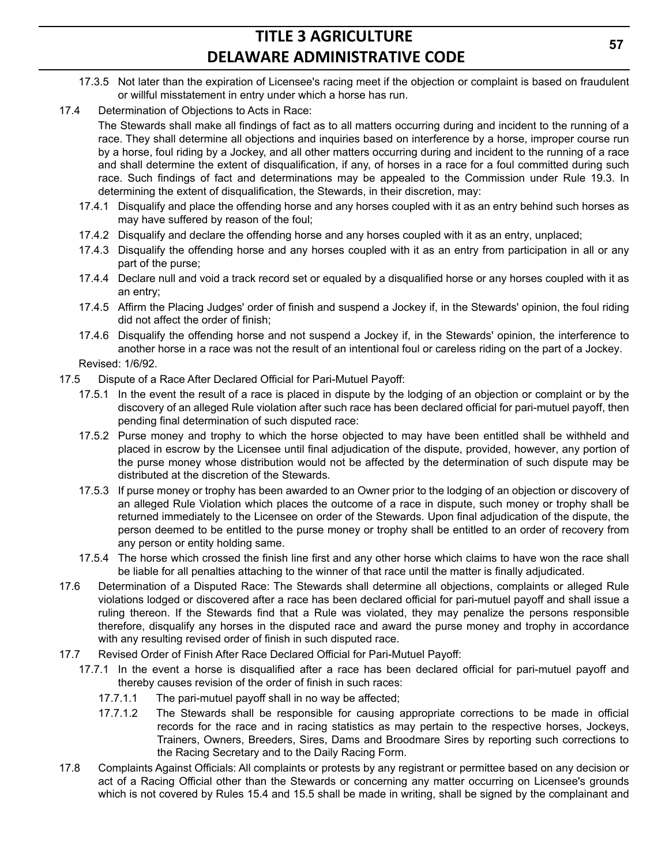- 17.3.5 Not later than the expiration of Licensee's racing meet if the objection or complaint is based on fraudulent or willful misstatement in entry under which a horse has run.
- 17.4 Determination of Objections to Acts in Race:

The Stewards shall make all findings of fact as to all matters occurring during and incident to the running of a race. They shall determine all objections and inquiries based on interference by a horse, improper course run by a horse, foul riding by a Jockey, and all other matters occurring during and incident to the running of a race and shall determine the extent of disqualification, if any, of horses in a race for a foul committed during such race. Such findings of fact and determinations may be appealed to the Commission under Rule 19.3. In determining the extent of disqualification, the Stewards, in their discretion, may:

- 17.4.1 Disqualify and place the offending horse and any horses coupled with it as an entry behind such horses as may have suffered by reason of the foul;
- 17.4.2 Disqualify and declare the offending horse and any horses coupled with it as an entry, unplaced;
- 17.4.3 Disqualify the offending horse and any horses coupled with it as an entry from participation in all or any part of the purse;
- 17.4.4 Declare null and void a track record set or equaled by a disqualified horse or any horses coupled with it as an entry;
- 17.4.5 Affirm the Placing Judges' order of finish and suspend a Jockey if, in the Stewards' opinion, the foul riding did not affect the order of finish;
- 17.4.6 Disqualify the offending horse and not suspend a Jockey if, in the Stewards' opinion, the interference to another horse in a race was not the result of an intentional foul or careless riding on the part of a Jockey. Revised: 1/6/92.
- 
- 17.5 Dispute of a Race After Declared Official for Pari-Mutuel Payoff:
	- 17.5.1 In the event the result of a race is placed in dispute by the lodging of an objection or complaint or by the discovery of an alleged Rule violation after such race has been declared official for pari-mutuel payoff, then pending final determination of such disputed race:
	- 17.5.2 Purse money and trophy to which the horse objected to may have been entitled shall be withheld and placed in escrow by the Licensee until final adjudication of the dispute, provided, however, any portion of the purse money whose distribution would not be affected by the determination of such dispute may be distributed at the discretion of the Stewards.
	- 17.5.3 If purse money or trophy has been awarded to an Owner prior to the lodging of an objection or discovery of an alleged Rule Violation which places the outcome of a race in dispute, such money or trophy shall be returned immediately to the Licensee on order of the Stewards. Upon final adjudication of the dispute, the person deemed to be entitled to the purse money or trophy shall be entitled to an order of recovery from any person or entity holding same.
	- 17.5.4 The horse which crossed the finish line first and any other horse which claims to have won the race shall be liable for all penalties attaching to the winner of that race until the matter is finally adjudicated.
- 17.6 Determination of a Disputed Race: The Stewards shall determine all objections, complaints or alleged Rule violations lodged or discovered after a race has been declared official for pari-mutuel payoff and shall issue a ruling thereon. If the Stewards find that a Rule was violated, they may penalize the persons responsible therefore, disqualify any horses in the disputed race and award the purse money and trophy in accordance with any resulting revised order of finish in such disputed race.
- 17.7 Revised Order of Finish After Race Declared Official for Pari-Mutuel Payoff:
	- 17.7.1 In the event a horse is disqualified after a race has been declared official for pari-mutuel payoff and thereby causes revision of the order of finish in such races:
		- 17.7.1.1 The pari-mutuel payoff shall in no way be affected;
		- 17.7.1.2 The Stewards shall be responsible for causing appropriate corrections to be made in official records for the race and in racing statistics as may pertain to the respective horses, Jockeys, Trainers, Owners, Breeders, Sires, Dams and Broodmare Sires by reporting such corrections to the Racing Secretary and to the Daily Racing Form.
- 17.8 Complaints Against Officials: All complaints or protests by any registrant or permittee based on any decision or act of a Racing Official other than the Stewards or concerning any matter occurring on Licensee's grounds which is not covered by Rules 15.4 and 15.5 shall be made in writing, shall be signed by the complainant and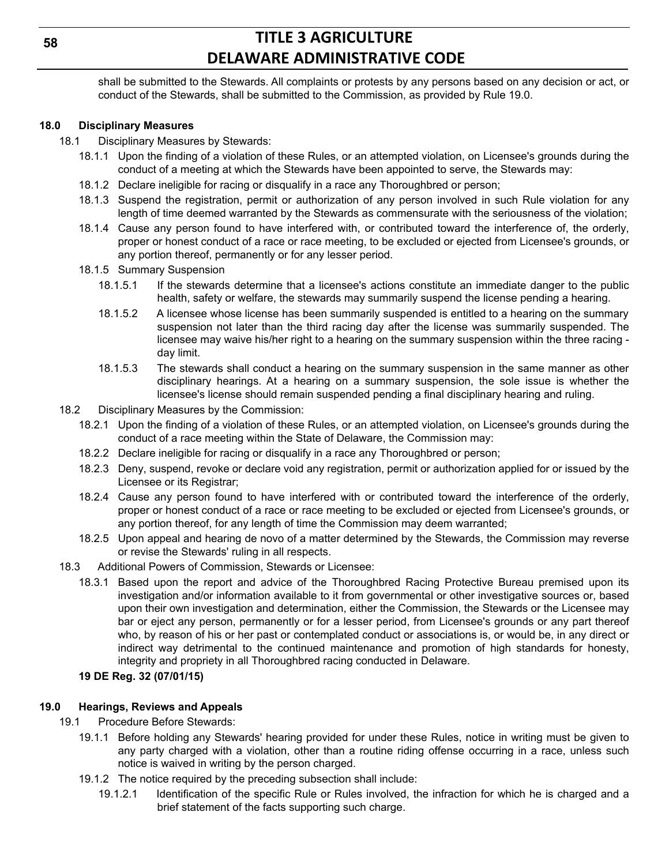shall be submitted to the Stewards. All complaints or protests by any persons based on any decision or act, or conduct of the Stewards, shall be submitted to the Commission, as provided by Rule 19.0.

### **18.0 Disciplinary Measures**

- 18.1 Disciplinary Measures by Stewards:
	- 18.1.1 Upon the finding of a violation of these Rules, or an attempted violation, on Licensee's grounds during the conduct of a meeting at which the Stewards have been appointed to serve, the Stewards may:
	- 18.1.2 Declare ineligible for racing or disqualify in a race any Thoroughbred or person;
	- 18.1.3 Suspend the registration, permit or authorization of any person involved in such Rule violation for any length of time deemed warranted by the Stewards as commensurate with the seriousness of the violation;
	- 18.1.4 Cause any person found to have interfered with, or contributed toward the interference of, the orderly, proper or honest conduct of a race or race meeting, to be excluded or ejected from Licensee's grounds, or any portion thereof, permanently or for any lesser period.
	- 18.1.5 Summary Suspension
		- 18.1.5.1 If the stewards determine that a licensee's actions constitute an immediate danger to the public health, safety or welfare, the stewards may summarily suspend the license pending a hearing.
		- 18.1.5.2 A licensee whose license has been summarily suspended is entitled to a hearing on the summary suspension not later than the third racing day after the license was summarily suspended. The licensee may waive his/her right to a hearing on the summary suspension within the three racing day limit.
		- 18.1.5.3 The stewards shall conduct a hearing on the summary suspension in the same manner as other disciplinary hearings. At a hearing on a summary suspension, the sole issue is whether the licensee's license should remain suspended pending a final disciplinary hearing and ruling.
- 18.2 Disciplinary Measures by the Commission:
	- 18.2.1 Upon the finding of a violation of these Rules, or an attempted violation, on Licensee's grounds during the conduct of a race meeting within the State of Delaware, the Commission may:
	- 18.2.2 Declare ineligible for racing or disqualify in a race any Thoroughbred or person;
	- 18.2.3 Deny, suspend, revoke or declare void any registration, permit or authorization applied for or issued by the Licensee or its Registrar;
	- 18.2.4 Cause any person found to have interfered with or contributed toward the interference of the orderly, proper or honest conduct of a race or race meeting to be excluded or ejected from Licensee's grounds, or any portion thereof, for any length of time the Commission may deem warranted;
	- 18.2.5 Upon appeal and hearing de novo of a matter determined by the Stewards, the Commission may reverse or revise the Stewards' ruling in all respects.
- 18.3 Additional Powers of Commission, Stewards or Licensee:
	- 18.3.1 Based upon the report and advice of the Thoroughbred Racing Protective Bureau premised upon its investigation and/or information available to it from governmental or other investigative sources or, based upon their own investigation and determination, either the Commission, the Stewards or the Licensee may bar or eject any person, permanently or for a lesser period, from Licensee's grounds or any part thereof who, by reason of his or her past or contemplated conduct or associations is, or would be, in any direct or indirect way detrimental to the continued maintenance and promotion of high standards for honesty, integrity and propriety in all Thoroughbred racing conducted in Delaware.

#### **19 DE Reg. 32 (07/01/15)**

#### **19.0 Hearings, Reviews and Appeals**

- 19.1 Procedure Before Stewards:
	- 19.1.1 Before holding any Stewards' hearing provided for under these Rules, notice in writing must be given to any party charged with a violation, other than a routine riding offense occurring in a race, unless such notice is waived in writing by the person charged.
	- 19.1.2 The notice required by the preceding subsection shall include:
		- 19.1.2.1 Identification of the specific Rule or Rules involved, the infraction for which he is charged and a brief statement of the facts supporting such charge.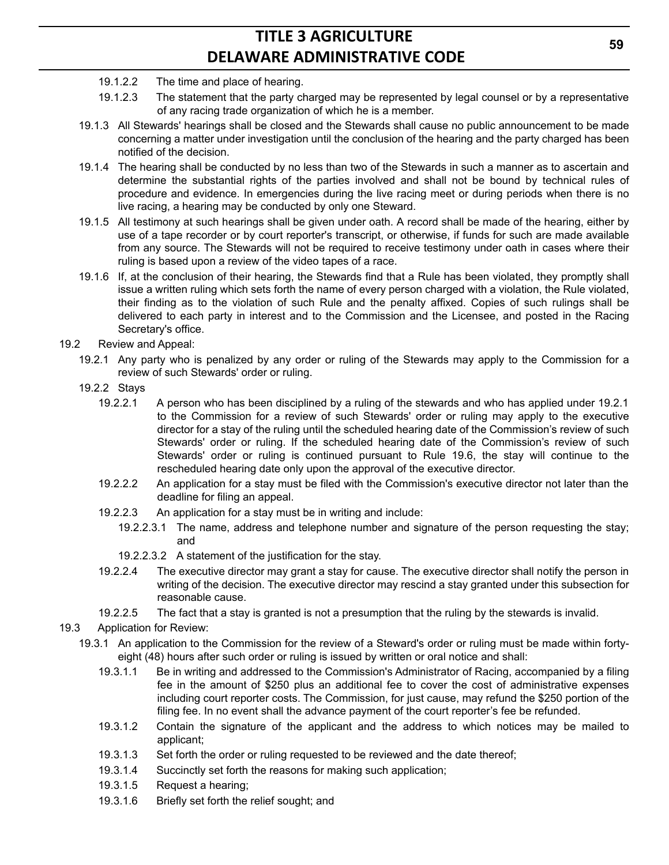- 19.1.2.2 The time and place of hearing.
- 19.1.2.3 The statement that the party charged may be represented by legal counsel or by a representative of any racing trade organization of which he is a member.
- 19.1.3 All Stewards' hearings shall be closed and the Stewards shall cause no public announcement to be made concerning a matter under investigation until the conclusion of the hearing and the party charged has been notified of the decision.
- 19.1.4 The hearing shall be conducted by no less than two of the Stewards in such a manner as to ascertain and determine the substantial rights of the parties involved and shall not be bound by technical rules of procedure and evidence. In emergencies during the live racing meet or during periods when there is no live racing, a hearing may be conducted by only one Steward.
- 19.1.5 All testimony at such hearings shall be given under oath. A record shall be made of the hearing, either by use of a tape recorder or by court reporter's transcript, or otherwise, if funds for such are made available from any source. The Stewards will not be required to receive testimony under oath in cases where their ruling is based upon a review of the video tapes of a race.
- 19.1.6 If, at the conclusion of their hearing, the Stewards find that a Rule has been violated, they promptly shall issue a written ruling which sets forth the name of every person charged with a violation, the Rule violated, their finding as to the violation of such Rule and the penalty affixed. Copies of such rulings shall be delivered to each party in interest and to the Commission and the Licensee, and posted in the Racing Secretary's office.
- 19.2 Review and Appeal:
	- 19.2.1 Any party who is penalized by any order or ruling of the Stewards may apply to the Commission for a review of such Stewards' order or ruling.
	- 19.2.2 Stays
		- 19.2.2.1 A person who has been disciplined by a ruling of the stewards and who has applied under 19.2.1 to the Commission for a review of such Stewards' order or ruling may apply to the executive director for a stay of the ruling until the scheduled hearing date of the Commission's review of such Stewards' order or ruling. If the scheduled hearing date of the Commission's review of such Stewards' order or ruling is continued pursuant to Rule 19.6, the stay will continue to the rescheduled hearing date only upon the approval of the executive director.
		- 19.2.2.2 An application for a stay must be filed with the Commission's executive director not later than the deadline for filing an appeal.
		- 19.2.2.3 An application for a stay must be in writing and include:
			- 19.2.2.3.1 The name, address and telephone number and signature of the person requesting the stay; and
			- 19.2.2.3.2 A statement of the justification for the stay.
		- 19.2.2.4 The executive director may grant a stay for cause. The executive director shall notify the person in writing of the decision. The executive director may rescind a stay granted under this subsection for reasonable cause.
		- 19.2.2.5 The fact that a stay is granted is not a presumption that the ruling by the stewards is invalid.
- 19.3 Application for Review:
	- 19.3.1 An application to the Commission for the review of a Steward's order or ruling must be made within fortyeight (48) hours after such order or ruling is issued by written or oral notice and shall:
		- 19.3.1.1 Be in writing and addressed to the Commission's Administrator of Racing, accompanied by a filing fee in the amount of \$250 plus an additional fee to cover the cost of administrative expenses including court reporter costs. The Commission, for just cause, may refund the \$250 portion of the filing fee. In no event shall the advance payment of the court reporter's fee be refunded.
		- 19.3.1.2 Contain the signature of the applicant and the address to which notices may be mailed to applicant;
		- 19.3.1.3 Set forth the order or ruling requested to be reviewed and the date thereof;
		- 19.3.1.4 Succinctly set forth the reasons for making such application;
		- 19.3.1.5 Request a hearing;
		- 19.3.1.6 Briefly set forth the relief sought; and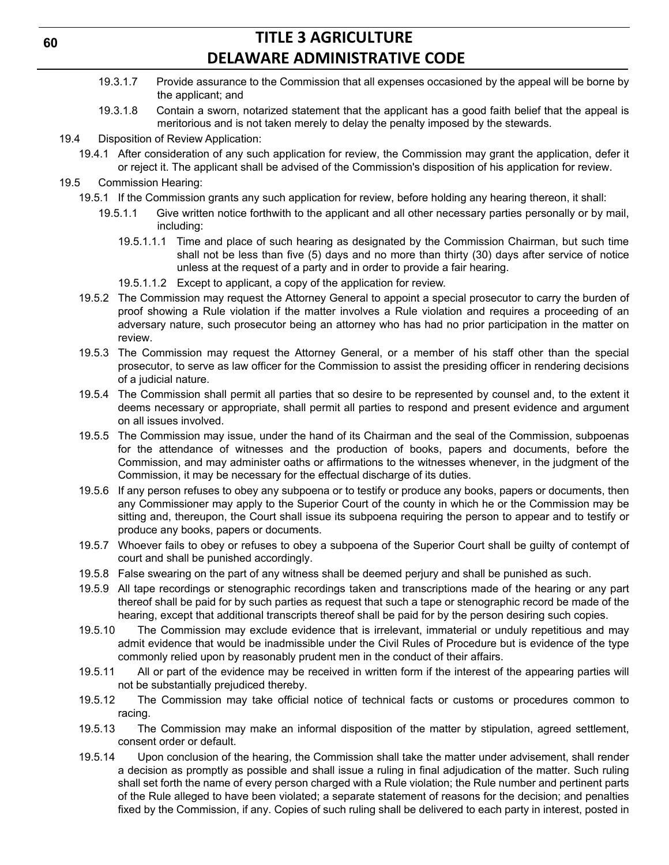- 19.3.1.7 Provide assurance to the Commission that all expenses occasioned by the appeal will be borne by the applicant; and
- 19.3.1.8 Contain a sworn, notarized statement that the applicant has a good faith belief that the appeal is meritorious and is not taken merely to delay the penalty imposed by the stewards.
- 19.4 Disposition of Review Application:
	- 19.4.1 After consideration of any such application for review, the Commission may grant the application, defer it or reject it. The applicant shall be advised of the Commission's disposition of his application for review.
- 19.5 Commission Hearing:
	- 19.5.1 If the Commission grants any such application for review, before holding any hearing thereon, it shall:
		- 19.5.1.1 Give written notice forthwith to the applicant and all other necessary parties personally or by mail, including:
			- 19.5.1.1.1 Time and place of such hearing as designated by the Commission Chairman, but such time shall not be less than five (5) days and no more than thirty (30) days after service of notice unless at the request of a party and in order to provide a fair hearing.
			- 19.5.1.1.2 Except to applicant, a copy of the application for review.
	- 19.5.2 The Commission may request the Attorney General to appoint a special prosecutor to carry the burden of proof showing a Rule violation if the matter involves a Rule violation and requires a proceeding of an adversary nature, such prosecutor being an attorney who has had no prior participation in the matter on review.
	- 19.5.3 The Commission may request the Attorney General, or a member of his staff other than the special prosecutor, to serve as law officer for the Commission to assist the presiding officer in rendering decisions of a judicial nature.
	- 19.5.4 The Commission shall permit all parties that so desire to be represented by counsel and, to the extent it deems necessary or appropriate, shall permit all parties to respond and present evidence and argument on all issues involved.
	- 19.5.5 The Commission may issue, under the hand of its Chairman and the seal of the Commission, subpoenas for the attendance of witnesses and the production of books, papers and documents, before the Commission, and may administer oaths or affirmations to the witnesses whenever, in the judgment of the Commission, it may be necessary for the effectual discharge of its duties.
	- 19.5.6 If any person refuses to obey any subpoena or to testify or produce any books, papers or documents, then any Commissioner may apply to the Superior Court of the county in which he or the Commission may be sitting and, thereupon, the Court shall issue its subpoena requiring the person to appear and to testify or produce any books, papers or documents.
	- 19.5.7 Whoever fails to obey or refuses to obey a subpoena of the Superior Court shall be guilty of contempt of court and shall be punished accordingly.
	- 19.5.8 False swearing on the part of any witness shall be deemed perjury and shall be punished as such.
	- 19.5.9 All tape recordings or stenographic recordings taken and transcriptions made of the hearing or any part thereof shall be paid for by such parties as request that such a tape or stenographic record be made of the hearing, except that additional transcripts thereof shall be paid for by the person desiring such copies.
	- 19.5.10 The Commission may exclude evidence that is irrelevant, immaterial or unduly repetitious and may admit evidence that would be inadmissible under the Civil Rules of Procedure but is evidence of the type commonly relied upon by reasonably prudent men in the conduct of their affairs.
	- 19.5.11 All or part of the evidence may be received in written form if the interest of the appearing parties will not be substantially prejudiced thereby.
	- 19.5.12 The Commission may take official notice of technical facts or customs or procedures common to racing.
	- 19.5.13 The Commission may make an informal disposition of the matter by stipulation, agreed settlement, consent order or default.
	- 19.5.14 Upon conclusion of the hearing, the Commission shall take the matter under advisement, shall render a decision as promptly as possible and shall issue a ruling in final adjudication of the matter. Such ruling shall set forth the name of every person charged with a Rule violation; the Rule number and pertinent parts of the Rule alleged to have been violated; a separate statement of reasons for the decision; and penalties fixed by the Commission, if any. Copies of such ruling shall be delivered to each party in interest, posted in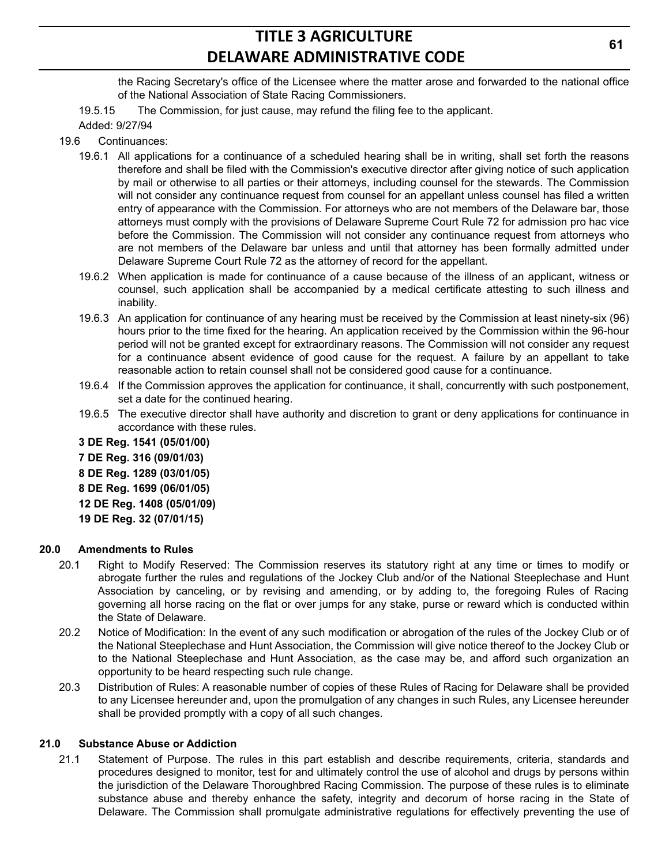the Racing Secretary's office of the Licensee where the matter arose and forwarded to the national office of the National Association of State Racing Commissioners.

19.5.15 The Commission, for just cause, may refund the filing fee to the applicant.

- Added: 9/27/94
- 19.6 Continuances:
	- 19.6.1 All applications for a continuance of a scheduled hearing shall be in writing, shall set forth the reasons therefore and shall be filed with the Commission's executive director after giving notice of such application by mail or otherwise to all parties or their attorneys, including counsel for the stewards. The Commission will not consider any continuance request from counsel for an appellant unless counsel has filed a written entry of appearance with the Commission. For attorneys who are not members of the Delaware bar, those attorneys must comply with the provisions of Delaware Supreme Court Rule 72 for admission pro hac vice before the Commission. The Commission will not consider any continuance request from attorneys who are not members of the Delaware bar unless and until that attorney has been formally admitted under Delaware Supreme Court Rule 72 as the attorney of record for the appellant.
	- 19.6.2 When application is made for continuance of a cause because of the illness of an applicant, witness or counsel, such application shall be accompanied by a medical certificate attesting to such illness and inability.
	- 19.6.3 An application for continuance of any hearing must be received by the Commission at least ninety-six (96) hours prior to the time fixed for the hearing. An application received by the Commission within the 96-hour period will not be granted except for extraordinary reasons. The Commission will not consider any request for a continuance absent evidence of good cause for the request. A failure by an appellant to take reasonable action to retain counsel shall not be considered good cause for a continuance.
	- 19.6.4 If the Commission approves the application for continuance, it shall, concurrently with such postponement, set a date for the continued hearing.
	- 19.6.5 The executive director shall have authority and discretion to grant or deny applications for continuance in accordance with these rules.
	- **3 DE Reg. 1541 (05/01/00) 7 DE Reg. 316 (09/01/03) 8 DE Reg. 1289 (03/01/05) 8 DE Reg. 1699 (06/01/05) 12 DE Reg. 1408 (05/01/09) 19 DE Reg. 32 (07/01/15)**

#### **20.0 Amendments to Rules**

- 20.1 Right to Modify Reserved: The Commission reserves its statutory right at any time or times to modify or abrogate further the rules and regulations of the Jockey Club and/or of the National Steeplechase and Hunt Association by canceling, or by revising and amending, or by adding to, the foregoing Rules of Racing governing all horse racing on the flat or over jumps for any stake, purse or reward which is conducted within the State of Delaware.
- 20.2 Notice of Modification: In the event of any such modification or abrogation of the rules of the Jockey Club or of the National Steeplechase and Hunt Association, the Commission will give notice thereof to the Jockey Club or to the National Steeplechase and Hunt Association, as the case may be, and afford such organization an opportunity to be heard respecting such rule change.
- 20.3 Distribution of Rules: A reasonable number of copies of these Rules of Racing for Delaware shall be provided to any Licensee hereunder and, upon the promulgation of any changes in such Rules, any Licensee hereunder shall be provided promptly with a copy of all such changes.

#### **21.0 Substance Abuse or Addiction**

21.1 Statement of Purpose. The rules in this part establish and describe requirements, criteria, standards and procedures designed to monitor, test for and ultimately control the use of alcohol and drugs by persons within the jurisdiction of the Delaware Thoroughbred Racing Commission. The purpose of these rules is to eliminate substance abuse and thereby enhance the safety, integrity and decorum of horse racing in the State of Delaware. The Commission shall promulgate administrative regulations for effectively preventing the use of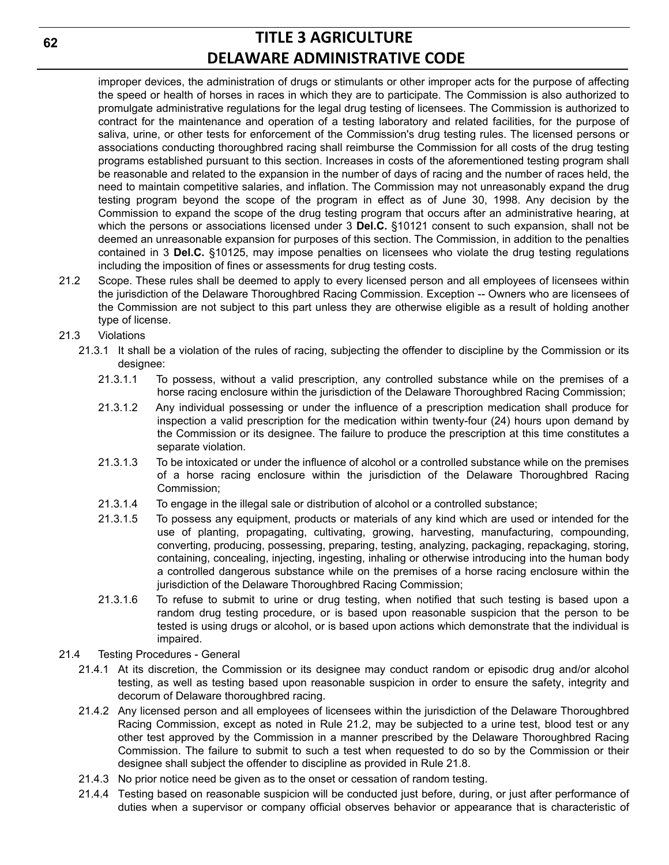improper devices, the administration of drugs or stimulants or other improper acts for the purpose of affecting the speed or health of horses in races in which they are to participate. The Commission is also authorized to promulgate administrative regulations for the legal drug testing of licensees. The Commission is authorized to contract for the maintenance and operation of a testing laboratory and related facilities, for the purpose of saliva, urine, or other tests for enforcement of the Commission's drug testing rules. The licensed persons or associations conducting thoroughbred racing shall reimburse the Commission for all costs of the drug testing programs established pursuant to this section. Increases in costs of the aforementioned testing program shall be reasonable and related to the expansion in the number of days of racing and the number of races held, the need to maintain competitive salaries, and inflation. The Commission may not unreasonably expand the drug testing program beyond the scope of the program in effect as of June 30, 1998. Any decision by the Commission to expand the scope of the drug testing program that occurs after an administrative hearing, at which the persons or associations licensed under 3 **Del.C.** §10121 consent to such expansion, shall not be deemed an unreasonable expansion for purposes of this section. The Commission, in addition to the penalties contained in 3 **Del.C.** §10125, may impose penalties on licensees who violate the drug testing regulations including the imposition of fines or assessments for drug testing costs.

- 21.2 Scope. These rules shall be deemed to apply to every licensed person and all employees of licensees within the jurisdiction of the Delaware Thoroughbred Racing Commission. Exception -- Owners who are licensees of the Commission are not subject to this part unless they are otherwise eligible as a result of holding another type of license.
- 21.3 Violations
	- 21.3.1 It shall be a violation of the rules of racing, subjecting the offender to discipline by the Commission or its designee:
		- 21.3.1.1 To possess, without a valid prescription, any controlled substance while on the premises of a horse racing enclosure within the jurisdiction of the Delaware Thoroughbred Racing Commission;
		- 21.3.1.2 Any individual possessing or under the influence of a prescription medication shall produce for inspection a valid prescription for the medication within twenty-four (24) hours upon demand by the Commission or its designee. The failure to produce the prescription at this time constitutes a separate violation.
		- 21.3.1.3 To be intoxicated or under the influence of alcohol or a controlled substance while on the premises of a horse racing enclosure within the jurisdiction of the Delaware Thoroughbred Racing Commission;
		- 21.3.1.4 To engage in the illegal sale or distribution of alcohol or a controlled substance;
		- 21.3.1.5 To possess any equipment, products or materials of any kind which are used or intended for the use of planting, propagating, cultivating, growing, harvesting, manufacturing, compounding, converting, producing, possessing, preparing, testing, analyzing, packaging, repackaging, storing, containing, concealing, injecting, ingesting, inhaling or otherwise introducing into the human body a controlled dangerous substance while on the premises of a horse racing enclosure within the jurisdiction of the Delaware Thoroughbred Racing Commission;
		- 21.3.1.6 To refuse to submit to urine or drug testing, when notified that such testing is based upon a random drug testing procedure, or is based upon reasonable suspicion that the person to be tested is using drugs or alcohol, or is based upon actions which demonstrate that the individual is impaired.
- 21.4 Testing Procedures General
	- 21.4.1 At its discretion, the Commission or its designee may conduct random or episodic drug and/or alcohol testing, as well as testing based upon reasonable suspicion in order to ensure the safety, integrity and decorum of Delaware thoroughbred racing.
	- 21.4.2 Any licensed person and all employees of licensees within the jurisdiction of the Delaware Thoroughbred Racing Commission, except as noted in Rule 21.2, may be subjected to a urine test, blood test or any other test approved by the Commission in a manner prescribed by the Delaware Thoroughbred Racing Commission. The failure to submit to such a test when requested to do so by the Commission or their designee shall subject the offender to discipline as provided in Rule 21.8.
	- 21.4.3 No prior notice need be given as to the onset or cessation of random testing.
	- 21.4.4 Testing based on reasonable suspicion will be conducted just before, during, or just after performance of duties when a supervisor or company official observes behavior or appearance that is characteristic of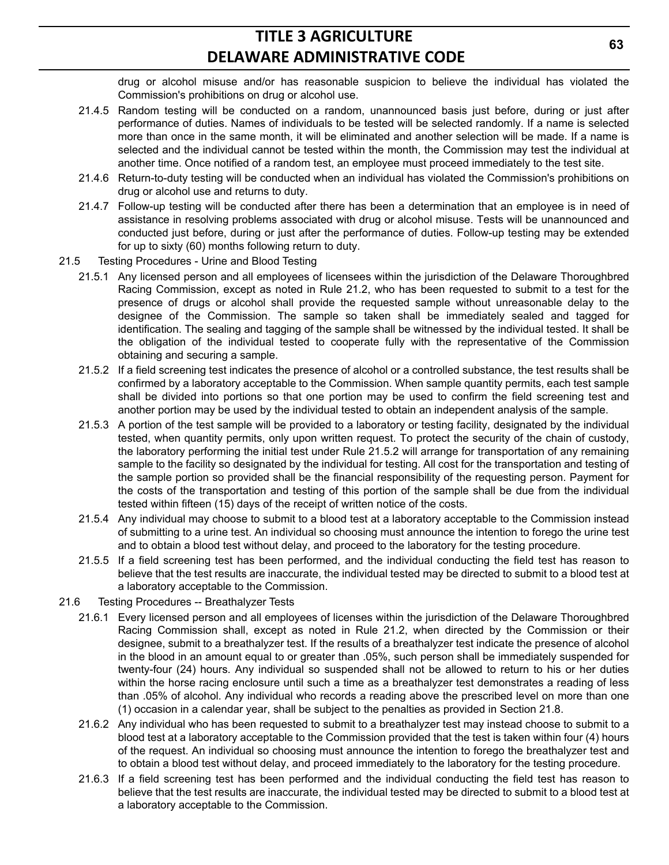drug or alcohol misuse and/or has reasonable suspicion to believe the individual has violated the Commission's prohibitions on drug or alcohol use.

- 21.4.5 Random testing will be conducted on a random, unannounced basis just before, during or just after performance of duties. Names of individuals to be tested will be selected randomly. If a name is selected more than once in the same month, it will be eliminated and another selection will be made. If a name is selected and the individual cannot be tested within the month, the Commission may test the individual at another time. Once notified of a random test, an employee must proceed immediately to the test site.
- 21.4.6 Return-to-duty testing will be conducted when an individual has violated the Commission's prohibitions on drug or alcohol use and returns to duty.
- 21.4.7 Follow-up testing will be conducted after there has been a determination that an employee is in need of assistance in resolving problems associated with drug or alcohol misuse. Tests will be unannounced and conducted just before, during or just after the performance of duties. Follow-up testing may be extended for up to sixty (60) months following return to duty.
- 21.5 Testing Procedures Urine and Blood Testing
	- 21.5.1 Any licensed person and all employees of licensees within the jurisdiction of the Delaware Thoroughbred Racing Commission, except as noted in Rule 21.2, who has been requested to submit to a test for the presence of drugs or alcohol shall provide the requested sample without unreasonable delay to the designee of the Commission. The sample so taken shall be immediately sealed and tagged for identification. The sealing and tagging of the sample shall be witnessed by the individual tested. It shall be the obligation of the individual tested to cooperate fully with the representative of the Commission obtaining and securing a sample.
	- 21.5.2 If a field screening test indicates the presence of alcohol or a controlled substance, the test results shall be confirmed by a laboratory acceptable to the Commission. When sample quantity permits, each test sample shall be divided into portions so that one portion may be used to confirm the field screening test and another portion may be used by the individual tested to obtain an independent analysis of the sample.
	- 21.5.3 A portion of the test sample will be provided to a laboratory or testing facility, designated by the individual tested, when quantity permits, only upon written request. To protect the security of the chain of custody, the laboratory performing the initial test under Rule 21.5.2 will arrange for transportation of any remaining sample to the facility so designated by the individual for testing. All cost for the transportation and testing of the sample portion so provided shall be the financial responsibility of the requesting person. Payment for the costs of the transportation and testing of this portion of the sample shall be due from the individual tested within fifteen (15) days of the receipt of written notice of the costs.
	- 21.5.4 Any individual may choose to submit to a blood test at a laboratory acceptable to the Commission instead of submitting to a urine test. An individual so choosing must announce the intention to forego the urine test and to obtain a blood test without delay, and proceed to the laboratory for the testing procedure.
	- 21.5.5 If a field screening test has been performed, and the individual conducting the field test has reason to believe that the test results are inaccurate, the individual tested may be directed to submit to a blood test at a laboratory acceptable to the Commission.
- 21.6 Testing Procedures -- Breathalyzer Tests
	- 21.6.1 Every licensed person and all employees of licenses within the jurisdiction of the Delaware Thoroughbred Racing Commission shall, except as noted in Rule 21.2, when directed by the Commission or their designee, submit to a breathalyzer test. If the results of a breathalyzer test indicate the presence of alcohol in the blood in an amount equal to or greater than .05%, such person shall be immediately suspended for twenty-four (24) hours. Any individual so suspended shall not be allowed to return to his or her duties within the horse racing enclosure until such a time as a breathalyzer test demonstrates a reading of less than .05% of alcohol. Any individual who records a reading above the prescribed level on more than one (1) occasion in a calendar year, shall be subject to the penalties as provided in Section 21.8.
	- 21.6.2 Any individual who has been requested to submit to a breathalyzer test may instead choose to submit to a blood test at a laboratory acceptable to the Commission provided that the test is taken within four (4) hours of the request. An individual so choosing must announce the intention to forego the breathalyzer test and to obtain a blood test without delay, and proceed immediately to the laboratory for the testing procedure.
	- 21.6.3 If a field screening test has been performed and the individual conducting the field test has reason to believe that the test results are inaccurate, the individual tested may be directed to submit to a blood test at a laboratory acceptable to the Commission.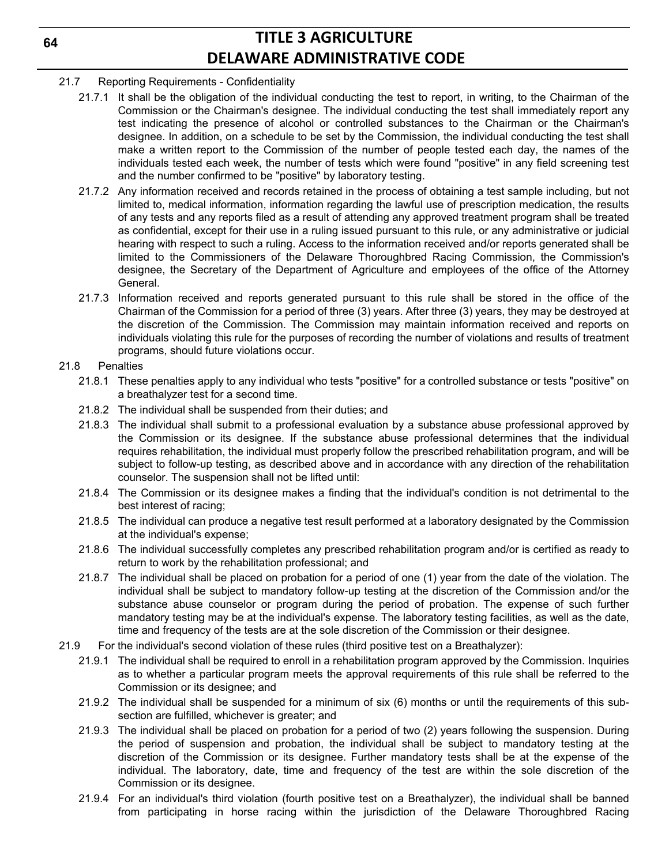- 21.7 Reporting Requirements Confidentiality
	- 21.7.1 It shall be the obligation of the individual conducting the test to report, in writing, to the Chairman of the Commission or the Chairman's designee. The individual conducting the test shall immediately report any test indicating the presence of alcohol or controlled substances to the Chairman or the Chairman's designee. In addition, on a schedule to be set by the Commission, the individual conducting the test shall make a written report to the Commission of the number of people tested each day, the names of the individuals tested each week, the number of tests which were found "positive" in any field screening test and the number confirmed to be "positive" by laboratory testing.
	- 21.7.2 Any information received and records retained in the process of obtaining a test sample including, but not limited to, medical information, information regarding the lawful use of prescription medication, the results of any tests and any reports filed as a result of attending any approved treatment program shall be treated as confidential, except for their use in a ruling issued pursuant to this rule, or any administrative or judicial hearing with respect to such a ruling. Access to the information received and/or reports generated shall be limited to the Commissioners of the Delaware Thoroughbred Racing Commission, the Commission's designee, the Secretary of the Department of Agriculture and employees of the office of the Attorney General.
	- 21.7.3 Information received and reports generated pursuant to this rule shall be stored in the office of the Chairman of the Commission for a period of three (3) years. After three (3) years, they may be destroyed at the discretion of the Commission. The Commission may maintain information received and reports on individuals violating this rule for the purposes of recording the number of violations and results of treatment programs, should future violations occur.

### 21.8 Penalties

- 21.8.1 These penalties apply to any individual who tests "positive" for a controlled substance or tests "positive" on a breathalyzer test for a second time.
- 21.8.2 The individual shall be suspended from their duties; and
- 21.8.3 The individual shall submit to a professional evaluation by a substance abuse professional approved by the Commission or its designee. If the substance abuse professional determines that the individual requires rehabilitation, the individual must properly follow the prescribed rehabilitation program, and will be subject to follow-up testing, as described above and in accordance with any direction of the rehabilitation counselor. The suspension shall not be lifted until:
- 21.8.4 The Commission or its designee makes a finding that the individual's condition is not detrimental to the best interest of racing;
- 21.8.5 The individual can produce a negative test result performed at a laboratory designated by the Commission at the individual's expense;
- 21.8.6 The individual successfully completes any prescribed rehabilitation program and/or is certified as ready to return to work by the rehabilitation professional; and
- 21.8.7 The individual shall be placed on probation for a period of one (1) year from the date of the violation. The individual shall be subject to mandatory follow-up testing at the discretion of the Commission and/or the substance abuse counselor or program during the period of probation. The expense of such further mandatory testing may be at the individual's expense. The laboratory testing facilities, as well as the date, time and frequency of the tests are at the sole discretion of the Commission or their designee.
- 21.9 For the individual's second violation of these rules (third positive test on a Breathalyzer):
	- 21.9.1 The individual shall be required to enroll in a rehabilitation program approved by the Commission. Inquiries as to whether a particular program meets the approval requirements of this rule shall be referred to the Commission or its designee; and
	- 21.9.2 The individual shall be suspended for a minimum of six (6) months or until the requirements of this subsection are fulfilled, whichever is greater; and
	- 21.9.3 The individual shall be placed on probation for a period of two (2) years following the suspension. During the period of suspension and probation, the individual shall be subject to mandatory testing at the discretion of the Commission or its designee. Further mandatory tests shall be at the expense of the individual. The laboratory, date, time and frequency of the test are within the sole discretion of the Commission or its designee.
	- 21.9.4 For an individual's third violation (fourth positive test on a Breathalyzer), the individual shall be banned from participating in horse racing within the jurisdiction of the Delaware Thoroughbred Racing